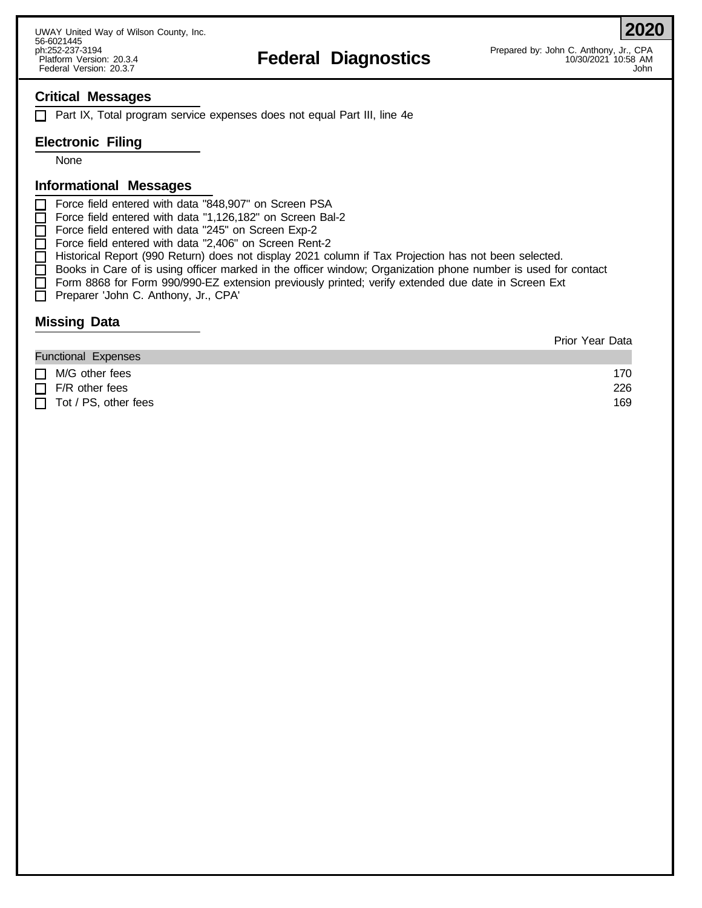# n.252-237-3194<br>Platform Version: 20.3.4 **Federal Diagnostics** Prepared by: John C. Ahthony, Jr., CPA<br>Pedcral Version: 20.3.7 10:58 AM

**2020**

## **Critical Messages**

 $\Box$  Part IX, Total program service expenses does not equal Part III, line 4e

## **Electronic Filing**

None

#### **Informational Messages**

Force field entered with data "848,907" on Screen PSA

Force field entered with data "1,126,182" on Screen Bal-2

Force field entered with data "245" on Screen Exp-2

- Force field entered with data "2,406" on Screen Rent-2
- Historical Report (990 Return) does not display 2021 column if Tax Projection has not been selected.
- Books in Care of is using officer marked in the officer window; Organization phone number is used for contact
- Form 8868 for Form 990/990-EZ extension previously printed; verify extended due date in Screen Ext
- Preparer 'John C. Anthony, Jr., CPA'

### **Missing Data**

|                             | <b>Prior Year Data</b> |
|-----------------------------|------------------------|
| <b>Functional Expenses</b>  |                        |
| $\Box$ M/G other fees       | 170                    |
| $\Box$ F/R other fees       | 226                    |
| $\Box$ Tot / PS, other fees | 169                    |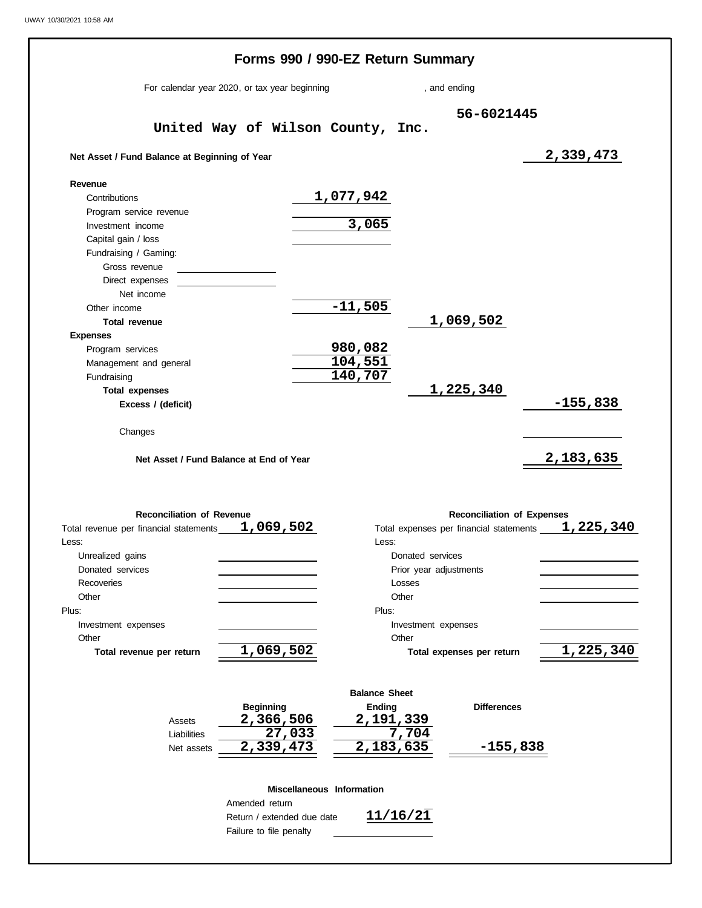|                                                                    |                         |                            | Forms 990 / 990-EZ Return Summary |                        |                                         |                        |
|--------------------------------------------------------------------|-------------------------|----------------------------|-----------------------------------|------------------------|-----------------------------------------|------------------------|
| For calendar year 2020, or tax year beginning                      |                         |                            |                                   | , and ending           |                                         |                        |
|                                                                    |                         |                            |                                   |                        | 56-6021445                              |                        |
|                                                                    |                         |                            | United Way of Wilson County, Inc. |                        |                                         |                        |
| Net Asset / Fund Balance at Beginning of Year                      |                         |                            |                                   |                        |                                         | 2,339,473              |
| Revenue                                                            |                         |                            |                                   |                        |                                         |                        |
| Contributions<br>Program service revenue                           |                         |                            | 1,077,942                         |                        |                                         |                        |
| Investment income                                                  |                         |                            | 3,065                             |                        |                                         |                        |
| Capital gain / loss<br>Fundraising / Gaming:                       |                         |                            |                                   |                        |                                         |                        |
| Gross revenue                                                      |                         |                            |                                   |                        |                                         |                        |
| Direct expenses                                                    |                         |                            |                                   |                        |                                         |                        |
| Net income                                                         |                         |                            |                                   |                        |                                         |                        |
| Other income                                                       |                         |                            | $-11,505$                         |                        |                                         |                        |
| Total revenue                                                      |                         |                            |                                   |                        | 1,069,502                               |                        |
| <b>Expenses</b>                                                    |                         |                            |                                   |                        |                                         |                        |
| Program services                                                   |                         |                            | 980,082                           |                        |                                         |                        |
| Management and general                                             |                         |                            | 104,551                           |                        |                                         |                        |
| Fundraising                                                        |                         |                            | 140,707                           |                        |                                         |                        |
| <b>Total expenses</b><br>Excess / (deficit)                        |                         |                            |                                   |                        | 1,225,340                               | $-155,838$             |
| Changes<br>Net Asset / Fund Balance at End of Year                 |                         |                            |                                   |                        |                                         | <u>2,183,635</u>       |
|                                                                    |                         |                            |                                   |                        |                                         |                        |
| <b>Reconciliation of Revenue</b>                                   |                         |                            |                                   |                        | <b>Reconciliation of Expenses</b>       |                        |
|                                                                    |                         |                            |                                   |                        | Total expenses per financial statements |                        |
|                                                                    |                         |                            | Less:                             |                        |                                         |                        |
| Unrealized gains                                                   |                         |                            |                                   | Donated services       |                                         |                        |
| Donated services<br><b>Recoveries</b>                              |                         |                            |                                   | Prior year adjustments |                                         |                        |
| Other                                                              |                         |                            |                                   | Losses<br>Other        |                                         |                        |
|                                                                    |                         |                            | Plus:                             |                        |                                         |                        |
| Investment expenses                                                |                         |                            |                                   | Investment expenses    |                                         |                        |
| Other                                                              |                         |                            |                                   | Other                  |                                         |                        |
| Total revenue per return                                           |                         | 1,069,502                  |                                   |                        | Total expenses per return               |                        |
|                                                                    |                         |                            |                                   |                        |                                         |                        |
|                                                                    |                         |                            | <b>Balance Sheet</b>              |                        |                                         |                        |
|                                                                    | <b>Beginning</b>        |                            | Ending                            |                        | <b>Differences</b>                      |                        |
| Assets<br>Liabilities                                              |                         | 2,366,506<br>27,033        | 2,191,339                         | 7,704                  |                                         |                        |
| Net assets                                                         |                         | 2,339,473                  | 2,183,635                         |                        | $-155,838$                              |                        |
|                                                                    |                         |                            |                                   |                        |                                         |                        |
|                                                                    |                         |                            | Miscellaneous Information         |                        |                                         |                        |
|                                                                    | Amended return          |                            |                                   |                        |                                         |                        |
| Total revenue per financial statements 1,069,502<br>Less:<br>Plus: | Failure to file penalty | Return / extended due date |                                   | 11/16/21               |                                         | 1,225,340<br>1,225,340 |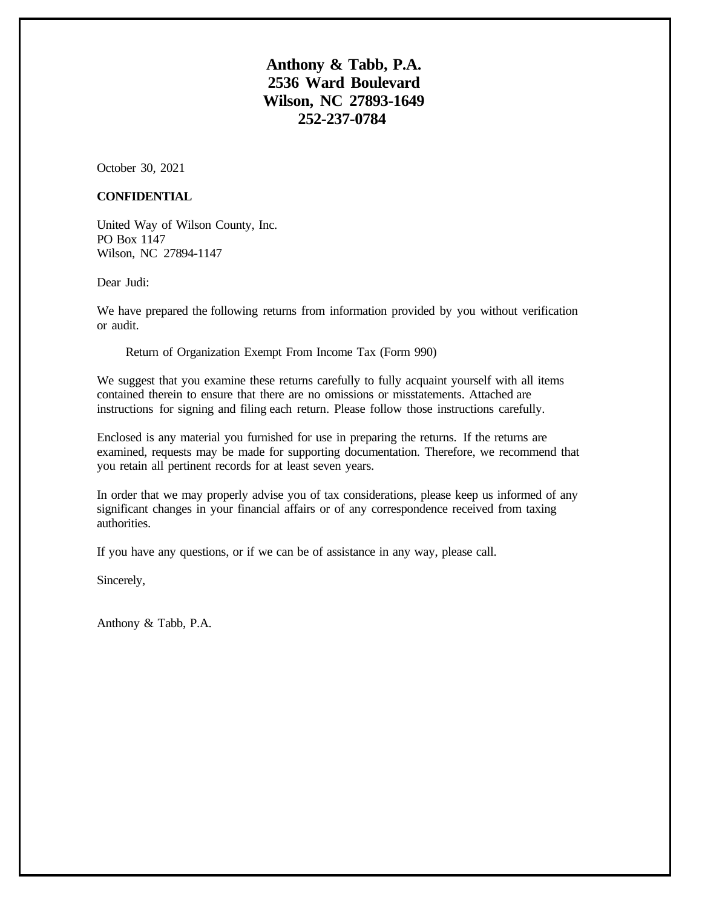**Anthony & Tabb, P.A. 2536 Ward Boulevard Wilson, NC 27893-1649 252-237-0784**

October 30, 2021

#### **CONFIDENTIAL**

United Way of Wilson County, Inc. PO Box 1147 Wilson, NC 27894-1147

Dear Judi:

We have prepared the following returns from information provided by you without verification or audit.

Return of Organization Exempt From Income Tax (Form 990)

We suggest that you examine these returns carefully to fully acquaint yourself with all items contained therein to ensure that there are no omissions or misstatements. Attached are instructions for signing and filing each return. Please follow those instructions carefully.

Enclosed is any material you furnished for use in preparing the returns. If the returns are examined, requests may be made for supporting documentation. Therefore, we recommend that you retain all pertinent records for at least seven years.

In order that we may properly advise you of tax considerations, please keep us informed of any significant changes in your financial affairs or of any correspondence received from taxing authorities.

If you have any questions, or if we can be of assistance in any way, please call.

Sincerely,

Anthony & Tabb, P.A.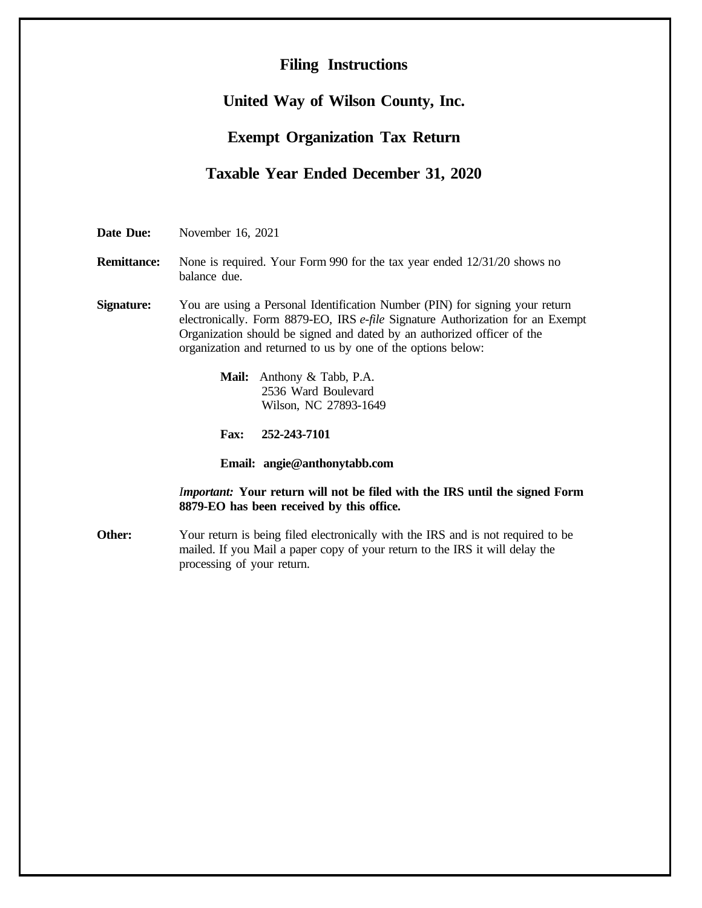# **Filing Instructions**

# **United Way of Wilson County, Inc.**

# **Exempt Organization Tax Return**

# **Taxable Year Ended December 31, 2020**

**Date Due:** November 16, 2021

**Remittance:** None is required. Your Form 990 for the tax year ended 12/31/20 shows no balance due.

**Signature:** You are using a Personal Identification Number (PIN) for signing your return electronically. Form 8879-EO, IRS *e-file* Signature Authorization for an Exempt Organization should be signed and dated by an authorized officer of the organization and returned to us by one of the options below:

> **Mail:** Anthony & Tabb, P.A. 2536 Ward Boulevard Wilson, NC 27893-1649

**Fax: 252-243-7101**

**Email: angie@anthonytabb.com**

*Important:* **Your return will not be filed with the IRS until the signed Form 8879-EO has been received by this office.**

**Other:** Your return is being filed electronically with the IRS and is not required to be mailed. If you Mail a paper copy of your return to the IRS it will delay the processing of your return.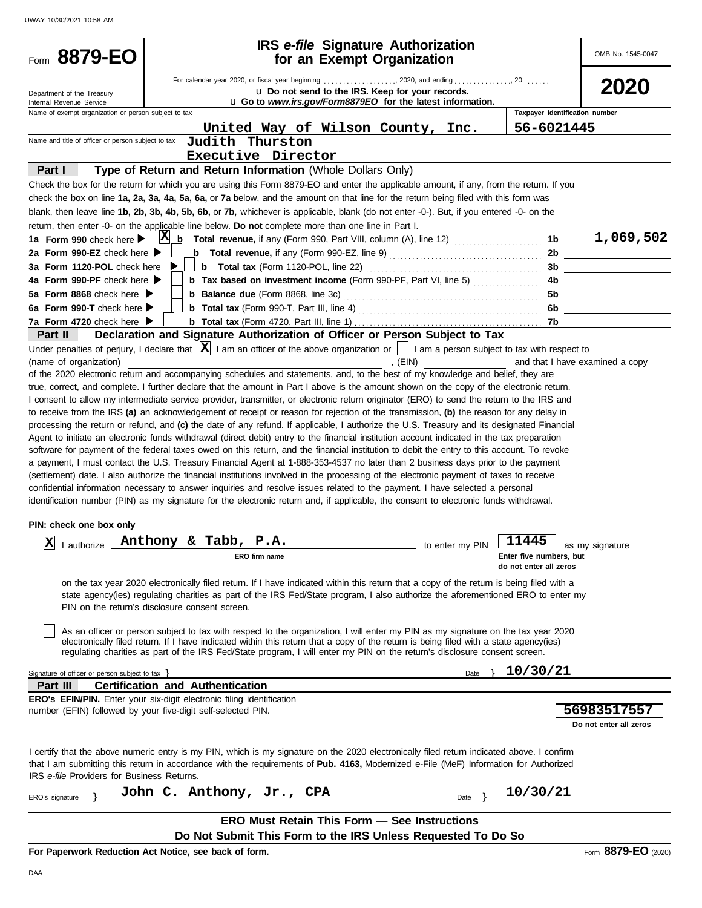| 8879-EO<br>Form                                                                                                                                                                                                                                                                       |                                                                                                                                          |               | <b>IRS</b> e-file Signature Authorization<br>for an Exempt Organization                                        |                 |                                | OMB No. 1545-0047                       |
|---------------------------------------------------------------------------------------------------------------------------------------------------------------------------------------------------------------------------------------------------------------------------------------|------------------------------------------------------------------------------------------------------------------------------------------|---------------|----------------------------------------------------------------------------------------------------------------|-----------------|--------------------------------|-----------------------------------------|
| Department of the Treasury<br>Internal Revenue Service                                                                                                                                                                                                                                |                                                                                                                                          |               | u Do not send to the IRS. Keep for your records.<br>u Go to www.irs.gov/Form8879EO for the latest information. |                 |                                | 2020                                    |
| Name of exempt organization or person subject to tax                                                                                                                                                                                                                                  |                                                                                                                                          |               |                                                                                                                |                 | Taxpayer identification number |                                         |
|                                                                                                                                                                                                                                                                                       |                                                                                                                                          |               | United Way of Wilson County, Inc.                                                                              |                 | 56-6021445                     |                                         |
| Name and title of officer or person subject to tax                                                                                                                                                                                                                                    | Judith Thurston                                                                                                                          |               |                                                                                                                |                 |                                |                                         |
|                                                                                                                                                                                                                                                                                       | Executive Director                                                                                                                       |               |                                                                                                                |                 |                                |                                         |
| Part I                                                                                                                                                                                                                                                                                | Type of Return and Return Information (Whole Dollars Only)                                                                               |               |                                                                                                                |                 |                                |                                         |
| Check the box for the return for which you are using this Form 8879-EO and enter the applicable amount, if any, from the return. If you                                                                                                                                               |                                                                                                                                          |               |                                                                                                                |                 |                                |                                         |
| check the box on line 1a, 2a, 3a, 4a, 5a, 6a, or 7a below, and the amount on that line for the return being filed with this form was                                                                                                                                                  |                                                                                                                                          |               |                                                                                                                |                 |                                |                                         |
| blank, then leave line 1b, 2b, 3b, 4b, 5b, 6b, or 7b, whichever is applicable, blank (do not enter -0-). But, if you entered -0- on the                                                                                                                                               |                                                                                                                                          |               |                                                                                                                |                 |                                |                                         |
| return, then enter -0- on the applicable line below. Do not complete more than one line in Part I.<br>1a Form 990 check here $\blacktriangleright$                                                                                                                                    | $ {\bf X} $                                                                                                                              |               | $\mathbf{b}$ Total revenue, if any (Form 990, Part VIII, column (A), line 12) $\ldots$                         |                 |                                | $1b$ 1,069,502                          |
| 2a Form 990-EZ check here $\blacktriangleright$                                                                                                                                                                                                                                       |                                                                                                                                          |               | <b>b</b> Total revenue, if any (Form 990-EZ, line 9) $\ldots$ $\ldots$ $\ldots$ $\ldots$ $\ldots$ $\ldots$     |                 | 2 <sub>b</sub>                 |                                         |
| 3a Form 1120-POL check here                                                                                                                                                                                                                                                           |                                                                                                                                          |               |                                                                                                                |                 |                                |                                         |
| 4a Form 990-PF check here ▶                                                                                                                                                                                                                                                           |                                                                                                                                          |               | <b>b</b> Tax based on investment income (Form 990-PF, Part VI, line 5)                                         |                 | 4b.                            | <u> 1989 - Johann Barbara, martin a</u> |
| 5a Form 8868 check here $\blacktriangleright$                                                                                                                                                                                                                                         |                                                                                                                                          |               |                                                                                                                |                 | 5b                             |                                         |
| 6a Form 990-T check here $\blacktriangleright$                                                                                                                                                                                                                                        |                                                                                                                                          |               |                                                                                                                |                 | 6b                             |                                         |
| 7a Form 4720 check here $\blacktriangleright$                                                                                                                                                                                                                                         |                                                                                                                                          |               |                                                                                                                |                 | 7b.                            |                                         |
| Part II                                                                                                                                                                                                                                                                               | Declaration and Signature Authorization of Officer or Person Subject to Tax                                                              |               |                                                                                                                |                 |                                |                                         |
| Under penalties of perjury, I declare that $ \mathbf{X} $ I am an officer of the above organization or     I am a person subject to tax with respect to                                                                                                                               |                                                                                                                                          |               |                                                                                                                |                 |                                |                                         |
| (name of organization)                                                                                                                                                                                                                                                                |                                                                                                                                          |               | , $(EIN)$                                                                                                      |                 |                                | and that I have examined a copy         |
| of the 2020 electronic return and accompanying schedules and statements, and, to the best of my knowledge and belief, they are                                                                                                                                                        |                                                                                                                                          |               |                                                                                                                |                 |                                |                                         |
| true, correct, and complete. I further declare that the amount in Part I above is the amount shown on the copy of the electronic return.<br>I consent to allow my intermediate service provider, transmitter, or electronic return originator (ERO) to send the return to the IRS and |                                                                                                                                          |               |                                                                                                                |                 |                                |                                         |
| to receive from the IRS (a) an acknowledgement of receipt or reason for rejection of the transmission, (b) the reason for any delay in                                                                                                                                                |                                                                                                                                          |               |                                                                                                                |                 |                                |                                         |
| processing the return or refund, and (c) the date of any refund. If applicable, I authorize the U.S. Treasury and its designated Financial                                                                                                                                            |                                                                                                                                          |               |                                                                                                                |                 |                                |                                         |
| Agent to initiate an electronic funds withdrawal (direct debit) entry to the financial institution account indicated in the tax preparation                                                                                                                                           |                                                                                                                                          |               |                                                                                                                |                 |                                |                                         |
| software for payment of the federal taxes owed on this return, and the financial institution to debit the entry to this account. To revoke                                                                                                                                            |                                                                                                                                          |               |                                                                                                                |                 |                                |                                         |
| a payment, I must contact the U.S. Treasury Financial Agent at 1-888-353-4537 no later than 2 business days prior to the payment                                                                                                                                                      |                                                                                                                                          |               |                                                                                                                |                 |                                |                                         |
| (settlement) date. I also authorize the financial institutions involved in the processing of the electronic payment of taxes to receive                                                                                                                                               |                                                                                                                                          |               |                                                                                                                |                 |                                |                                         |
| confidential information necessary to answer inquiries and resolve issues related to the payment. I have selected a personal<br>identification number (PIN) as my signature for the electronic return and, if applicable, the consent to electronic funds withdrawal.                 |                                                                                                                                          |               |                                                                                                                |                 |                                |                                         |
|                                                                                                                                                                                                                                                                                       |                                                                                                                                          |               |                                                                                                                |                 |                                |                                         |
| PIN: check one box only                                                                                                                                                                                                                                                               |                                                                                                                                          |               |                                                                                                                |                 |                                |                                         |
| x <br>I authorize                                                                                                                                                                                                                                                                     | Anthony & Tabb, P.A.                                                                                                                     |               |                                                                                                                | to enter my PIN | 11445                          | as my signature                         |
|                                                                                                                                                                                                                                                                                       |                                                                                                                                          | ERO firm name |                                                                                                                |                 | Enter five numbers, but        |                                         |
|                                                                                                                                                                                                                                                                                       |                                                                                                                                          |               |                                                                                                                |                 | do not enter all zeros         |                                         |
|                                                                                                                                                                                                                                                                                       | on the tax year 2020 electronically filed return. If I have indicated within this return that a copy of the return is being filed with a |               |                                                                                                                |                 |                                |                                         |
|                                                                                                                                                                                                                                                                                       | state agency(ies) regulating charities as part of the IRS Fed/State program, I also authorize the aforementioned ERO to enter my         |               |                                                                                                                |                 |                                |                                         |
|                                                                                                                                                                                                                                                                                       | PIN on the return's disclosure consent screen.                                                                                           |               |                                                                                                                |                 |                                |                                         |
|                                                                                                                                                                                                                                                                                       | As an officer or person subject to tax with respect to the organization, I will enter my PIN as my signature on the tax year 2020        |               |                                                                                                                |                 |                                |                                         |
|                                                                                                                                                                                                                                                                                       | electronically filed return. If I have indicated within this return that a copy of the return is being filed with a state agency(ies)    |               |                                                                                                                |                 |                                |                                         |
|                                                                                                                                                                                                                                                                                       | regulating charities as part of the IRS Fed/State program, I will enter my PIN on the return's disclosure consent screen.                |               |                                                                                                                |                 |                                |                                         |
| Signature of officer or person subject to tax }                                                                                                                                                                                                                                       |                                                                                                                                          |               |                                                                                                                | Date            | 10/30/21                       |                                         |
| Part III                                                                                                                                                                                                                                                                              | <b>Certification and Authentication</b>                                                                                                  |               |                                                                                                                |                 |                                |                                         |
| <b>ERO's EFIN/PIN.</b> Enter your six-digit electronic filing identification                                                                                                                                                                                                          |                                                                                                                                          |               |                                                                                                                |                 |                                |                                         |
| number (EFIN) followed by your five-digit self-selected PIN.                                                                                                                                                                                                                          |                                                                                                                                          |               |                                                                                                                |                 |                                | 56983517557                             |
|                                                                                                                                                                                                                                                                                       |                                                                                                                                          |               |                                                                                                                |                 |                                | Do not enter all zeros                  |
|                                                                                                                                                                                                                                                                                       |                                                                                                                                          |               |                                                                                                                |                 |                                |                                         |
| I certify that the above numeric entry is my PIN, which is my signature on the 2020 electronically filed return indicated above. I confirm<br>that I am submitting this return in accordance with the requirements of Pub. 4163, Modernized e-File (MeF) Information for Authorized   |                                                                                                                                          |               |                                                                                                                |                 |                                |                                         |
| IRS e-file Providers for Business Returns.                                                                                                                                                                                                                                            |                                                                                                                                          |               |                                                                                                                |                 |                                |                                         |
|                                                                                                                                                                                                                                                                                       | John C. Anthony, Jr., CPA                                                                                                                |               |                                                                                                                |                 | 10/30/21                       |                                         |
| ERO's signature                                                                                                                                                                                                                                                                       |                                                                                                                                          |               |                                                                                                                | Date }          |                                |                                         |
|                                                                                                                                                                                                                                                                                       |                                                                                                                                          |               | <b>ERO Must Retain This Form - See Instructions</b>                                                            |                 |                                |                                         |
|                                                                                                                                                                                                                                                                                       |                                                                                                                                          |               | Do Not Submit This Form to the IRS Unless Requested To Do So                                                   |                 |                                |                                         |
| For Paperwork Reduction Act Notice, see back of form.                                                                                                                                                                                                                                 |                                                                                                                                          |               |                                                                                                                |                 |                                | Form 8879-EO (2020)                     |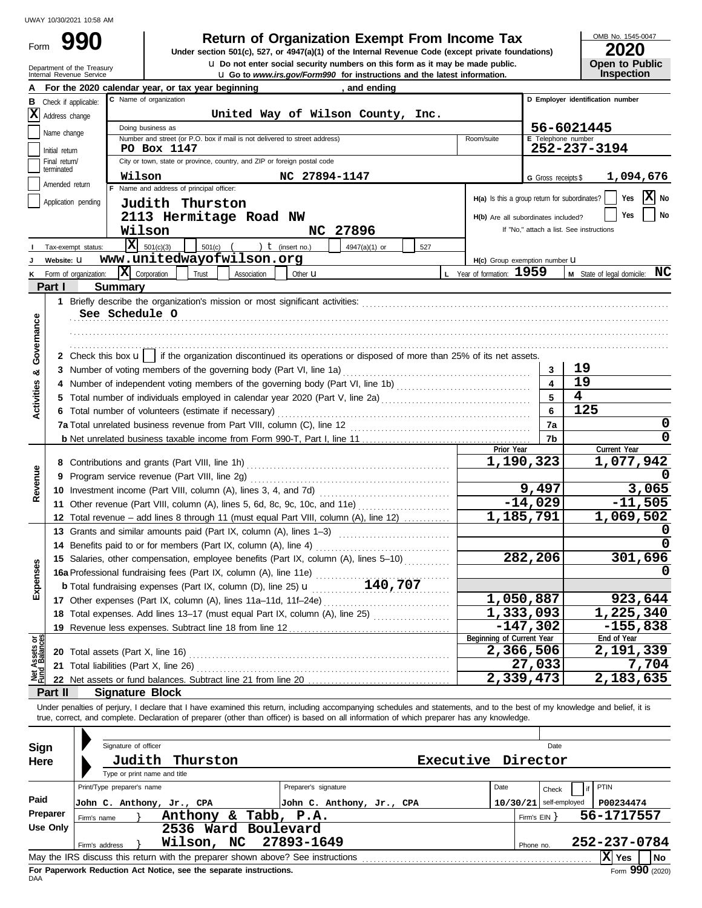Form

# **990 2000 2020 Return of Organization Exempt From Income Tax**

Internal Revenue Service u **Go to** *www.irs.gov/Form990* **for instructions and the latest information. u** Do not enter social security numbers on this form as it may be made public. **Under section 501(c), 527, or 4947(a)(1) of the Internal Revenue Code (except private foundations)** OMB No. 1545-0047

| ZUZU                  |
|-----------------------|
| <b>Open to Public</b> |
| <b>Inspection</b>     |

|                           | Department of the Treasury<br>Internal Revenue Service | <b>Let</b> Do not enter social security numbers on this form as it may be made public.<br><b>u</b> Go to www.irs.gov/Form990 for instructions and the latest information.  |                           | <b>Open to Public</b><br><b>Inspection</b> |
|---------------------------|--------------------------------------------------------|----------------------------------------------------------------------------------------------------------------------------------------------------------------------------|---------------------------|--------------------------------------------|
|                           |                                                        | For the 2020 calendar year, or tax year beginning<br>, and ending                                                                                                          |                           |                                            |
| в                         | Check if applicable:                                   | C Name of organization                                                                                                                                                     |                           | D Employer identification number           |
|                           | $ \mathbf{X} $ Address change                          | United Way of Wilson County, Inc.                                                                                                                                          |                           |                                            |
|                           |                                                        | Doing business as                                                                                                                                                          |                           | 56-6021445                                 |
|                           | Name change                                            | Number and street (or P.O. box if mail is not delivered to street address)<br>Room/suite                                                                                   |                           | E Telephone number                         |
|                           | Initial return                                         | PO Box 1147                                                                                                                                                                |                           | 252-237-3194                               |
|                           | Final return/<br>terminated                            | City or town, state or province, country, and ZIP or foreign postal code                                                                                                   |                           |                                            |
|                           | Amended return                                         | Wilson<br>NC 27894-1147                                                                                                                                                    | G Gross receipts \$       | 1,094,676                                  |
|                           |                                                        | F Name and address of principal officer:<br>H(a) Is this a group return for subordinates?                                                                                  |                           | $ \mathbf{X} $ No<br>Yes                   |
|                           | Application pending                                    | Judith Thurston                                                                                                                                                            |                           |                                            |
|                           |                                                        | 2113 Hermitage Road NW<br>H(b) Are all subordinates included?                                                                                                              |                           | No<br>Yes                                  |
|                           |                                                        | Wilson<br>NC 27896                                                                                                                                                         |                           | If "No," attach a list. See instructions   |
|                           | Tax-exempt status:                                     | $ \mathbf{X} $ 501(c)(3)<br>) $t$ (insert no.)<br>$501(c)$ (<br>4947(a)(1) or<br>527                                                                                       |                           |                                            |
|                           | Website: U                                             | www.unitedwayofwilson.org<br>H(c) Group exemption number U                                                                                                                 |                           |                                            |
|                           | Form of organization:                                  | X Corporation<br>L Year of formation: 1959<br>Trust<br>Association<br>Other <b>u</b>                                                                                       |                           | M State of legal domicile: NC              |
|                           | Part I                                                 | Summary                                                                                                                                                                    |                           |                                            |
|                           |                                                        | See Schedule O                                                                                                                                                             |                           |                                            |
| Governance                |                                                        |                                                                                                                                                                            |                           |                                            |
|                           |                                                        |                                                                                                                                                                            |                           |                                            |
|                           |                                                        | 2 Check this box $\mathbf{u}$   if the organization discontinued its operations or disposed of more than 25% of its net assets.                                            |                           |                                            |
|                           |                                                        | 3 Number of voting members of the governing body (Part VI, line 1a)                                                                                                        | 3                         | 19                                         |
| ళ                         |                                                        |                                                                                                                                                                            | 4                         | 19                                         |
| <b>Activities</b>         |                                                        |                                                                                                                                                                            | 5                         | $\overline{\mathbf{4}}$                    |
|                           |                                                        | 6 Total number of volunteers (estimate if necessary)                                                                                                                       | 6                         | 125                                        |
|                           |                                                        |                                                                                                                                                                            | 7a                        | 0                                          |
|                           |                                                        |                                                                                                                                                                            | 7b                        | 0                                          |
|                           |                                                        | Prior Year                                                                                                                                                                 |                           | Current Year                               |
|                           |                                                        |                                                                                                                                                                            | 1,190,323                 | 1,077,942                                  |
| Revenue                   |                                                        |                                                                                                                                                                            |                           |                                            |
|                           |                                                        |                                                                                                                                                                            | 9,497                     | 3,065                                      |
|                           |                                                        | 11 Other revenue (Part VIII, column (A), lines 5, 6d, 8c, 9c, 10c, and 11e)                                                                                                | $-14,029$                 | $-11,505$                                  |
|                           |                                                        | 12 Total revenue – add lines 8 through 11 (must equal Part VIII, column (A), line 12)                                                                                      | 1,185,791                 | 1,069,502                                  |
|                           |                                                        | 13 Grants and similar amounts paid (Part IX, column (A), lines 1-3)                                                                                                        |                           | 0                                          |
|                           |                                                        | 14 Benefits paid to or for members (Part IX, column (A), line 4)                                                                                                           |                           |                                            |
| nses                      |                                                        | 15 Salaries, other compensation, employee benefits (Part IX, column (A), lines 5-10)                                                                                       | 282,206                   | 301,696                                    |
|                           |                                                        | 16a Professional fundraising fees (Part IX, column (A), line 11e)                                                                                                          |                           | 0                                          |
| Exper                     |                                                        | 140,707<br><b>b</b> Total fundraising expenses (Part IX, column (D), line 25) $\mathbf{u}$                                                                                 | 1,050,887                 |                                            |
|                           |                                                        |                                                                                                                                                                            | $\overline{1}$ , 333, 093 | 923,644<br>1,225,340                       |
|                           |                                                        | 18 Total expenses. Add lines 13-17 (must equal Part IX, column (A), line 25)                                                                                               | $-147,302$                | $-155,838$                                 |
| à g                       |                                                        | 19 Revenue less expenses. Subtract line 18 from line 12<br>Beginning of Current Year                                                                                       |                           | End of Year                                |
| Assets<br>1 Balanc        |                                                        |                                                                                                                                                                            | $\overline{2,366,506}$    | 2,191,339                                  |
|                           |                                                        | 21 Total liabilities (Part X, line 26)                                                                                                                                     | 27,033                    | 7,704                                      |
| $\mathbb{Z}^{\text{tot}}$ |                                                        |                                                                                                                                                                            | 2,339,473                 | 2,183,635                                  |
|                           | Part II                                                | <b>Signature Block</b>                                                                                                                                                     |                           |                                            |
|                           |                                                        | Under penalties of perjury, I declare that I have examined this return, including accompanying schedules and statements, and to the best of my knowledge and belief, it is |                           |                                            |
|                           |                                                        | true, correct, and complete. Declaration of preparer (other than officer) is based on all information of which preparer has any knowledge.                                 |                           |                                            |
|                           |                                                        |                                                                                                                                                                            |                           |                                            |
|                           | Sign                                                   | Signature of officer                                                                                                                                                       | Date                      |                                            |
|                           | Here                                                   | Executive Director<br>Judith<br>Thurston                                                                                                                                   |                           |                                            |
|                           |                                                        | Type or print name and title<br>Print/Type preparer's name<br>Preparer's signature<br>Date                                                                                 |                           | PTIN                                       |
| Paid                      |                                                        |                                                                                                                                                                            | Check                     | if                                         |
|                           | Preparer                                               | John C. Anthony, Jr., CPA<br>John C. Anthony, Jr., CPA<br>Anthony & Tabb, P.A.                                                                                             | $10/30/21$ self-employed  | P00234474<br>56-1717557                    |
|                           | Firm's name<br><b>Use Only</b>                         | 2536 Ward Boulevard                                                                                                                                                        | Firm's EIN }              |                                            |
|                           | Firm's address                                         | 27893-1649<br>Wilson, NC                                                                                                                                                   | Phone no.                 | 252-237-0784                               |
|                           |                                                        |                                                                                                                                                                            |                           | $ X $ Yes<br>No                            |
|                           |                                                        |                                                                                                                                                                            |                           |                                            |

| Sign<br>Here                                                                                                                                                                                           | Signature of officer<br>Judith<br>Thurston<br>Type or print name and title | <b>Executive</b>                                                | Director  | Date                                                                                               |  |  |  |  |
|--------------------------------------------------------------------------------------------------------------------------------------------------------------------------------------------------------|----------------------------------------------------------------------------|-----------------------------------------------------------------|-----------|----------------------------------------------------------------------------------------------------|--|--|--|--|
| Paid<br>Preparer                                                                                                                                                                                       | Print/Type preparer's name<br>John C. Anthony, Jr., CPA<br>Anthony<br>&.   | Preparer's signature<br>John C. Anthony, Jr., CPA<br>Tabb, P.A. | Date      | PTIN<br>if.<br><b>Check</b><br>$10/30/21$ self-employed<br>P00234474<br>56-1717557<br>Firm's EIN Y |  |  |  |  |
| Use Only                                                                                                                                                                                               | Firm's name<br>2536 Ward Boulevard<br>Wilson, NC<br>Firm's address         | 27893-1649                                                      | Phone no. | 252-237-0784                                                                                       |  |  |  |  |
| X  Yes<br>May the IRS discuss this return with the preparer shown above? See instructions<br><b>No</b><br>Form 990 (2020)<br>For Paperwork Reduction Act Notice, see the separate instructions.<br>DAA |                                                                            |                                                                 |           |                                                                                                    |  |  |  |  |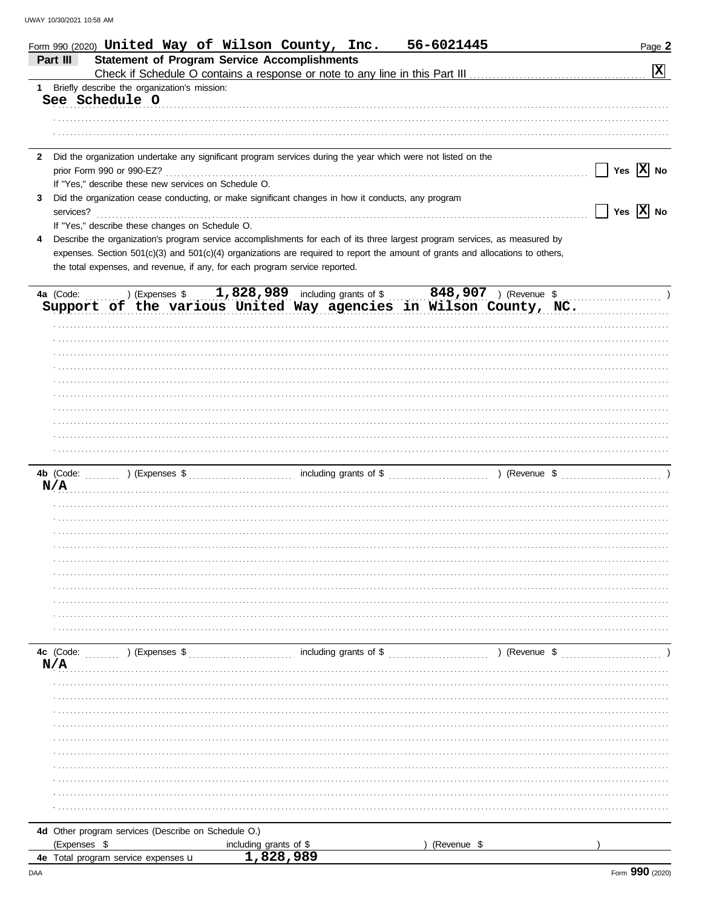|              | 56-6021445<br>Form 990 (2020) United Way of Wilson County, Inc.                                                                                                                                               | Page 2                                            |
|--------------|---------------------------------------------------------------------------------------------------------------------------------------------------------------------------------------------------------------|---------------------------------------------------|
|              | <b>Statement of Program Service Accomplishments</b><br>Part III                                                                                                                                               |                                                   |
|              |                                                                                                                                                                                                               | $ \mathbf{x} $                                    |
| 1.           | Briefly describe the organization's mission:<br>See Schedule O                                                                                                                                                |                                                   |
|              |                                                                                                                                                                                                               |                                                   |
|              |                                                                                                                                                                                                               |                                                   |
|              |                                                                                                                                                                                                               |                                                   |
| $\mathbf{2}$ | Did the organization undertake any significant program services during the year which were not listed on the                                                                                                  |                                                   |
|              |                                                                                                                                                                                                               | Yes $\overline{X}$ No<br>$\Box$                   |
|              | If "Yes," describe these new services on Schedule O.                                                                                                                                                          |                                                   |
| 3            | Did the organization cease conducting, or make significant changes in how it conducts, any program                                                                                                            |                                                   |
|              | services?                                                                                                                                                                                                     | $\boxed{\phantom{1}}$ Yes $\boxed{\textbf{X}}$ No |
|              | If "Yes," describe these changes on Schedule O.                                                                                                                                                               |                                                   |
| 4            | Describe the organization's program service accomplishments for each of its three largest program services, as measured by                                                                                    |                                                   |
|              | expenses. Section 501(c)(3) and 501(c)(4) organizations are required to report the amount of grants and allocations to others,<br>the total expenses, and revenue, if any, for each program service reported. |                                                   |
|              |                                                                                                                                                                                                               |                                                   |
|              |                                                                                                                                                                                                               |                                                   |
|              | 4a (Code: ) (Expenses \$1,828,989 including grants of \$848,907 ) (Revenue \$9,907 Support of the various United Way agencies in Wilson County, NC.                                                           |                                                   |
|              |                                                                                                                                                                                                               |                                                   |
|              |                                                                                                                                                                                                               |                                                   |
|              |                                                                                                                                                                                                               |                                                   |
|              |                                                                                                                                                                                                               |                                                   |
|              |                                                                                                                                                                                                               |                                                   |
|              |                                                                                                                                                                                                               |                                                   |
|              |                                                                                                                                                                                                               |                                                   |
|              |                                                                                                                                                                                                               |                                                   |
|              |                                                                                                                                                                                                               |                                                   |
|              |                                                                                                                                                                                                               |                                                   |
|              |                                                                                                                                                                                                               |                                                   |
|              | N/A                                                                                                                                                                                                           |                                                   |
|              |                                                                                                                                                                                                               |                                                   |
|              |                                                                                                                                                                                                               |                                                   |
|              |                                                                                                                                                                                                               |                                                   |
|              |                                                                                                                                                                                                               |                                                   |
|              |                                                                                                                                                                                                               |                                                   |
|              |                                                                                                                                                                                                               |                                                   |
|              |                                                                                                                                                                                                               |                                                   |
|              |                                                                                                                                                                                                               |                                                   |
|              |                                                                                                                                                                                                               |                                                   |
|              |                                                                                                                                                                                                               |                                                   |
|              | including grants of \$<br>4c (Code:<br>) (Revenue \$<br>) (Expenses \$                                                                                                                                        |                                                   |
|              | N/A                                                                                                                                                                                                           |                                                   |
|              |                                                                                                                                                                                                               |                                                   |
|              |                                                                                                                                                                                                               |                                                   |
|              |                                                                                                                                                                                                               |                                                   |
|              |                                                                                                                                                                                                               |                                                   |
|              |                                                                                                                                                                                                               |                                                   |
|              |                                                                                                                                                                                                               |                                                   |
|              |                                                                                                                                                                                                               |                                                   |
|              |                                                                                                                                                                                                               |                                                   |
|              |                                                                                                                                                                                                               |                                                   |
|              |                                                                                                                                                                                                               |                                                   |
|              | 4d Other program services (Describe on Schedule O.)                                                                                                                                                           |                                                   |
|              | (Expenses \$<br>(Revenue \$<br>including grants of \$                                                                                                                                                         |                                                   |
|              | 1,828,989<br>4e Total program service expenses u                                                                                                                                                              |                                                   |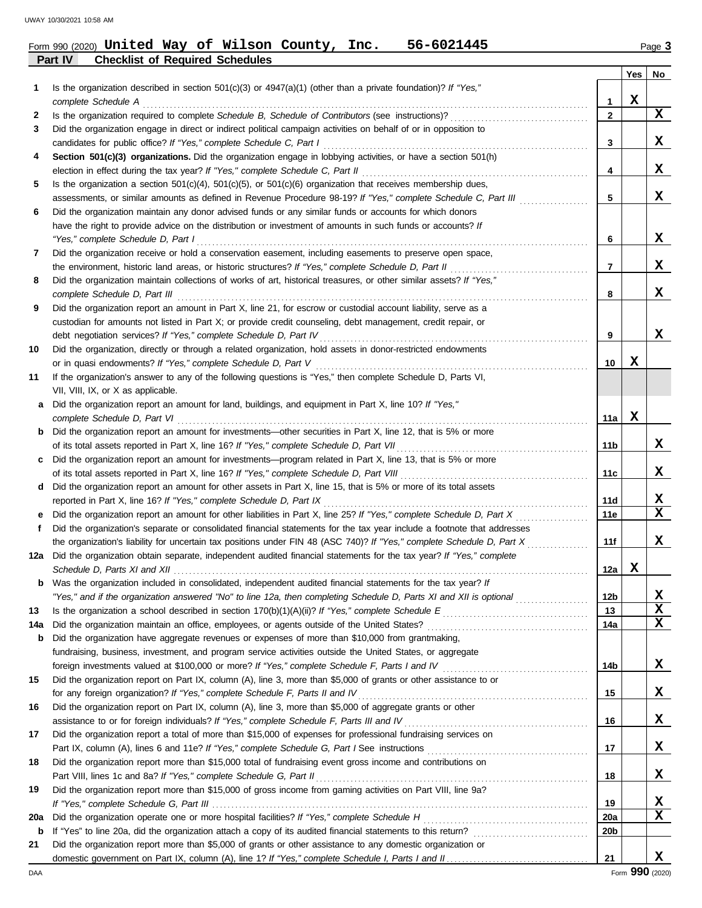| Form 990 (2020) United Way of Wilson County, Inc. |  |  |  | 56-6021445 | Page 3 |
|---------------------------------------------------|--|--|--|------------|--------|
| <b>Part IV Checklist of Required Schedules</b>    |  |  |  |            |        |

| 1   | Is the organization described in section $501(c)(3)$ or $4947(a)(1)$ (other than a private foundation)? If "Yes,"<br>complete Schedule A                                                                       | 1               | Yes<br>X | No          |
|-----|----------------------------------------------------------------------------------------------------------------------------------------------------------------------------------------------------------------|-----------------|----------|-------------|
| 2   | Is the organization required to complete Schedule B, Schedule of Contributors (see instructions)?                                                                                                              | $\mathbf{2}$    |          | X           |
| 3   | Did the organization engage in direct or indirect political campaign activities on behalf of or in opposition to                                                                                               |                 |          |             |
|     | candidates for public office? If "Yes," complete Schedule C, Part I                                                                                                                                            | 3               |          | x           |
| 4   | Section 501(c)(3) organizations. Did the organization engage in lobbying activities, or have a section 501(h)                                                                                                  |                 |          |             |
|     | election in effect during the tax year? If "Yes," complete Schedule C, Part II                                                                                                                                 | 4               |          | x           |
| 5   | Is the organization a section $501(c)(4)$ , $501(c)(5)$ , or $501(c)(6)$ organization that receives membership dues,                                                                                           |                 |          |             |
|     | assessments, or similar amounts as defined in Revenue Procedure 98-19? If "Yes," complete Schedule C, Part III                                                                                                 | 5               |          | X           |
| 6   | Did the organization maintain any donor advised funds or any similar funds or accounts for which donors                                                                                                        |                 |          |             |
|     | have the right to provide advice on the distribution or investment of amounts in such funds or accounts? If                                                                                                    |                 |          |             |
|     | "Yes," complete Schedule D, Part I                                                                                                                                                                             | 6               |          | x           |
| 7   | Did the organization receive or hold a conservation easement, including easements to preserve open space,                                                                                                      |                 |          |             |
|     | the environment, historic land areas, or historic structures? If "Yes," complete Schedule D, Part II                                                                                                           | 7               |          | x           |
| 8   | Did the organization maintain collections of works of art, historical treasures, or other similar assets? If "Yes,"<br>complete Schedule D, Part III                                                           | 8               |          | x           |
| 9   | Did the organization report an amount in Part X, line 21, for escrow or custodial account liability, serve as a                                                                                                |                 |          |             |
|     | custodian for amounts not listed in Part X; or provide credit counseling, debt management, credit repair, or                                                                                                   |                 |          |             |
|     | debt negotiation services? If "Yes," complete Schedule D, Part IV                                                                                                                                              | 9               |          | X           |
| 10  | Did the organization, directly or through a related organization, hold assets in donor-restricted endowments                                                                                                   |                 |          |             |
|     | or in quasi endowments? If "Yes," complete Schedule D, Part V                                                                                                                                                  | 10              | x        |             |
| 11  | If the organization's answer to any of the following questions is "Yes," then complete Schedule D, Parts VI,                                                                                                   |                 |          |             |
|     | VII, VIII, IX, or X as applicable.                                                                                                                                                                             |                 |          |             |
| а   | Did the organization report an amount for land, buildings, and equipment in Part X, line 10? If "Yes,"                                                                                                         |                 |          |             |
|     | complete Schedule D, Part VI                                                                                                                                                                                   | 11a             | x        |             |
| b   | Did the organization report an amount for investments—other securities in Part X, line 12, that is 5% or more                                                                                                  |                 |          |             |
|     | of its total assets reported in Part X, line 16? If "Yes," complete Schedule D, Part VII                                                                                                                       | 11b             |          | X           |
| с   | Did the organization report an amount for investments-program related in Part X, line 13, that is 5% or more                                                                                                   |                 |          | x           |
|     | of its total assets reported in Part X, line 16? If "Yes," complete Schedule D, Part VIII<br>Did the organization report an amount for other assets in Part X, line 15, that is 5% or more of its total assets | 11c             |          |             |
| d   | reported in Part X, line 16? If "Yes," complete Schedule D, Part IX                                                                                                                                            | 11d             |          | X           |
| е   | Did the organization report an amount for other liabilities in Part X, line 25? If "Yes," complete Schedule D, Part X                                                                                          | 11e             |          | $\mathbf x$ |
| f   | Did the organization's separate or consolidated financial statements for the tax year include a footnote that addresses                                                                                        |                 |          |             |
|     | the organization's liability for uncertain tax positions under FIN 48 (ASC 740)? If "Yes," complete Schedule D, Part X                                                                                         | 11f             |          | x           |
|     | 12a Did the organization obtain separate, independent audited financial statements for the tax year? If "Yes," complete                                                                                        |                 |          |             |
|     |                                                                                                                                                                                                                | 12a             | x        |             |
| b   | Was the organization included in consolidated, independent audited financial statements for the tax year? If                                                                                                   |                 |          |             |
|     | "Yes," and if the organization answered "No" to line 12a, then completing Schedule D, Parts XI and XII is optional                                                                                             | 12 <sub>b</sub> |          | X           |
| 13  |                                                                                                                                                                                                                | 13              |          | $\mathbf x$ |
| 14a | Did the organization maintain an office, employees, or agents outside of the United States?                                                                                                                    | 14a             |          | X           |
| b   | Did the organization have aggregate revenues or expenses of more than \$10,000 from grantmaking,                                                                                                               |                 |          |             |
|     | fundraising, business, investment, and program service activities outside the United States, or aggregate                                                                                                      |                 |          |             |
|     |                                                                                                                                                                                                                | 14b             |          | X,          |
| 15  | Did the organization report on Part IX, column (A), line 3, more than \$5,000 of grants or other assistance to or                                                                                              |                 |          |             |
|     | for any foreign organization? If "Yes," complete Schedule F, Parts II and IV                                                                                                                                   | 15              |          | X,          |
| 16  | Did the organization report on Part IX, column (A), line 3, more than \$5,000 of aggregate grants or other                                                                                                     |                 |          |             |
|     | assistance to or for foreign individuals? If "Yes," complete Schedule F, Parts III and IV                                                                                                                      | 16              |          | X,          |
| 17  | Did the organization report a total of more than \$15,000 of expenses for professional fundraising services on                                                                                                 |                 |          |             |
|     |                                                                                                                                                                                                                | 17              |          | X,          |
| 18  | Did the organization report more than \$15,000 total of fundraising event gross income and contributions on                                                                                                    |                 |          |             |
|     | Part VIII, lines 1c and 8a? If "Yes," complete Schedule G, Part II                                                                                                                                             | 18              |          | X,          |
| 19  | Did the organization report more than \$15,000 of gross income from gaming activities on Part VIII, line 9a?                                                                                                   |                 |          |             |
|     |                                                                                                                                                                                                                | 19              |          | X           |
| 20a |                                                                                                                                                                                                                | 20a             |          | X           |
| b   |                                                                                                                                                                                                                | 20b             |          |             |
| 21  | Did the organization report more than \$5,000 of grants or other assistance to any domestic organization or                                                                                                    |                 |          |             |
|     |                                                                                                                                                                                                                | 21              |          | x           |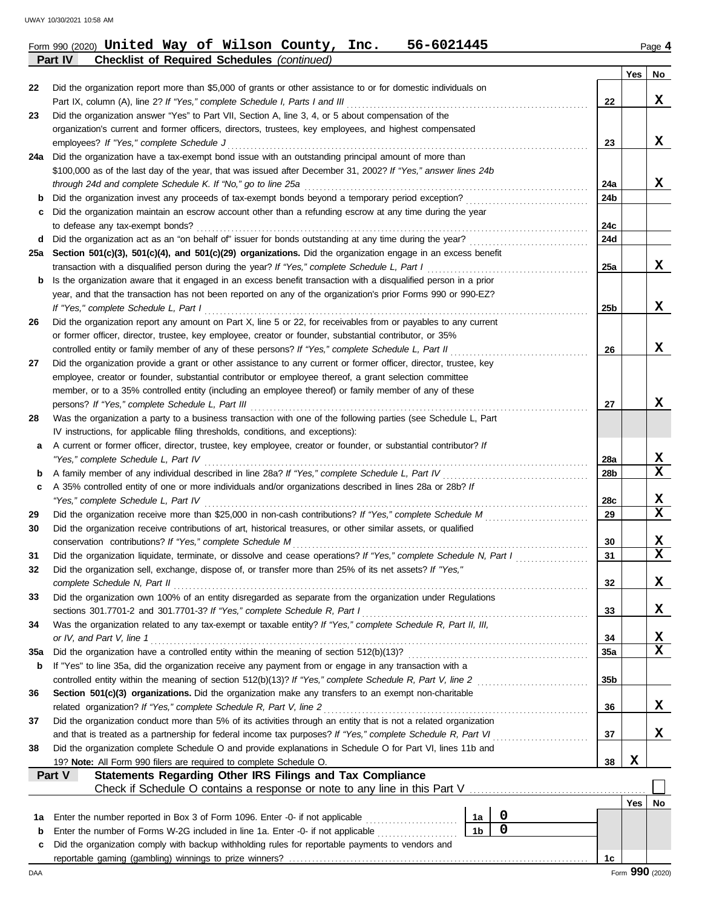**Part IV Checklist of Required Schedules** *(continued)*

|        |                                                                                                                                                                                  |                 | Yes | No          |
|--------|----------------------------------------------------------------------------------------------------------------------------------------------------------------------------------|-----------------|-----|-------------|
| 22     | Did the organization report more than \$5,000 of grants or other assistance to or for domestic individuals on                                                                    |                 |     |             |
|        | Part IX, column (A), line 2? If "Yes," complete Schedule I, Parts I and III                                                                                                      | 22              |     | x           |
| 23     | Did the organization answer "Yes" to Part VII, Section A, line 3, 4, or 5 about compensation of the                                                                              |                 |     |             |
|        | organization's current and former officers, directors, trustees, key employees, and highest compensated                                                                          |                 |     |             |
|        | employees? If "Yes," complete Schedule J                                                                                                                                         | 23              |     | x           |
|        | 24a Did the organization have a tax-exempt bond issue with an outstanding principal amount of more than                                                                          |                 |     |             |
|        | \$100,000 as of the last day of the year, that was issued after December 31, 2002? If "Yes," answer lines 24b<br>through 24d and complete Schedule K. If "No," go to line 25a    | 24a             |     | x           |
| b      | Did the organization invest any proceeds of tax-exempt bonds beyond a temporary period exception?                                                                                | 24b             |     |             |
| c      | Did the organization maintain an escrow account other than a refunding escrow at any time during the year                                                                        |                 |     |             |
|        | to defease any tax-exempt bonds?                                                                                                                                                 | 24c             |     |             |
| d      | Did the organization act as an "on behalf of" issuer for bonds outstanding at any time during the year?                                                                          | 24d             |     |             |
|        | 25a Section 501(c)(3), 501(c)(4), and 501(c)(29) organizations. Did the organization engage in an excess benefit                                                                 |                 |     |             |
|        | transaction with a disqualified person during the year? If "Yes," complete Schedule L, Part I                                                                                    | 25a             |     | x           |
| b      | Is the organization aware that it engaged in an excess benefit transaction with a disqualified person in a prior                                                                 |                 |     |             |
|        | year, and that the transaction has not been reported on any of the organization's prior Forms 990 or 990-EZ?                                                                     |                 |     |             |
|        | If "Yes," complete Schedule L, Part I                                                                                                                                            | 25 <sub>b</sub> |     | x           |
| 26     | Did the organization report any amount on Part X, line 5 or 22, for receivables from or payables to any current                                                                  |                 |     |             |
|        | or former officer, director, trustee, key employee, creator or founder, substantial contributor, or 35%                                                                          |                 |     |             |
|        | controlled entity or family member of any of these persons? If "Yes," complete Schedule L, Part II                                                                               | 26              |     | X           |
| 27     | Did the organization provide a grant or other assistance to any current or former officer, director, trustee, key                                                                |                 |     |             |
|        | employee, creator or founder, substantial contributor or employee thereof, a grant selection committee                                                                           |                 |     |             |
|        | member, or to a 35% controlled entity (including an employee thereof) or family member of any of these                                                                           |                 |     |             |
|        | persons? If "Yes," complete Schedule L, Part III                                                                                                                                 | 27              |     | X           |
| 28     | Was the organization a party to a business transaction with one of the following parties (see Schedule L, Part                                                                   |                 |     |             |
|        | IV instructions, for applicable filing thresholds, conditions, and exceptions):                                                                                                  |                 |     |             |
| a      | A current or former officer, director, trustee, key employee, creator or founder, or substantial contributor? If                                                                 |                 |     | X           |
|        | "Yes," complete Schedule L, Part IV<br>A family member of any individual described in line 28a? If "Yes," complete Schedule L, Part IV                                           | 28a<br>28b      |     | $\mathbf x$ |
| b<br>c | A 35% controlled entity of one or more individuals and/or organizations described in lines 28a or 28b? If                                                                        |                 |     |             |
|        | "Yes," complete Schedule L, Part IV                                                                                                                                              | 28c             |     | х           |
| 29     | Did the organization receive more than \$25,000 in non-cash contributions? If "Yes," complete Schedule M                                                                         | 29              |     | $\mathbf x$ |
| 30     | Did the organization receive contributions of art, historical treasures, or other similar assets, or qualified                                                                   |                 |     |             |
|        | conservation contributions? If "Yes," complete Schedule M                                                                                                                        | 30              |     | x           |
| 31     | Did the organization liquidate, terminate, or dissolve and cease operations? If "Yes," complete Schedule N, Part I                                                               | 31              |     | $\mathbf x$ |
| 32     | Did the organization sell, exchange, dispose of, or transfer more than 25% of its net assets? If "Yes,"                                                                          |                 |     |             |
|        | complete Schedule N, Part II                                                                                                                                                     | 32              |     | Y<br>▵      |
| 33     | Did the organization own 100% of an entity disregarded as separate from the organization under Regulations                                                                       |                 |     |             |
|        | sections 301.7701-2 and 301.7701-3? If "Yes," complete Schedule R, Part I                                                                                                        | 33              |     | X           |
| 34     | Was the organization related to any tax-exempt or taxable entity? If "Yes," complete Schedule R, Part II, III,                                                                   |                 |     |             |
|        | or IV, and Part V, line 1                                                                                                                                                        | 34              |     | X           |
| 35a    | Did the organization have a controlled entity within the meaning of section 512(b)(13)?                                                                                          | 35a             |     | $\mathbf x$ |
| b      | If "Yes" to line 35a, did the organization receive any payment from or engage in any transaction with a                                                                          |                 |     |             |
|        | controlled entity within the meaning of section 512(b)(13)? If "Yes," complete Schedule R, Part V, line 2                                                                        | 35b             |     |             |
| 36     | Section 501(c)(3) organizations. Did the organization make any transfers to an exempt non-charitable                                                                             |                 |     |             |
|        | related organization? If "Yes," complete Schedule R, Part V, line 2                                                                                                              | 36              |     | X           |
| 37     | Did the organization conduct more than 5% of its activities through an entity that is not a related organization                                                                 |                 |     |             |
|        | and that is treated as a partnership for federal income tax purposes? If "Yes," complete Schedule R, Part VI                                                                     | 37              |     | X           |
| 38     | Did the organization complete Schedule O and provide explanations in Schedule O for Part VI, lines 11b and<br>19? Note: All Form 990 filers are required to complete Schedule O. | 38              | X   |             |
|        | Statements Regarding Other IRS Filings and Tax Compliance<br>Part V                                                                                                              |                 |     |             |
|        |                                                                                                                                                                                  |                 |     |             |
|        |                                                                                                                                                                                  |                 | Yes | No          |
| 1а     | 0<br>Enter the number reported in Box 3 of Form 1096. Enter -0- if not applicable<br>1a                                                                                          |                 |     |             |
| b      | $\mathbf 0$<br>1 <sub>b</sub><br>Enter the number of Forms W-2G included in line 1a. Enter -0- if not applicable                                                                 |                 |     |             |
| c      | Did the organization comply with backup withholding rules for reportable payments to vendors and                                                                                 |                 |     |             |
|        |                                                                                                                                                                                  | 1с              |     |             |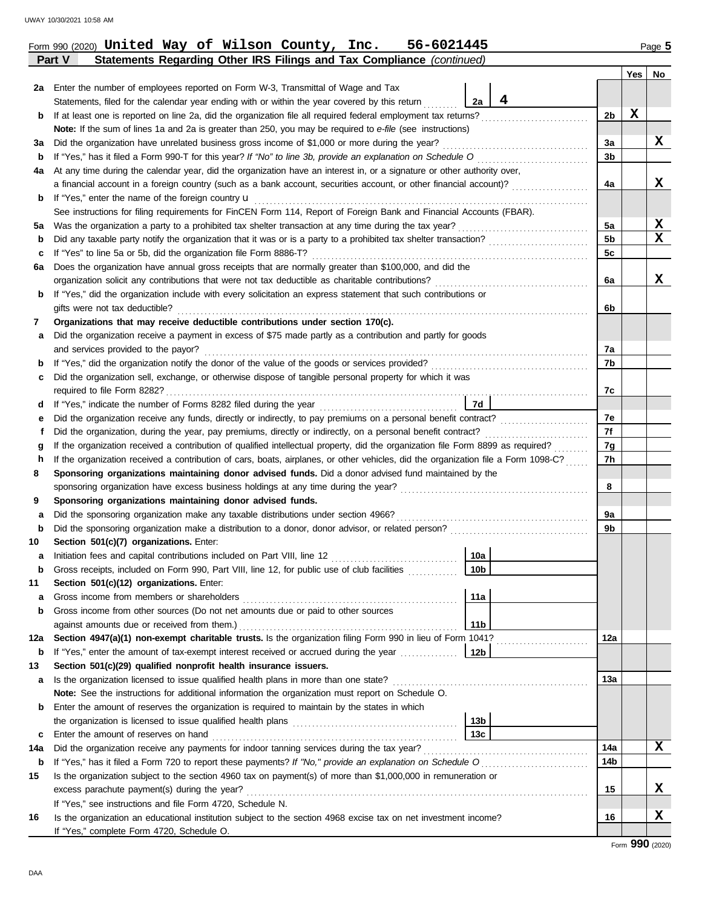| 2a  | Enter the number of employees reported on Form W-3, Transmittal of Wage and Tax                                                       |                 |   |                |   |                 |  |
|-----|---------------------------------------------------------------------------------------------------------------------------------------|-----------------|---|----------------|---|-----------------|--|
|     | Statements, filed for the calendar year ending with or within the year covered by this return                                         | 2a              | 4 |                |   |                 |  |
| b   | If at least one is reported on line 2a, did the organization file all required federal employment tax returns?                        |                 |   | 2b             | х |                 |  |
|     | Note: If the sum of lines 1a and 2a is greater than 250, you may be required to e-file (see instructions)                             |                 |   |                |   |                 |  |
| За  | Did the organization have unrelated business gross income of \$1,000 or more during the year?                                         |                 |   |                |   |                 |  |
| b   | If "Yes," has it filed a Form 990-T for this year? If "No" to line 3b, provide an explanation on Schedule O consequences consequences |                 |   |                |   |                 |  |
| 4a  | At any time during the calendar year, did the organization have an interest in, or a signature or other authority over,               |                 |   |                |   |                 |  |
|     | a financial account in a foreign country (such as a bank account, securities account, or other financial account)?                    |                 |   |                |   |                 |  |
| b   | If "Yes," enter the name of the foreign country $\mathbf u$                                                                           |                 |   |                |   |                 |  |
|     | See instructions for filing requirements for FinCEN Form 114, Report of Foreign Bank and Financial Accounts (FBAR).                   |                 |   |                |   |                 |  |
| 5a  | Was the organization a party to a prohibited tax shelter transaction at any time during the tax year?                                 |                 |   | 5a             |   | X               |  |
| b   |                                                                                                                                       |                 |   | 5 <sub>b</sub> |   | X               |  |
| c   | If "Yes" to line 5a or 5b, did the organization file Form 8886-T?                                                                     |                 |   | 5c             |   |                 |  |
| 6a  | Does the organization have annual gross receipts that are normally greater than \$100,000, and did the                                |                 |   |                |   |                 |  |
|     | organization solicit any contributions that were not tax deductible as charitable contributions?                                      |                 |   | 6a             |   | x               |  |
| b   | If "Yes," did the organization include with every solicitation an express statement that such contributions or                        |                 |   |                |   |                 |  |
|     | gifts were not tax deductible?                                                                                                        |                 |   | 6b             |   |                 |  |
| 7   | Organizations that may receive deductible contributions under section 170(c).                                                         |                 |   |                |   |                 |  |
| а   | Did the organization receive a payment in excess of \$75 made partly as a contribution and partly for goods                           |                 |   |                |   |                 |  |
|     | and services provided to the payor?                                                                                                   |                 |   | 7a             |   |                 |  |
| b   |                                                                                                                                       |                 |   | 7b             |   |                 |  |
| c   | Did the organization sell, exchange, or otherwise dispose of tangible personal property for which it was                              |                 |   |                |   |                 |  |
|     |                                                                                                                                       |                 |   | 7c             |   |                 |  |
| d   |                                                                                                                                       | 7d              |   |                |   |                 |  |
| е   |                                                                                                                                       |                 |   | 7е             |   |                 |  |
|     | Did the organization, during the year, pay premiums, directly or indirectly, on a personal benefit contract?                          |                 |   | 7f             |   |                 |  |
| g   | If the organization received a contribution of qualified intellectual property, did the organization file Form 8899 as required?      |                 |   | 7g             |   |                 |  |
| h   | If the organization received a contribution of cars, boats, airplanes, or other vehicles, did the organization file a Form 1098-C?    |                 |   | 7h             |   |                 |  |
| 8   | Sponsoring organizations maintaining donor advised funds. Did a donor advised fund maintained by the                                  |                 |   |                |   |                 |  |
|     | sponsoring organization have excess business holdings at any time during the year?                                                    |                 |   | 8              |   |                 |  |
| 9   | Sponsoring organizations maintaining donor advised funds.                                                                             |                 |   |                |   |                 |  |
| а   | Did the sponsoring organization make any taxable distributions under section 4966?                                                    |                 |   | 9a             |   |                 |  |
| b   |                                                                                                                                       |                 |   | 9b             |   |                 |  |
| 10  | Section 501(c)(7) organizations. Enter:                                                                                               |                 |   |                |   |                 |  |
| а   | Initiation fees and capital contributions included on Part VIII, line 12                                                              | 10a             |   |                |   |                 |  |
| b   | Gross receipts, included on Form 990, Part VIII, line 12, for public use of club facilities                                           | 10 <sub>b</sub> |   |                |   |                 |  |
| 11  | Section 501(c)(12) organizations. Enter:                                                                                              |                 |   |                |   |                 |  |
| а   | Gross income from members or shareholders                                                                                             | 11a             |   |                |   |                 |  |
| b   | Gross income from other sources (Do not net amounts due or paid to other sources                                                      |                 |   |                |   |                 |  |
|     | against amounts due or received from them.)                                                                                           | 11 <sub>b</sub> |   |                |   |                 |  |
| 12a | Section 4947(a)(1) non-exempt charitable trusts. Is the organization filing Form 990 in lieu of Form 1041?                            |                 |   | 12a            |   |                 |  |
| b   | If "Yes," enter the amount of tax-exempt interest received or accrued during the year                                                 | 12b             |   |                |   |                 |  |
| 13  | Section 501(c)(29) qualified nonprofit health insurance issuers.                                                                      |                 |   |                |   |                 |  |
| a   | Is the organization licensed to issue qualified health plans in more than one state?                                                  |                 |   | 13а            |   |                 |  |
|     | Note: See the instructions for additional information the organization must report on Schedule O.                                     |                 |   |                |   |                 |  |
| b   | Enter the amount of reserves the organization is required to maintain by the states in which                                          |                 |   |                |   |                 |  |
|     |                                                                                                                                       | 13 <sub>b</sub> |   |                |   |                 |  |
| с   | Enter the amount of reserves on hand                                                                                                  | 13c             |   |                |   |                 |  |
| 14a | Did the organization receive any payments for indoor tanning services during the tax year?                                            |                 |   | 14a            |   | x               |  |
| b   |                                                                                                                                       |                 |   | 14b            |   |                 |  |
| 15  | Is the organization subject to the section 4960 tax on payment(s) of more than \$1,000,000 in remuneration or                         |                 |   |                |   |                 |  |
|     | excess parachute payment(s) during the year?                                                                                          |                 |   | 15             |   | x               |  |
|     | If "Yes," see instructions and file Form 4720, Schedule N.                                                                            |                 |   |                |   | x               |  |
| 16  | Is the organization an educational institution subject to the section 4968 excise tax on net investment income?                       |                 |   | 16             |   |                 |  |
|     | If "Yes," complete Form 4720, Schedule O.                                                                                             |                 |   |                |   | Form 990 (2020) |  |

**Yes No**

**Part V Statements Regarding Other IRS Filings and Tax Compliance** *(continued)* Form 990 (2020) Page **5 United Way of Wilson County, Inc. 56-6021445**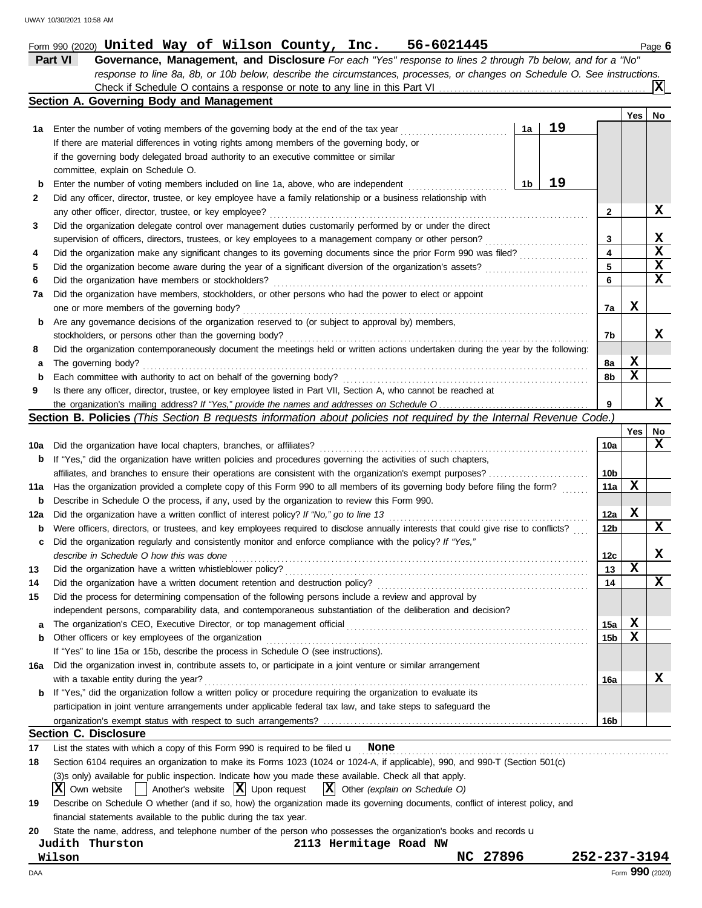|          | 56-6021445<br>Form 990 (2020) ${\tt United~ Way~of~Wilson~Country,~Inc.}$                                                           |                 |     | Page 6      |
|----------|-------------------------------------------------------------------------------------------------------------------------------------|-----------------|-----|-------------|
|          | Part VI<br>Governance, Management, and Disclosure For each "Yes" response to lines 2 through 7b below, and for a "No"               |                 |     |             |
|          | response to line 8a, 8b, or 10b below, describe the circumstances, processes, or changes on Schedule O. See instructions.           |                 |     |             |
|          |                                                                                                                                     |                 |     | IХ          |
|          | Section A. Governing Body and Management                                                                                            |                 |     |             |
|          |                                                                                                                                     |                 | Yes | No          |
| 1а       | 19<br>1a<br>Enter the number of voting members of the governing body at the end of the tax year                                     |                 |     |             |
|          | If there are material differences in voting rights among members of the governing body, or                                          |                 |     |             |
|          | if the governing body delegated broad authority to an executive committee or similar                                                |                 |     |             |
|          | committee, explain on Schedule O.                                                                                                   |                 |     |             |
| b        | 19<br>1b<br>Enter the number of voting members included on line 1a, above, who are independent                                      |                 |     |             |
| 2        | Did any officer, director, trustee, or key employee have a family relationship or a business relationship with                      |                 |     |             |
|          | any other officer, director, trustee, or key employee?                                                                              | $\mathbf{2}$    |     | X           |
| 3        | Did the organization delegate control over management duties customarily performed by or under the direct                           |                 |     |             |
|          | supervision of officers, directors, trustees, or key employees to a management company or other person?                             | 3               |     | X           |
| 4        | Did the organization make any significant changes to its governing documents since the prior Form 990 was filed?                    | 4               |     | $\mathbf x$ |
| 5        | Did the organization become aware during the year of a significant diversion of the organization's assets?                          | 5               |     | X           |
| 6        | Did the organization have members or stockholders?                                                                                  | 6               |     | $\mathbf x$ |
|          | Did the organization have members, stockholders, or other persons who had the power to elect or appoint                             |                 |     |             |
| 7a       |                                                                                                                                     |                 | X   |             |
|          | one or more members of the governing body?                                                                                          | 7a              |     |             |
| b        | Are any governance decisions of the organization reserved to (or subject to approval by) members,                                   |                 |     |             |
|          | stockholders, or persons other than the governing body?                                                                             | 7b              |     | x           |
| 8        | Did the organization contemporaneously document the meetings held or written actions undertaken during the year by the following:   |                 |     |             |
| а        | The governing body?                                                                                                                 | 8а              | X   |             |
| b        | Each committee with authority to act on behalf of the governing body?                                                               | 8b              | x   |             |
| 9        | Is there any officer, director, trustee, or key employee listed in Part VII, Section A, who cannot be reached at                    |                 |     |             |
|          |                                                                                                                                     | 9               |     | X           |
|          | <b>Section B. Policies</b> (This Section B requests information about policies not required by the Internal Revenue Code.)          |                 |     |             |
|          |                                                                                                                                     |                 | Yes | No          |
| 10a      | Did the organization have local chapters, branches, or affiliates?                                                                  | 10a             |     | x           |
| b        | If "Yes," did the organization have written policies and procedures governing the activities of such chapters,                      |                 |     |             |
|          | affiliates, and branches to ensure their operations are consistent with the organization's exempt purposes?                         | 10b             |     |             |
| 11a      | Has the organization provided a complete copy of this Form 990 to all members of its governing body before filing the form?         | 11a             | X   |             |
| b        | Describe in Schedule O the process, if any, used by the organization to review this Form 990.                                       |                 |     |             |
| 12a      | Did the organization have a written conflict of interest policy? If "No," go to line 13                                             | 12a             | X   |             |
| b        | Were officers, directors, or trustees, and key employees required to disclose annually interests that could give rise to conflicts? | 12b             |     | X           |
| с        | Did the organization regularly and consistently monitor and enforce compliance with the policy? If "Yes,"                           |                 |     |             |
|          | describe in Schedule O how this was done                                                                                            | 12 <sub>c</sub> |     | X           |
| 13       | Did the organization have a written whistleblower policy?                                                                           | 13              | X   |             |
|          | Did the organization have a written document retention and destruction policy?                                                      | 14              |     | x           |
| 14<br>15 | Did the process for determining compensation of the following persons include a review and approval by                              |                 |     |             |
|          |                                                                                                                                     |                 |     |             |
|          | independent persons, comparability data, and contemporaneous substantiation of the deliberation and decision?                       |                 |     |             |
| a        | The organization's CEO, Executive Director, or top management official                                                              | 15a             | X   |             |
| b        | Other officers or key employees of the organization                                                                                 | 15 <sub>b</sub> | X   |             |
|          | If "Yes" to line 15a or 15b, describe the process in Schedule O (see instructions).                                                 |                 |     |             |
| 16a      | Did the organization invest in, contribute assets to, or participate in a joint venture or similar arrangement                      |                 |     |             |
|          | with a taxable entity during the year?                                                                                              | 16a             |     | X           |
| b        | If "Yes," did the organization follow a written policy or procedure requiring the organization to evaluate its                      |                 |     |             |
|          | participation in joint venture arrangements under applicable federal tax law, and take steps to safeguard the                       |                 |     |             |
|          |                                                                                                                                     | 16b             |     |             |
|          | <b>Section C. Disclosure</b>                                                                                                        |                 |     |             |
| 17       | List the states with which a copy of this Form 990 is required to be filed $\mathbf u$ None                                         |                 |     |             |
| 18       | Section 6104 requires an organization to make its Forms 1023 (1024 or 1024-A, if applicable), 990, and 990-T (Section 501(c)        |                 |     |             |
|          | (3)s only) available for public inspection. Indicate how you made these available. Check all that apply.                            |                 |     |             |
|          | Another's website $ \mathbf{X} $ Upon request<br>$ X $ Other (explain on Schedule O)<br>IХI<br>Own website                          |                 |     |             |
| 19       | Describe on Schedule O whether (and if so, how) the organization made its governing documents, conflict of interest policy, and     |                 |     |             |
|          | financial statements available to the public during the tax year.                                                                   |                 |     |             |
| 20       | State the name, address, and telephone number of the person who possesses the organization's books and records u                    |                 |     |             |
|          | 2113 Hermitage Road NW<br>Judith Thurston                                                                                           |                 |     |             |
|          | NC 27896<br>Wilson                                                                                                                  | 252-237-3194    |     |             |
|          |                                                                                                                                     |                 |     |             |

DAA Form **990** (2020)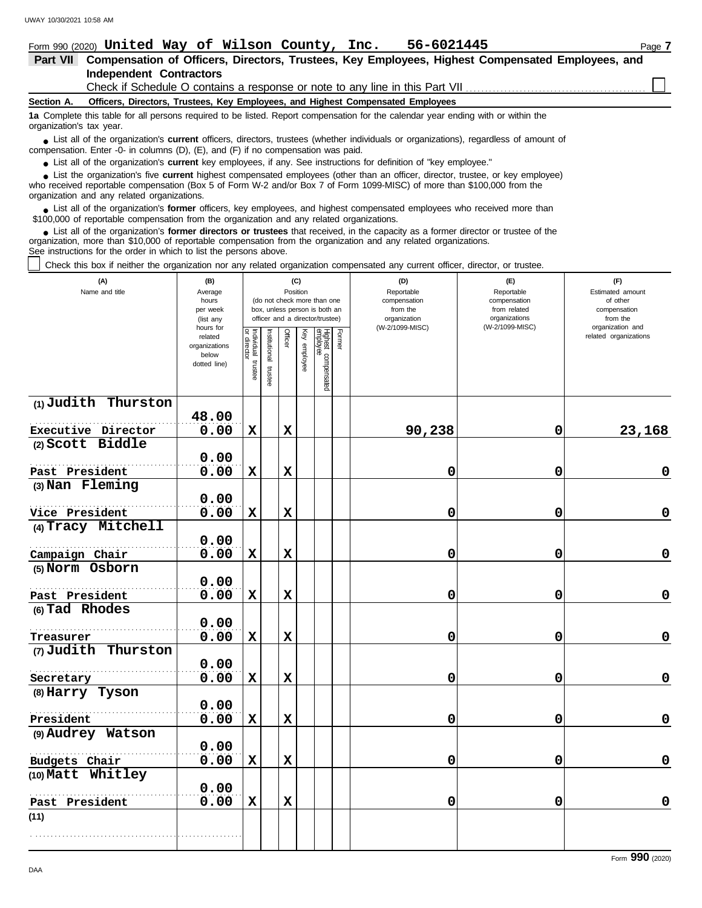|                          | Form 990 (2020) United Way of Wilson County, Inc.<br>56-6021445                                                                                                                                                                                                                                            | Page 7 |
|--------------------------|------------------------------------------------------------------------------------------------------------------------------------------------------------------------------------------------------------------------------------------------------------------------------------------------------------|--------|
| <b>Part VII</b>          | Compensation of Officers, Directors, Trustees, Key Employees, Highest Compensated Employees, and                                                                                                                                                                                                           |        |
|                          | <b>Independent Contractors</b>                                                                                                                                                                                                                                                                             |        |
|                          | Check if Schedule O contains a response or note to any line in this Part VII                                                                                                                                                                                                                               |        |
| Section A.               | Officers, Directors, Trustees, Key Employees, and Highest Compensated Employees                                                                                                                                                                                                                            |        |
| organization's tax year. | 1a Complete this table for all persons required to be listed. Report compensation for the calendar year ending with or within the                                                                                                                                                                          |        |
|                          | • List all of the organization's <b>current</b> officers, directors, trustees (whether individuals or organizations), regardless of amount of<br>compensation. Enter -0- in columns $(D)$ , $(E)$ , and $(F)$ if no compensation was paid.                                                                 |        |
|                          | • List all of the organization's current key employees, if any. See instructions for definition of "key employee."                                                                                                                                                                                         |        |
|                          | • List the organization's five current highest compensated employees (other than an officer, director, trustee, or key employee)<br>who received reportable compensation (Box 5 of Form W-2 and/or Box 7 of Form 1099-MISC) of more than \$100,000 from the<br>organization and any related organizations. |        |

List all of the organization's **former** officers, key employees, and highest compensated employees who received more than • List all of the organization's **former** officers, key employees, and highest compensate \$100,000 of reportable compensation from the organization and any related organizations.

List all of the organization's **former directors or trustees** that received, in the capacity as a former director or trustee of the organization, more than \$10,000 of reportable compensation from the organization and any related organizations. See instructions for the order in which to list the persons above. **•**

Check this box if neither the organization nor any related organization compensated any current officer, director, or trustee.

| (A)<br>Name and title | (B)<br>Average<br>hours<br>per week<br>(list any<br>hours for |                                   |                       |             | (C)<br>Position | (do not check more than one<br>box, unless person is both an<br>officer and a director/trustee) |        | (D)<br>Reportable<br>compensation<br>from the<br>organization<br>(W-2/1099-MISC) | (E)<br>Reportable<br>compensation<br>from related<br>organizations<br>(W-2/1099-MISC) | (F)<br>Estimated amount<br>of other<br>compensation<br>from the<br>organization and |
|-----------------------|---------------------------------------------------------------|-----------------------------------|-----------------------|-------------|-----------------|-------------------------------------------------------------------------------------------------|--------|----------------------------------------------------------------------------------|---------------------------------------------------------------------------------------|-------------------------------------------------------------------------------------|
|                       | related<br>organizations<br>below<br>dotted line)             | Individual trustee<br>or director | Institutional trustee | Officer     | Key employee    | Highest compensated<br>employee                                                                 | Former |                                                                                  |                                                                                       | related organizations                                                               |
| (1) Judith Thurston   | 48.00                                                         |                                   |                       |             |                 |                                                                                                 |        |                                                                                  |                                                                                       |                                                                                     |
| Executive Director    | 0.00                                                          | $\mathbf x$                       |                       | $\mathbf x$ |                 |                                                                                                 |        | 90,238                                                                           | 0                                                                                     | 23,168                                                                              |
| (2) Scott Biddle      | 0.00                                                          |                                   |                       |             |                 |                                                                                                 |        |                                                                                  |                                                                                       |                                                                                     |
| Past President        | 0.00                                                          | $\mathbf x$                       |                       | $\mathbf x$ |                 |                                                                                                 |        | 0                                                                                | 0                                                                                     | $\mathbf 0$                                                                         |
| (3) Nan Fleming       | 0.00                                                          |                                   |                       |             |                 |                                                                                                 |        |                                                                                  |                                                                                       |                                                                                     |
| Vice President        | 0.00                                                          | $\mathbf x$                       |                       | $\mathbf x$ |                 |                                                                                                 |        | 0                                                                                | 0                                                                                     | $\mathbf 0$                                                                         |
| (4) Tracy Mitchell    |                                                               |                                   |                       |             |                 |                                                                                                 |        |                                                                                  |                                                                                       |                                                                                     |
|                       | 0.00                                                          |                                   |                       |             |                 |                                                                                                 |        |                                                                                  |                                                                                       |                                                                                     |
| Campaign Chair        | 0.00                                                          | $\mathbf x$                       |                       | $\mathbf x$ |                 |                                                                                                 |        | 0                                                                                | $\mathbf 0$                                                                           | $\mathbf 0$                                                                         |
| (5) Norm Osborn       | 0.00                                                          |                                   |                       |             |                 |                                                                                                 |        |                                                                                  |                                                                                       |                                                                                     |
| Past President        | 0.00                                                          | $\mathbf x$                       |                       | $\mathbf x$ |                 |                                                                                                 |        | 0                                                                                | 0                                                                                     | $\pmb{0}$                                                                           |
| (6) Tad Rhodes        | 0.00                                                          |                                   |                       |             |                 |                                                                                                 |        |                                                                                  |                                                                                       |                                                                                     |
| Treasurer             | 0.00                                                          | $\mathbf x$                       |                       | $\mathbf x$ |                 |                                                                                                 |        | 0                                                                                | 0                                                                                     | $\mathbf 0$                                                                         |
| (7) Judith Thurston   |                                                               |                                   |                       |             |                 |                                                                                                 |        |                                                                                  |                                                                                       |                                                                                     |
|                       | 0.00                                                          |                                   |                       |             |                 |                                                                                                 |        |                                                                                  |                                                                                       |                                                                                     |
| Secretary             | 0.00                                                          | $\mathbf x$                       |                       | $\mathbf x$ |                 |                                                                                                 |        | 0                                                                                | 0                                                                                     | 0                                                                                   |
| (8) Harry Tyson       | 0.00                                                          |                                   |                       |             |                 |                                                                                                 |        |                                                                                  |                                                                                       |                                                                                     |
| President             | 0.00                                                          | $\mathbf x$                       |                       | $\mathbf x$ |                 |                                                                                                 |        | 0                                                                                | 0                                                                                     | $\pmb{0}$                                                                           |
| (9) Audrey Watson     | 0.00                                                          |                                   |                       |             |                 |                                                                                                 |        |                                                                                  |                                                                                       |                                                                                     |
| Budgets Chair         | 0.00                                                          | $\mathbf x$                       |                       | $\mathbf x$ |                 |                                                                                                 |        | 0                                                                                | 0                                                                                     | $\mathbf 0$                                                                         |
| (10) Matt Whitley     |                                                               |                                   |                       |             |                 |                                                                                                 |        |                                                                                  |                                                                                       |                                                                                     |
|                       | 0.00                                                          |                                   |                       |             |                 |                                                                                                 |        |                                                                                  |                                                                                       |                                                                                     |
| Past President        | 0.00                                                          | $\mathbf x$                       |                       | $\mathbf x$ |                 |                                                                                                 |        | 0                                                                                | 0                                                                                     | 0                                                                                   |
| (11)                  |                                                               |                                   |                       |             |                 |                                                                                                 |        |                                                                                  |                                                                                       |                                                                                     |
|                       |                                                               |                                   |                       |             |                 |                                                                                                 |        |                                                                                  |                                                                                       |                                                                                     |

Form **990** (2020)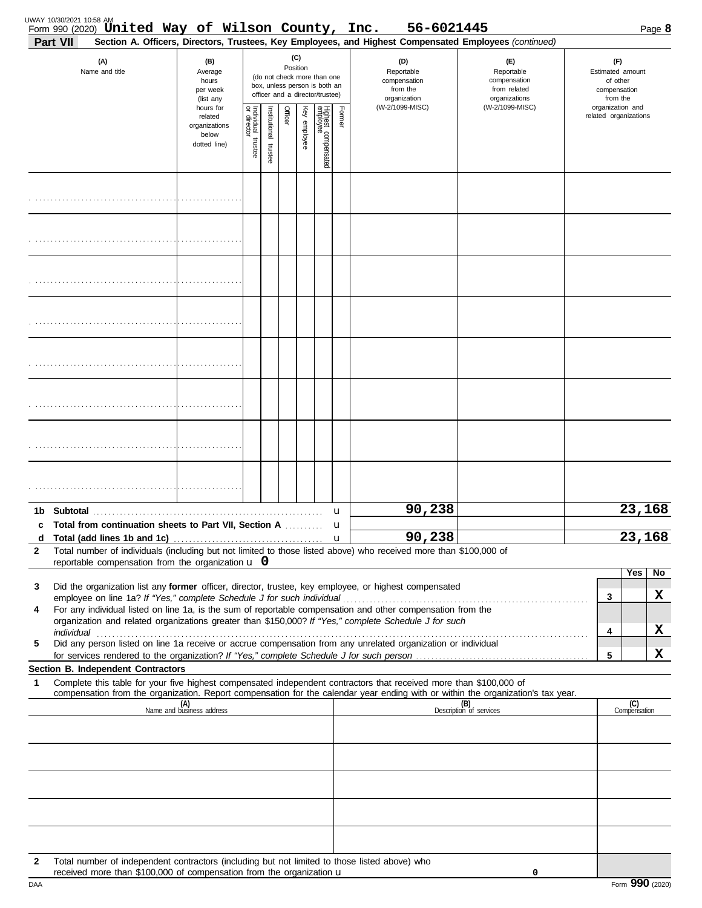| Part VII     | Form 990 (2020) United Way of Wilson County, Inc.                                                                                                                               |                                                                |                         |                       |         |                 |                                                                                                 |        | 56-6021445<br>Section A. Officers, Directors, Trustees, Key Employees, and Highest Compensated Employees (continued)        |                                                                                                                                  |                                                                 | Page 8              |
|--------------|---------------------------------------------------------------------------------------------------------------------------------------------------------------------------------|----------------------------------------------------------------|-------------------------|-----------------------|---------|-----------------|-------------------------------------------------------------------------------------------------|--------|-----------------------------------------------------------------------------------------------------------------------------|----------------------------------------------------------------------------------------------------------------------------------|-----------------------------------------------------------------|---------------------|
|              | (A)<br>Name and title                                                                                                                                                           | (B)<br>Average<br>hours<br>per week<br>(list any               |                         |                       |         | (C)<br>Position | (do not check more than one<br>box, unless person is both an<br>officer and a director/trustee) |        | (D)<br>Reportable<br>compensation<br>from the<br>organization                                                               | (E)<br>Reportable<br>compensation<br>from related<br>organizations                                                               | (F)<br>Estimated amount<br>of other<br>compensation<br>from the |                     |
|              |                                                                                                                                                                                 | hours for<br>related<br>organizations<br>below<br>dotted line) | Individual 1<br>trustee | Institutional trustee | Officer | Key employee    | Highest compensated<br>employee                                                                 | Former | (W-2/1099-MISC)                                                                                                             | (W-2/1099-MISC)                                                                                                                  | organization and<br>related organizations                       |                     |
|              |                                                                                                                                                                                 |                                                                |                         |                       |         |                 |                                                                                                 |        |                                                                                                                             |                                                                                                                                  |                                                                 |                     |
|              |                                                                                                                                                                                 |                                                                |                         |                       |         |                 |                                                                                                 |        |                                                                                                                             |                                                                                                                                  |                                                                 |                     |
|              |                                                                                                                                                                                 |                                                                |                         |                       |         |                 |                                                                                                 |        |                                                                                                                             |                                                                                                                                  |                                                                 |                     |
|              |                                                                                                                                                                                 |                                                                |                         |                       |         |                 |                                                                                                 |        |                                                                                                                             |                                                                                                                                  |                                                                 |                     |
|              |                                                                                                                                                                                 |                                                                |                         |                       |         |                 |                                                                                                 |        |                                                                                                                             |                                                                                                                                  |                                                                 |                     |
|              |                                                                                                                                                                                 |                                                                |                         |                       |         |                 |                                                                                                 |        |                                                                                                                             |                                                                                                                                  |                                                                 |                     |
|              |                                                                                                                                                                                 |                                                                |                         |                       |         |                 |                                                                                                 |        |                                                                                                                             |                                                                                                                                  |                                                                 |                     |
|              |                                                                                                                                                                                 |                                                                |                         |                       |         |                 |                                                                                                 |        |                                                                                                                             |                                                                                                                                  |                                                                 |                     |
|              | c Total from continuation sheets to Part VII, Section A                                                                                                                         |                                                                |                         |                       |         |                 |                                                                                                 | u<br>u | 90,238                                                                                                                      |                                                                                                                                  |                                                                 | 23,168              |
| d            |                                                                                                                                                                                 |                                                                |                         |                       |         |                 |                                                                                                 |        | 90,238<br>Total number of individuals (including but not limited to those listed above) who received more than \$100,000 of |                                                                                                                                  |                                                                 | 23,168              |
| 2            | reportable compensation from the organization $\bf{u}$ 0                                                                                                                        |                                                                |                         |                       |         |                 |                                                                                                 |        |                                                                                                                             |                                                                                                                                  |                                                                 |                     |
| 3            |                                                                                                                                                                                 |                                                                |                         |                       |         |                 |                                                                                                 |        | Did the organization list any former officer, director, trustee, key employee, or highest compensated                       |                                                                                                                                  |                                                                 | Yes  <br>No         |
| 4            |                                                                                                                                                                                 |                                                                |                         |                       |         |                 |                                                                                                 |        | For any individual listed on line 1a, is the sum of reportable compensation and other compensation from the                 |                                                                                                                                  | 3                                                               | X                   |
|              |                                                                                                                                                                                 |                                                                |                         |                       |         |                 |                                                                                                 |        | organization and related organizations greater than \$150,000? If "Yes," complete Schedule J for such                       |                                                                                                                                  | 4                                                               | X                   |
| 5            |                                                                                                                                                                                 |                                                                |                         |                       |         |                 |                                                                                                 |        | Did any person listed on line 1a receive or accrue compensation from any unrelated organization or individual               |                                                                                                                                  | 5                                                               | X                   |
|              | Section B. Independent Contractors                                                                                                                                              |                                                                |                         |                       |         |                 |                                                                                                 |        |                                                                                                                             |                                                                                                                                  |                                                                 |                     |
| 1            |                                                                                                                                                                                 |                                                                |                         |                       |         |                 |                                                                                                 |        | Complete this table for your five highest compensated independent contractors that received more than \$100,000 of          | compensation from the organization. Report compensation for the calendar year ending with or within the organization's tax year. |                                                                 |                     |
|              |                                                                                                                                                                                 | (A)<br>Name and business address                               |                         |                       |         |                 |                                                                                                 |        |                                                                                                                             | (B)<br>Description of services                                                                                                   |                                                                 | (C)<br>Compensation |
|              |                                                                                                                                                                                 |                                                                |                         |                       |         |                 |                                                                                                 |        |                                                                                                                             |                                                                                                                                  |                                                                 |                     |
|              |                                                                                                                                                                                 |                                                                |                         |                       |         |                 |                                                                                                 |        |                                                                                                                             |                                                                                                                                  |                                                                 |                     |
|              |                                                                                                                                                                                 |                                                                |                         |                       |         |                 |                                                                                                 |        |                                                                                                                             |                                                                                                                                  |                                                                 |                     |
| $\mathbf{2}$ | Total number of independent contractors (including but not limited to those listed above) who<br>received more than \$100,000 of compensation from the organization $\mathbf u$ |                                                                |                         |                       |         |                 |                                                                                                 |        |                                                                                                                             | 0                                                                                                                                |                                                                 |                     |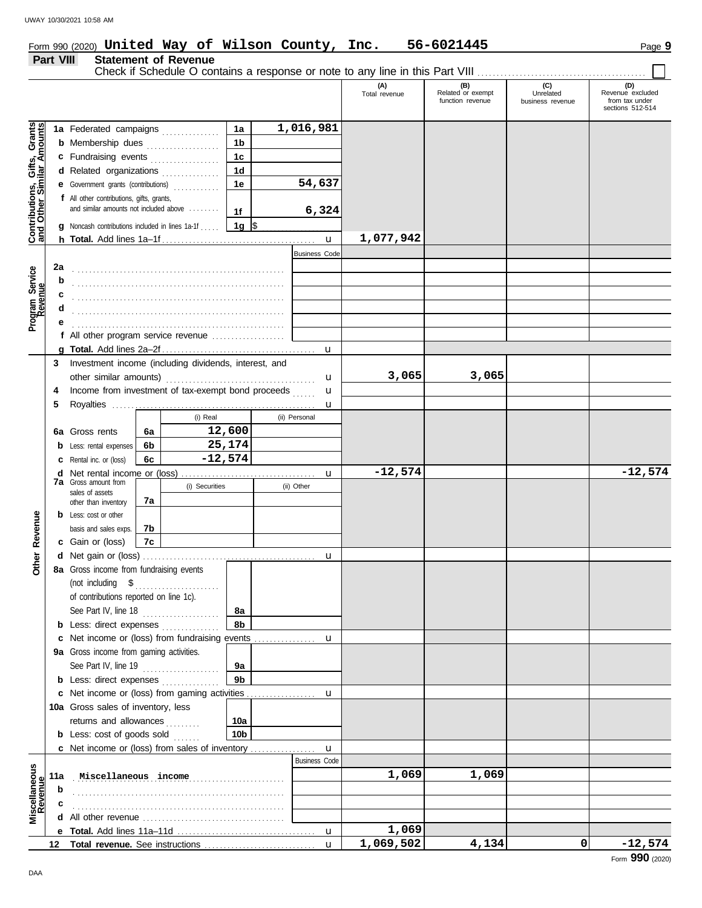# Form 990 (2020) Page **9 United Way of Wilson County, Inc. 56-6021445**

Statement of Revenue<br>Check if Schedule O contains a response or note to any line in this Part VIII ................................

|                                                           |                  |                                                           |                 |               |                      | (A)<br>Total revenue | (B)<br>Related or exempt<br>function revenue | (C)<br>Unrelated<br>business revenue | (D)<br>Revenue excluded<br>from tax under |
|-----------------------------------------------------------|------------------|-----------------------------------------------------------|-----------------|---------------|----------------------|----------------------|----------------------------------------------|--------------------------------------|-------------------------------------------|
|                                                           |                  |                                                           |                 |               |                      |                      |                                              |                                      | sections 512-514                          |
|                                                           |                  | 1a Federated campaigns                                    | 1a              |               | 1,016,981            |                      |                                              |                                      |                                           |
| Contributions, Gifts, Grants<br>and Other Similar Amounts |                  | <b>b</b> Membership dues                                  | 1 <sub>b</sub>  |               |                      |                      |                                              |                                      |                                           |
|                                                           |                  | c Fundraising events                                      | 1 <sub>c</sub>  |               |                      |                      |                                              |                                      |                                           |
|                                                           |                  | d Related organizations                                   | 1 <sub>d</sub>  |               |                      |                      |                                              |                                      |                                           |
|                                                           | е                | Government grants (contributions)                         | 1e              |               | 54,637               |                      |                                              |                                      |                                           |
|                                                           |                  | f All other contributions, gifts, grants,                 |                 |               |                      |                      |                                              |                                      |                                           |
|                                                           |                  | and similar amounts not included above                    | 1f              |               | 6,324                |                      |                                              |                                      |                                           |
|                                                           |                  | <b>g</b> Noncash contributions included in lines 1a-1f    | 1g $\sqrt{3}$   |               |                      |                      |                                              |                                      |                                           |
|                                                           |                  |                                                           |                 |               |                      | 1,077,942            |                                              |                                      |                                           |
|                                                           |                  |                                                           |                 |               |                      |                      |                                              |                                      |                                           |
|                                                           |                  |                                                           |                 |               | <b>Business Code</b> |                      |                                              |                                      |                                           |
|                                                           | 2a               |                                                           |                 |               |                      |                      |                                              |                                      |                                           |
|                                                           | b                |                                                           |                 |               |                      |                      |                                              |                                      |                                           |
|                                                           | c                |                                                           |                 |               |                      |                      |                                              |                                      |                                           |
| Program Service<br>Revenue                                |                  |                                                           |                 |               |                      |                      |                                              |                                      |                                           |
|                                                           |                  |                                                           |                 |               |                      |                      |                                              |                                      |                                           |
|                                                           |                  | f All other program service revenue                       |                 |               |                      |                      |                                              |                                      |                                           |
|                                                           |                  |                                                           |                 |               | $\mathbf u$          |                      |                                              |                                      |                                           |
|                                                           | 3                | Investment income (including dividends, interest, and     |                 |               |                      |                      |                                              |                                      |                                           |
|                                                           |                  |                                                           |                 |               | u                    | 3,065                | 3,065                                        |                                      |                                           |
|                                                           | 4                | Income from investment of tax-exempt bond proceeds        |                 |               | u                    |                      |                                              |                                      |                                           |
|                                                           | 5                |                                                           |                 |               | u                    |                      |                                              |                                      |                                           |
|                                                           |                  | (i) Real                                                  |                 | (ii) Personal |                      |                      |                                              |                                      |                                           |
|                                                           | 6a               | Gross rents<br>6а                                         | 12,600          |               |                      |                      |                                              |                                      |                                           |
|                                                           | b                | 6b<br>Less: rental expenses                               | 25,174          |               |                      |                      |                                              |                                      |                                           |
|                                                           | с                | $-12,574$<br>6c<br>Rental inc. or (loss)                  |                 |               |                      |                      |                                              |                                      |                                           |
|                                                           | d                |                                                           |                 |               | u                    | $-12,574$            |                                              |                                      | $-12,574$                                 |
|                                                           |                  | 7a Gross amount from<br>(i) Securities<br>sales of assets |                 | (ii) Other    |                      |                      |                                              |                                      |                                           |
|                                                           |                  | 7a<br>other than inventory                                |                 |               |                      |                      |                                              |                                      |                                           |
|                                                           |                  | <b>b</b> Less: cost or other                              |                 |               |                      |                      |                                              |                                      |                                           |
| Revenue                                                   |                  | basis and sales exps.<br>7b                               |                 |               |                      |                      |                                              |                                      |                                           |
|                                                           |                  | c Gain or (loss)<br>7с                                    |                 |               |                      |                      |                                              |                                      |                                           |
| Other                                                     | d                |                                                           |                 |               | u                    |                      |                                              |                                      |                                           |
|                                                           |                  | 8a Gross income from fundraising events                   |                 |               |                      |                      |                                              |                                      |                                           |
|                                                           |                  | (not including \$                                         |                 |               |                      |                      |                                              |                                      |                                           |
|                                                           |                  | of contributions reported on line 1c).                    |                 |               |                      |                      |                                              |                                      |                                           |
|                                                           |                  | See Part IV, line 18                                      | 8a              |               |                      |                      |                                              |                                      |                                           |
|                                                           |                  | <b>b</b> Less: direct expenses                            | 8b              |               |                      |                      |                                              |                                      |                                           |
|                                                           | c                | Net income or (loss) from fundraising events              |                 |               | u                    |                      |                                              |                                      |                                           |
|                                                           |                  | 9a Gross income from gaming activities.                   |                 |               |                      |                      |                                              |                                      |                                           |
|                                                           |                  | See Part IV, line 19<br>.                                 | 9a              |               |                      |                      |                                              |                                      |                                           |
|                                                           |                  | <b>b</b> Less: direct expenses <i>minimum</i>             | 9 <sub>b</sub>  |               |                      |                      |                                              |                                      |                                           |
|                                                           | c                | Net income or (loss) from gaming activities               |                 |               | u                    |                      |                                              |                                      |                                           |
|                                                           |                  | 10a Gross sales of inventory, less                        |                 |               |                      |                      |                                              |                                      |                                           |
|                                                           |                  | returns and allowances<br>a a a a a a                     | 10a             |               |                      |                      |                                              |                                      |                                           |
|                                                           |                  | <b>b</b> Less: cost of goods sold                         | 10 <sub>b</sub> |               |                      |                      |                                              |                                      |                                           |
|                                                           |                  | c Net income or (loss) from sales of inventory            |                 |               | u                    |                      |                                              |                                      |                                           |
|                                                           |                  |                                                           |                 |               | <b>Business Code</b> |                      |                                              |                                      |                                           |
| Miscellaneous<br>Revenue                                  | 11a              | Miscellaneous income                                      |                 |               |                      | 1,069                | 1,069                                        |                                      |                                           |
|                                                           | b                |                                                           |                 |               |                      |                      |                                              |                                      |                                           |
|                                                           |                  |                                                           |                 |               |                      |                      |                                              |                                      |                                           |
|                                                           | d                |                                                           |                 |               |                      |                      |                                              |                                      |                                           |
|                                                           |                  |                                                           |                 |               | $\mathbf u$          | 1,069                |                                              |                                      |                                           |
|                                                           | 12 <sup>12</sup> |                                                           |                 |               | $\mathbf{u}$         | 1,069,502            | 4,134                                        | 0                                    | $-12,574$                                 |
|                                                           |                  |                                                           |                 |               |                      |                      |                                              |                                      |                                           |

 $\Box$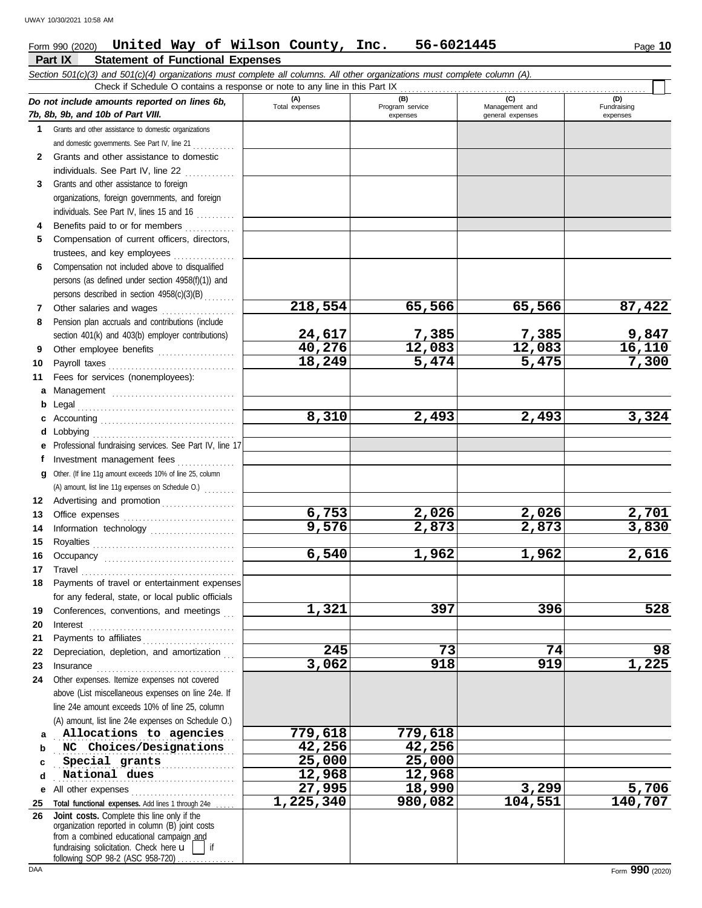**Part IX Statement of Functional Expenses**

#### Form 990 (2020) Page **10 United Way of Wilson County, Inc. 56-6021445**

|              | Section 501(c)(3) and 501(c)(4) organizations must complete all columns. All other organizations must complete column (A).<br>Check if Schedule O contains a response or note to any line in this Part IX                                                                                                                                                                                                                                                  |                       |                 |                  |                        |
|--------------|------------------------------------------------------------------------------------------------------------------------------------------------------------------------------------------------------------------------------------------------------------------------------------------------------------------------------------------------------------------------------------------------------------------------------------------------------------|-----------------------|-----------------|------------------|------------------------|
|              |                                                                                                                                                                                                                                                                                                                                                                                                                                                            |                       | (B)             | (C)              | (D)                    |
|              | Do not include amounts reported on lines 6b,                                                                                                                                                                                                                                                                                                                                                                                                               | (A)<br>Total expenses | Program service | Management and   | Fundraising            |
|              | 7b, 8b, 9b, and 10b of Part VIII.                                                                                                                                                                                                                                                                                                                                                                                                                          |                       | expenses        | general expenses | expenses               |
| $\mathbf 1$  | Grants and other assistance to domestic organizations                                                                                                                                                                                                                                                                                                                                                                                                      |                       |                 |                  |                        |
|              | and domestic governments. See Part IV, line 21                                                                                                                                                                                                                                                                                                                                                                                                             |                       |                 |                  |                        |
| $\mathbf{2}$ | Grants and other assistance to domestic                                                                                                                                                                                                                                                                                                                                                                                                                    |                       |                 |                  |                        |
|              | individuals. See Part IV, line 22                                                                                                                                                                                                                                                                                                                                                                                                                          |                       |                 |                  |                        |
| 3            | Grants and other assistance to foreign<br>organizations, foreign governments, and foreign                                                                                                                                                                                                                                                                                                                                                                  |                       |                 |                  |                        |
|              | individuals. See Part IV, lines 15 and 16                                                                                                                                                                                                                                                                                                                                                                                                                  |                       |                 |                  |                        |
|              | Benefits paid to or for members                                                                                                                                                                                                                                                                                                                                                                                                                            |                       |                 |                  |                        |
| 4<br>5       | Compensation of current officers, directors,                                                                                                                                                                                                                                                                                                                                                                                                               |                       |                 |                  |                        |
|              | trustees, and key employees                                                                                                                                                                                                                                                                                                                                                                                                                                |                       |                 |                  |                        |
| 6            | Compensation not included above to disqualified                                                                                                                                                                                                                                                                                                                                                                                                            |                       |                 |                  |                        |
|              | persons (as defined under section 4958(f)(1)) and                                                                                                                                                                                                                                                                                                                                                                                                          |                       |                 |                  |                        |
|              | persons described in section 4958(c)(3)(B)                                                                                                                                                                                                                                                                                                                                                                                                                 |                       |                 |                  |                        |
| 7            | Other salaries and wages                                                                                                                                                                                                                                                                                                                                                                                                                                   | 218,554               | 65,566          | 65,566           | 87,422                 |
| 8            | Pension plan accruals and contributions (include                                                                                                                                                                                                                                                                                                                                                                                                           |                       |                 |                  |                        |
|              | section 401(k) and 403(b) employer contributions)                                                                                                                                                                                                                                                                                                                                                                                                          | 24,617                | 7,385           | 7,385            |                        |
| 9            | Other employee benefits                                                                                                                                                                                                                                                                                                                                                                                                                                    | 40,276                | 12,083          | 12,083           | $\frac{9,847}{16,110}$ |
| 10           | Payroll taxes                                                                                                                                                                                                                                                                                                                                                                                                                                              | 18,249                | 5,474           | 5,475            | 7,300                  |
| 11           | Fees for services (nonemployees):                                                                                                                                                                                                                                                                                                                                                                                                                          |                       |                 |                  |                        |
| а            |                                                                                                                                                                                                                                                                                                                                                                                                                                                            |                       |                 |                  |                        |
| b            | Management                                                                                                                                                                                                                                                                                                                                                                                                                                                 |                       |                 |                  |                        |
|              |                                                                                                                                                                                                                                                                                                                                                                                                                                                            | 8,310                 | 2,493           | 2,493            | 3,324                  |
| d            | Lobbying                                                                                                                                                                                                                                                                                                                                                                                                                                                   |                       |                 |                  |                        |
|              | Professional fundraising services. See Part IV, line 17                                                                                                                                                                                                                                                                                                                                                                                                    |                       |                 |                  |                        |
| f            | Investment management fees                                                                                                                                                                                                                                                                                                                                                                                                                                 |                       |                 |                  |                        |
| g            | Other. (If line 11g amount exceeds 10% of line 25, column                                                                                                                                                                                                                                                                                                                                                                                                  |                       |                 |                  |                        |
|              | (A) amount, list line 11g expenses on Schedule O.)                                                                                                                                                                                                                                                                                                                                                                                                         |                       |                 |                  |                        |
| 12           | Advertising and promotion                                                                                                                                                                                                                                                                                                                                                                                                                                  |                       |                 |                  |                        |
| 13           |                                                                                                                                                                                                                                                                                                                                                                                                                                                            | 6,753                 | 2,026           | 2,026            | 2,701                  |
| 14           | Information technology                                                                                                                                                                                                                                                                                                                                                                                                                                     | 9,576                 | 2,873           | 2,873            | 3,830                  |
| 15           |                                                                                                                                                                                                                                                                                                                                                                                                                                                            |                       |                 |                  |                        |
| 16           |                                                                                                                                                                                                                                                                                                                                                                                                                                                            | 6,540                 | 1,962           | 1,962            | 2,616                  |
| 17           | $\begin{minipage}{0.5\textwidth} \centering \begin{tabular}{@{}c@{}} \textbf{True} & \textbf{True} \\ \textbf{True} & \textbf{True} \\ \textbf{True} & \textbf{True} \\ \end{tabular} \end{minipage}$                                                                                                                                                                                                                                                      |                       |                 |                  |                        |
| 18           | Payments of travel or entertainment expenses                                                                                                                                                                                                                                                                                                                                                                                                               |                       |                 |                  |                        |
|              | for any federal, state, or local public officials                                                                                                                                                                                                                                                                                                                                                                                                          |                       |                 |                  |                        |
| 19           | Conferences, conventions, and meetings                                                                                                                                                                                                                                                                                                                                                                                                                     | 1,321                 | 397             | 396              | 528                    |
| 20           | Interest                                                                                                                                                                                                                                                                                                                                                                                                                                                   |                       |                 |                  |                        |
| 21           | Payments to affiliates                                                                                                                                                                                                                                                                                                                                                                                                                                     |                       |                 |                  |                        |
| 22           | Depreciation, depletion, and amortization                                                                                                                                                                                                                                                                                                                                                                                                                  | 245                   | 73              | 74               | 98                     |
| 23           | $In surface \begin{tabular}{l} \hline \textbf{m} & \textbf{m} & \textbf{m} \\ \hline \textbf{m} & \textbf{m} & \textbf{m} \\ \hline \textbf{m} & \textbf{m} & \textbf{m} \\ \hline \textbf{m} & \textbf{m} & \textbf{m} \\ \hline \textbf{m} & \textbf{m} & \textbf{m} \\ \hline \textbf{m} & \textbf{m} & \textbf{m} \\ \hline \textbf{m} & \textbf{m} & \textbf{m} \\ \hline \textbf{m} & \textbf{m} & \textbf{m} \\ \hline \textbf{m} & \textbf{m} & \$ | 3,062                 | 918             | 919              | 1,225                  |
| 24           | Other expenses. Itemize expenses not covered                                                                                                                                                                                                                                                                                                                                                                                                               |                       |                 |                  |                        |
|              | above (List miscellaneous expenses on line 24e. If                                                                                                                                                                                                                                                                                                                                                                                                         |                       |                 |                  |                        |
|              | line 24e amount exceeds 10% of line 25, column                                                                                                                                                                                                                                                                                                                                                                                                             |                       |                 |                  |                        |
|              | (A) amount, list line 24e expenses on Schedule O.)                                                                                                                                                                                                                                                                                                                                                                                                         |                       |                 |                  |                        |
| a            | Allocations to agencies                                                                                                                                                                                                                                                                                                                                                                                                                                    | 779,618               | 779,618         |                  |                        |
| b            | NC Choices/Designations                                                                                                                                                                                                                                                                                                                                                                                                                                    | 42,256                | 42,256          |                  |                        |
| c            | Special grants                                                                                                                                                                                                                                                                                                                                                                                                                                             | 25,000                | 25,000          |                  |                        |
| d            | National dues                                                                                                                                                                                                                                                                                                                                                                                                                                              | 12,968                | 12,968          |                  |                        |
| е            | All other expenses                                                                                                                                                                                                                                                                                                                                                                                                                                         | 27,995                | 18,990          | 3,299            | 5,706                  |
| 25           | Total functional expenses. Add lines 1 through 24e                                                                                                                                                                                                                                                                                                                                                                                                         | 1,225,340             | 980,082         | 104,551          | 140,707                |
| 26           | Joint costs. Complete this line only if the<br>organization reported in column (B) joint costs                                                                                                                                                                                                                                                                                                                                                             |                       |                 |                  |                        |
|              | from a combined educational campaign and                                                                                                                                                                                                                                                                                                                                                                                                                   |                       |                 |                  |                        |
|              | fundraising solicitation. Check here u<br>l if                                                                                                                                                                                                                                                                                                                                                                                                             |                       |                 |                  |                        |
|              | following SOP 98-2 (ASC 958-720)                                                                                                                                                                                                                                                                                                                                                                                                                           |                       |                 |                  |                        |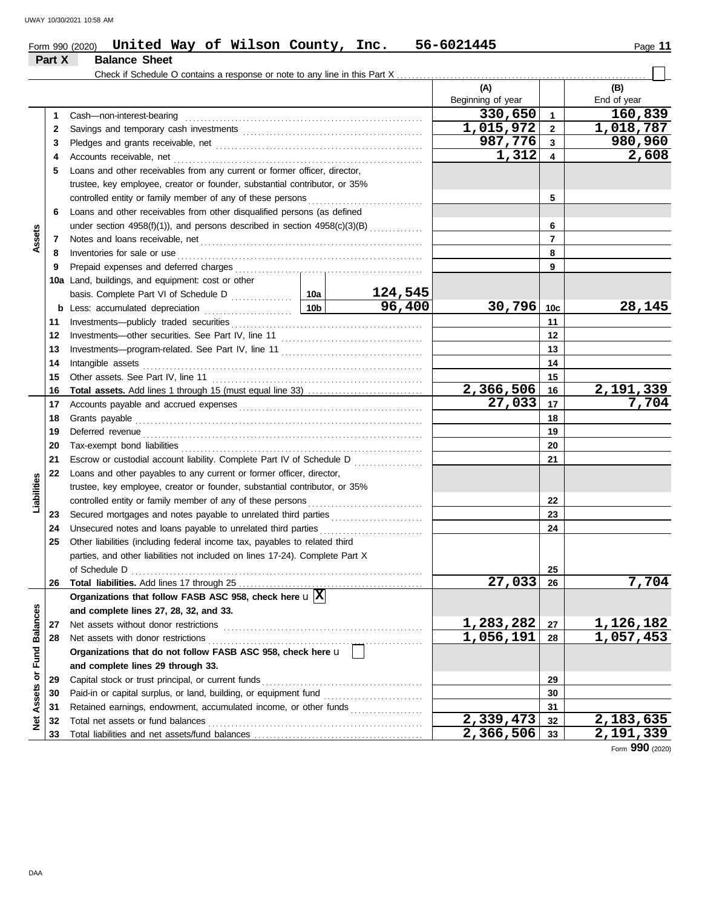# Form 990 (2020) Page **11 United Way of Wilson County, Inc. 56-6021445**

|                         | Part X | <b>Balance Sheet</b>                                                         |                 |         |                                  |                 |                    |
|-------------------------|--------|------------------------------------------------------------------------------|-----------------|---------|----------------------------------|-----------------|--------------------|
|                         |        |                                                                              |                 |         |                                  |                 |                    |
|                         |        |                                                                              |                 |         | (A)                              |                 | (B)                |
|                         |        |                                                                              |                 |         | Beginning of year                |                 | End of year        |
|                         | 1      | Cash-non-interest-bearing                                                    |                 |         | 330,650                          | $\mathbf{1}$    | 160,839            |
|                         | 2      |                                                                              |                 |         | $\overline{1,015,972}$           | $\mathbf{2}$    | 1,018,787          |
|                         | 3      |                                                                              |                 |         | 987,776                          | $\mathbf{3}$    | 980,960            |
|                         | 4      | Accounts receivable, net                                                     |                 |         | 1,312                            | 4               | 2,608              |
|                         | 5      | Loans and other receivables from any current or former officer, director,    |                 |         |                                  |                 |                    |
|                         |        | trustee, key employee, creator or founder, substantial contributor, or 35%   |                 |         |                                  |                 |                    |
|                         |        | controlled entity or family member of any of these persons                   |                 |         |                                  | 5               |                    |
|                         | 6      | Loans and other receivables from other disqualified persons (as defined      |                 |         |                                  |                 |                    |
|                         |        | under section 4958(f)(1)), and persons described in section 4958(c)(3)(B)    |                 |         |                                  | 6               |                    |
| Assets                  | 7      |                                                                              |                 |         |                                  | $\overline{7}$  |                    |
|                         | 8      | Inventories for sale or use                                                  |                 |         |                                  | 8               |                    |
|                         | 9      | Prepaid expenses and deferred charges                                        |                 |         |                                  | 9               |                    |
|                         | 10a    | Land, buildings, and equipment: cost or other                                |                 |         |                                  |                 |                    |
|                         |        |                                                                              |                 | 124,545 |                                  |                 |                    |
|                         | b      | Less: accumulated depreciation                                               | 10 <sub>b</sub> | 96,400  | 30,796                           | 10 <sub>c</sub> | 28,145             |
|                         | 11     | Investments-publicly traded securities                                       |                 |         |                                  | 11              |                    |
|                         | 12     |                                                                              |                 |         |                                  | 12              |                    |
|                         | 13     |                                                                              |                 |         | 13                               |                 |                    |
|                         | 14     | Intangible assets                                                            |                 | 14      |                                  |                 |                    |
|                         | 15     |                                                                              |                 |         |                                  | 15              |                    |
|                         | 16     |                                                                              |                 |         | 2,366,506<br>$\overline{27,033}$ | 16              | 2,191,339<br>7,704 |
|                         | 17     |                                                                              |                 |         | 17                               |                 |                    |
|                         | 18     | Grants payable                                                               |                 |         | 18                               |                 |                    |
|                         | 19     | Deferred revenue                                                             |                 |         | 19                               |                 |                    |
|                         | 20     |                                                                              |                 |         |                                  | 20              |                    |
|                         | 21     | Escrow or custodial account liability. Complete Part IV of Schedule D        |                 |         |                                  | 21              |                    |
|                         | 22     | Loans and other payables to any current or former officer, director,         |                 |         |                                  |                 |                    |
| Liabilities             |        | trustee, key employee, creator or founder, substantial contributor, or 35%   |                 |         |                                  |                 |                    |
|                         | 23     | controlled entity or family member of any of these persons                   |                 |         |                                  | 22<br>23        |                    |
|                         | 24     | Unsecured notes and loans payable to unrelated third parties                 |                 |         |                                  | 24              |                    |
|                         | 25     | Other liabilities (including federal income tax, payables to related third   |                 |         |                                  |                 |                    |
|                         |        | parties, and other liabilities not included on lines 17-24). Complete Part X |                 |         |                                  |                 |                    |
|                         |        | of Schedule D                                                                |                 |         |                                  | 25              |                    |
|                         | 26     |                                                                              |                 |         | $\overline{27,033}$              | 26              | 7,704              |
|                         |        | Organizations that follow FASB ASC 958, check here $\mathbf{u} \overline{X}$ |                 |         |                                  |                 |                    |
|                         |        | and complete lines 27, 28, 32, and 33.                                       |                 |         |                                  |                 |                    |
|                         | 27     | Net assets without donor restrictions                                        |                 |         | 1,283,282                        | 27              | 1, 126, 182        |
|                         | 28     | Net assets with donor restrictions                                           |                 |         | 1,056,191                        | 28              | 1,057,453          |
|                         |        | Organizations that do not follow FASB ASC 958, check here u                  |                 |         |                                  |                 |                    |
|                         |        | and complete lines 29 through 33.                                            |                 |         |                                  |                 |                    |
|                         | 29     | Capital stock or trust principal, or current funds                           |                 |         |                                  | 29              |                    |
|                         | 30     | Paid-in or capital surplus, or land, building, or equipment fund             |                 |         |                                  | 30              |                    |
| Assets or Fund Balances | 31     | Retained earnings, endowment, accumulated income, or other funds             |                 |         |                                  | 31              |                    |
| <b>Net</b>              | 32     | Total net assets or fund balances                                            |                 |         | 2,339,473                        | 32              | 2,183,635          |
|                         | 33     |                                                                              |                 |         | $\overline{2,366,506}$           | 33              | 2,191,339          |

Form **990** (2020)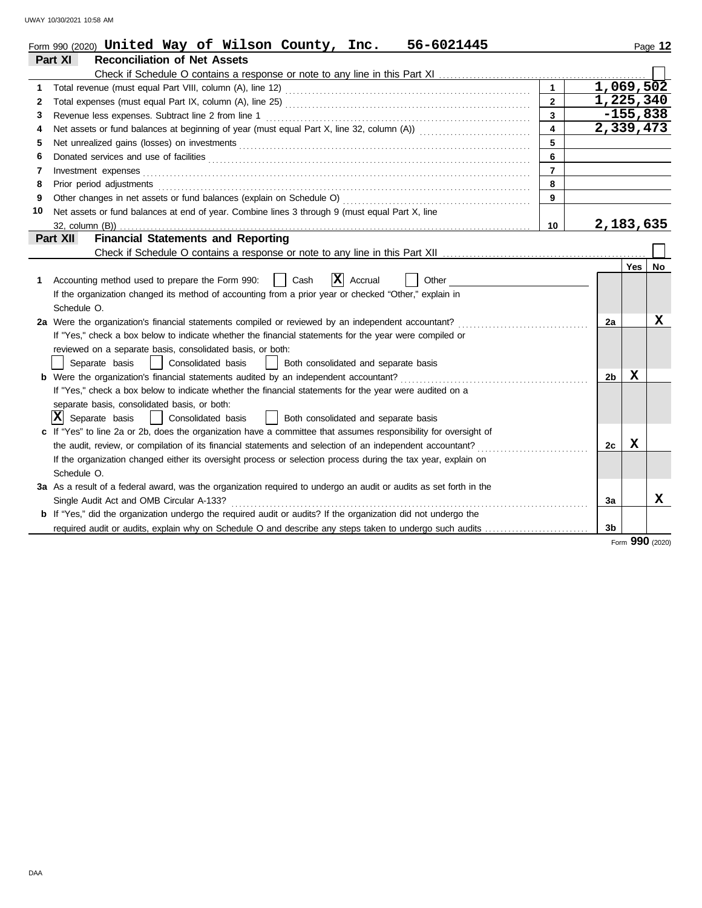|    | Form 990 (2020) United Way of Wilson County, Inc.<br>56-6021445                                                                                                                                                                |                         |                |            | Page 12 |
|----|--------------------------------------------------------------------------------------------------------------------------------------------------------------------------------------------------------------------------------|-------------------------|----------------|------------|---------|
|    | Part XI<br><b>Reconciliation of Net Assets</b>                                                                                                                                                                                 |                         |                |            |         |
|    |                                                                                                                                                                                                                                |                         |                |            |         |
| 1  |                                                                                                                                                                                                                                | $\mathbf{1}$            | 1,069,502      |            |         |
| 2  |                                                                                                                                                                                                                                | $\overline{2}$          | 1,225,340      |            |         |
| 3  | Revenue less expenses. Subtract line 2 from line 1                                                                                                                                                                             | $\mathbf{3}$            |                | $-155,838$ |         |
| 4  | Net assets or fund balances at beginning of year (must equal Part X, line 32, column (A))                                                                                                                                      | $\overline{\mathbf{4}}$ | 2,339,473      |            |         |
| 5  | Net unrealized gains (losses) on investments [11] with the content of the content of the state of the state of the state of the state of the state of the state of the state of the state of the state of the state of the sta | 5                       |                |            |         |
| 6  |                                                                                                                                                                                                                                | 6                       |                |            |         |
| 7  | Investment expenses                                                                                                                                                                                                            | $\overline{7}$          |                |            |         |
| 8  | Prior period adjustments                                                                                                                                                                                                       | 8                       |                |            |         |
| 9  | Other changes in net assets or fund balances (explain on Schedule O)                                                                                                                                                           | 9                       |                |            |         |
| 10 | Net assets or fund balances at end of year. Combine lines 3 through 9 (must equal Part X, line                                                                                                                                 |                         |                |            |         |
|    | 32. column (B))                                                                                                                                                                                                                | 10                      | 2,183,635      |            |         |
|    | <b>Financial Statements and Reporting</b><br>Part XII                                                                                                                                                                          |                         |                |            |         |
|    |                                                                                                                                                                                                                                |                         |                |            |         |
|    |                                                                                                                                                                                                                                |                         |                | Yes        | No      |
| 1  | X <br>Accounting method used to prepare the Form 990:<br>Cash<br>Accrual<br>Other                                                                                                                                              |                         |                |            |         |
|    | If the organization changed its method of accounting from a prior year or checked "Other," explain in                                                                                                                          |                         |                |            |         |
|    | Schedule O.                                                                                                                                                                                                                    |                         |                |            |         |
|    | 2a Were the organization's financial statements compiled or reviewed by an independent accountant?                                                                                                                             |                         | 2a             |            | x       |
|    | If "Yes," check a box below to indicate whether the financial statements for the year were compiled or                                                                                                                         |                         |                |            |         |
|    | reviewed on a separate basis, consolidated basis, or both:                                                                                                                                                                     |                         |                |            |         |
|    | Separate basis<br>  Consolidated basis<br>Both consolidated and separate basis<br>$\perp$                                                                                                                                      |                         |                |            |         |
|    | <b>b</b> Were the organization's financial statements audited by an independent accountant?                                                                                                                                    |                         | 2b             | X          |         |
|    | If "Yes," check a box below to indicate whether the financial statements for the year were audited on a                                                                                                                        |                         |                |            |         |
|    | separate basis, consolidated basis, or both:                                                                                                                                                                                   |                         |                |            |         |
|    | $ \mathbf{X} $ Separate basis<br>Consolidated basis<br>    Both consolidated and separate basis<br>$\mathbf{I}$                                                                                                                |                         |                |            |         |
|    | If "Yes" to line 2a or 2b, does the organization have a committee that assumes responsibility for oversight of                                                                                                                 |                         |                |            |         |
|    | the audit, review, or compilation of its financial statements and selection of an independent accountant?                                                                                                                      |                         | 2c             | X          |         |
|    | If the organization changed either its oversight process or selection process during the tax year, explain on                                                                                                                  |                         |                |            |         |
|    | Schedule O.                                                                                                                                                                                                                    |                         |                |            |         |
|    | 3a As a result of a federal award, was the organization required to undergo an audit or audits as set forth in the                                                                                                             |                         |                |            |         |
|    | Single Audit Act and OMB Circular A-133?                                                                                                                                                                                       |                         | 3a             |            | x       |
|    | <b>b</b> If "Yes," did the organization undergo the required audit or audits? If the organization did not undergo the                                                                                                          |                         |                |            |         |
|    | required audit or audits, explain why on Schedule O and describe any steps taken to undergo such audits                                                                                                                        |                         | 3 <sub>b</sub> |            |         |

Form **990** (2020)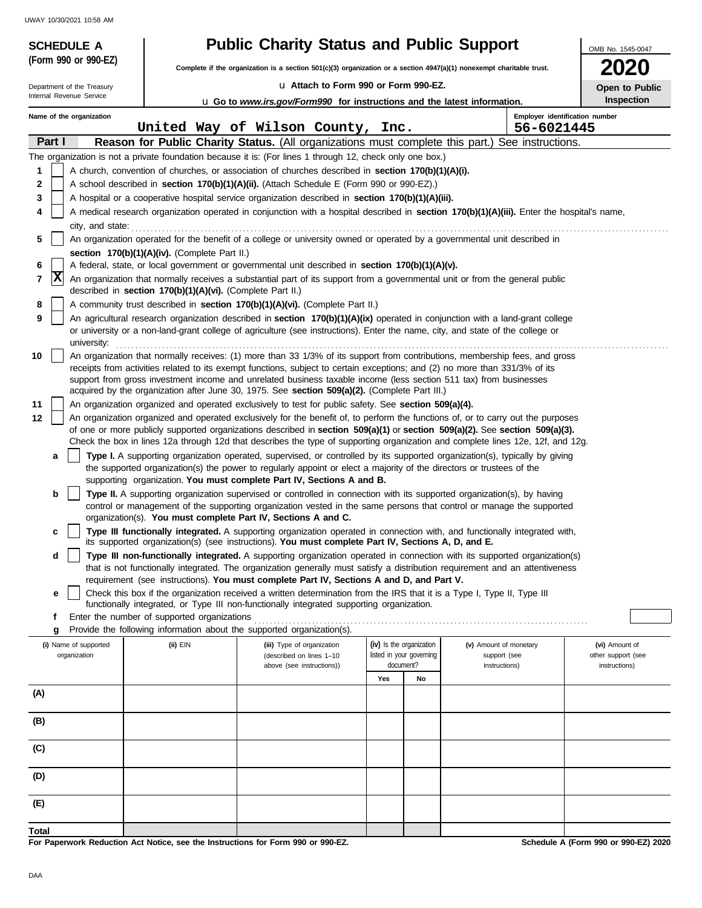| <b>SCHEDULE A</b>          |                                                            | <b>Public Charity Status and Public Support</b>                                                                         |                                       |                                                                                                                                                                                                                                                                 | OMB No. 1545-0047                    |
|----------------------------|------------------------------------------------------------|-------------------------------------------------------------------------------------------------------------------------|---------------------------------------|-----------------------------------------------------------------------------------------------------------------------------------------------------------------------------------------------------------------------------------------------------------------|--------------------------------------|
| (Form 990 or 990-EZ)       |                                                            | Complete if the organization is a section 501(c)(3) organization or a section 4947(a)(1) nonexempt charitable trust.    |                                       |                                                                                                                                                                                                                                                                 | 2020                                 |
| Department of the Treasury |                                                            | La Attach to Form 990 or Form 990-EZ.                                                                                   |                                       |                                                                                                                                                                                                                                                                 | Open to Public                       |
| Internal Revenue Service   |                                                            | <b>u</b> Go to www.irs.gov/Form990 for instructions and the latest information.                                         |                                       |                                                                                                                                                                                                                                                                 | Inspection                           |
| Name of the organization   |                                                            |                                                                                                                         |                                       |                                                                                                                                                                                                                                                                 | Employer identification number       |
| Part I                     |                                                            | United Way of Wilson County, Inc.                                                                                       |                                       | 56-6021445<br>Reason for Public Charity Status. (All organizations must complete this part.) See instructions.                                                                                                                                                  |                                      |
|                            |                                                            | The organization is not a private foundation because it is: (For lines 1 through 12, check only one box.)               |                                       |                                                                                                                                                                                                                                                                 |                                      |
| 1                          |                                                            | A church, convention of churches, or association of churches described in section 170(b)(1)(A)(i).                      |                                       |                                                                                                                                                                                                                                                                 |                                      |
| $\mathbf{2}$               |                                                            | A school described in <b>section 170(b)(1)(A)(ii).</b> (Attach Schedule E (Form 990 or 990-EZ).)                        |                                       |                                                                                                                                                                                                                                                                 |                                      |
| 3                          |                                                            | A hospital or a cooperative hospital service organization described in section 170(b)(1)(A)(iii).                       |                                       |                                                                                                                                                                                                                                                                 |                                      |
| 4                          |                                                            |                                                                                                                         |                                       | A medical research organization operated in conjunction with a hospital described in section 170(b)(1)(A)(iii). Enter the hospital's name,                                                                                                                      |                                      |
| city, and state:<br>5      |                                                            |                                                                                                                         |                                       | An organization operated for the benefit of a college or university owned or operated by a governmental unit described in                                                                                                                                       |                                      |
|                            | section 170(b)(1)(A)(iv). (Complete Part II.)              |                                                                                                                         |                                       |                                                                                                                                                                                                                                                                 |                                      |
| 6                          |                                                            | A federal, state, or local government or governmental unit described in section 170(b)(1)(A)(v).                        |                                       |                                                                                                                                                                                                                                                                 |                                      |
| X<br>7                     | described in section 170(b)(1)(A)(vi). (Complete Part II.) |                                                                                                                         |                                       | An organization that normally receives a substantial part of its support from a governmental unit or from the general public                                                                                                                                    |                                      |
| 8                          |                                                            | A community trust described in section 170(b)(1)(A)(vi). (Complete Part II.)                                            |                                       |                                                                                                                                                                                                                                                                 |                                      |
| 9<br>university:           |                                                            |                                                                                                                         |                                       | An agricultural research organization described in section 170(b)(1)(A)(ix) operated in conjunction with a land-grant college<br>or university or a non-land-grant college of agriculture (see instructions). Enter the name, city, and state of the college or |                                      |
| 10                         |                                                            |                                                                                                                         |                                       | An organization that normally receives: (1) more than 33 1/3% of its support from contributions, membership fees, and gross                                                                                                                                     |                                      |
|                            |                                                            | support from gross investment income and unrelated business taxable income (less section 511 tax) from businesses       |                                       | receipts from activities related to its exempt functions, subject to certain exceptions; and (2) no more than 331/3% of its                                                                                                                                     |                                      |
|                            |                                                            | acquired by the organization after June 30, 1975. See section 509(a)(2). (Complete Part III.)                           |                                       |                                                                                                                                                                                                                                                                 |                                      |
| 11                         |                                                            | An organization organized and operated exclusively to test for public safety. See section 509(a)(4).                    |                                       |                                                                                                                                                                                                                                                                 |                                      |
| 12                         |                                                            |                                                                                                                         |                                       | An organization organized and operated exclusively for the benefit of, to perform the functions of, or to carry out the purposes                                                                                                                                |                                      |
|                            |                                                            |                                                                                                                         |                                       | of one or more publicly supported organizations described in section 509(a)(1) or section 509(a)(2). See section 509(a)(3).<br>Check the box in lines 12a through 12d that describes the type of supporting organization and complete lines 12e, 12f, and 12g.  |                                      |
| a                          |                                                            |                                                                                                                         |                                       | Type I. A supporting organization operated, supervised, or controlled by its supported organization(s), typically by giving                                                                                                                                     |                                      |
|                            |                                                            | the supported organization(s) the power to regularly appoint or elect a majority of the directors or trustees of the    |                                       |                                                                                                                                                                                                                                                                 |                                      |
|                            |                                                            | supporting organization. You must complete Part IV, Sections A and B.                                                   |                                       |                                                                                                                                                                                                                                                                 |                                      |
| b                          |                                                            |                                                                                                                         |                                       | Type II. A supporting organization supervised or controlled in connection with its supported organization(s), by having<br>control or management of the supporting organization vested in the same persons that control or manage the supported                 |                                      |
|                            |                                                            | organization(s). You must complete Part IV, Sections A and C.                                                           |                                       |                                                                                                                                                                                                                                                                 |                                      |
| c                          |                                                            | its supported organization(s) (see instructions). You must complete Part IV, Sections A, D, and E.                      |                                       | Type III functionally integrated. A supporting organization operated in connection with, and functionally integrated with,                                                                                                                                      |                                      |
| d                          |                                                            |                                                                                                                         |                                       | Type III non-functionally integrated. A supporting organization operated in connection with its supported organization(s)<br>that is not functionally integrated. The organization generally must satisfy a distribution requirement and an attentiveness       |                                      |
|                            |                                                            | requirement (see instructions). You must complete Part IV, Sections A and D, and Part V.                                |                                       |                                                                                                                                                                                                                                                                 |                                      |
| е                          |                                                            | Check this box if the organization received a written determination from the IRS that it is a Type I, Type II, Type III |                                       |                                                                                                                                                                                                                                                                 |                                      |
| f                          | Enter the number of supported organizations                | functionally integrated, or Type III non-functionally integrated supporting organization.                               |                                       |                                                                                                                                                                                                                                                                 |                                      |
| g                          |                                                            | Provide the following information about the supported organization(s).                                                  |                                       |                                                                                                                                                                                                                                                                 |                                      |
| (i) Name of supported      | (ii) EIN                                                   | (iii) Type of organization                                                                                              | (iv) Is the organization              | (v) Amount of monetary                                                                                                                                                                                                                                          | (vi) Amount of                       |
| organization               |                                                            | (described on lines 1-10<br>above (see instructions))                                                                   | listed in your governing<br>document? | support (see<br>instructions)                                                                                                                                                                                                                                   | other support (see<br>instructions)  |
|                            |                                                            |                                                                                                                         | Yes<br>No                             |                                                                                                                                                                                                                                                                 |                                      |
| (A)                        |                                                            |                                                                                                                         |                                       |                                                                                                                                                                                                                                                                 |                                      |
|                            |                                                            |                                                                                                                         |                                       |                                                                                                                                                                                                                                                                 |                                      |
| (B)                        |                                                            |                                                                                                                         |                                       |                                                                                                                                                                                                                                                                 |                                      |
| (C)                        |                                                            |                                                                                                                         |                                       |                                                                                                                                                                                                                                                                 |                                      |
| (D)                        |                                                            |                                                                                                                         |                                       |                                                                                                                                                                                                                                                                 |                                      |
| (E)                        |                                                            |                                                                                                                         |                                       |                                                                                                                                                                                                                                                                 |                                      |
| Total                      |                                                            |                                                                                                                         |                                       |                                                                                                                                                                                                                                                                 |                                      |
|                            |                                                            | For Paperwork Reduction Act Notice, see the Instructions for Form 000 or 000-F7                                         |                                       |                                                                                                                                                                                                                                                                 | Schodule A (Form 990 or 990-F7) 2020 |

**For Paperwork Reduction Act Notice, see the Instructions for Form 990 or 990-EZ.**

**Schedule A (Form 990 or 990-EZ) 2020**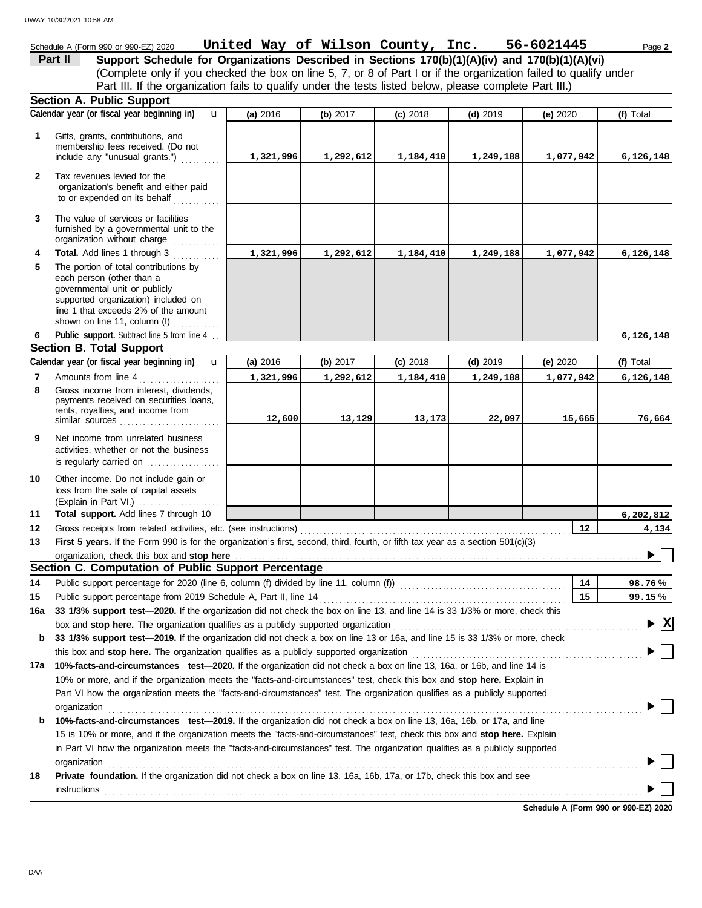#### Schedule A (Form 990 or 990-EZ) 2020 Page **2 United Way of Wilson County, Inc. 56-6021445 Part II Support Schedule for Organizations Described in Sections 170(b)(1)(A)(iv) and 170(b)(1)(A)(vi)** (Complete only if you checked the box on line 5, 7, or 8 of Part I or if the organization failed to qualify under Part III. If the organization fails to qualify under the tests listed below, please complete Part III.) **Section A. Public Support Calendar year (or fiscal year beginning in) (f)** Total u **(a)** 2016 **(b)** 2017 **(c)** 2018 **(d)** 2019 **(e)** 2020 Gifts, grants, contributions, and **1** membership fees received. (Do not include any "unusual grants.") . . . . . . . . . . **1,321,996 1,292,612 1,184,410 1,249,188 1,077,942 6,126,148 2** Tax revenues levied for the organization's benefit and either paid to or expended on its behalf ............ **3** The value of services or facilities furnished by a governmental unit to the organization without charge .............. **Total.** Add lines 1 through 3 **4 1,321,996 1,292,612 1,184,410 1,249,188 1,077,942 6,126,148 5** The portion of total contributions by each person (other than a governmental unit or publicly supported organization) included on line 1 that exceeds 2% of the amount shown on line 11, column (f)  $\ldots$ Public support. Subtract line 5 from line 4 ... **6,126,148 6 Section B. Total Support Calendar year (or fiscal year beginning in) (f)** Total u **(b)** 2017 **(c)** 2018 **(d)** 2019 **(e)** 2020 **(a)** 2016 Amounts from line 4 . . . . . . . . . . . . . . . . . . . . . **7 1,321,996 1,292,612 1,184,410 1,249,188 1,077,942 6,126,148** Gross income from interest, dividends, **8** payments received on securities loans, rents, royalties, and income from similar sources . . . . . . . . . . . . . . . . . . . . . . . . . . **12,600 13,129 13,173 22,097 15,665 76,664 9** Net income from unrelated business activities, whether or not the business is regularly carried on ................... **10** Other income. Do not include gain or loss from the sale of capital assets (Explain in Part VI.) . . . . . . . . . . . . . . . . . . . . . **11 Total support.** Add lines 7 through 10 **6,202,812 12 12 4,134** Gross receipts from related activities, etc. (see instructions) . . . . . . . . . . . . . . . . . . . . . . . . . . . . . . . . . . . . . . . . . . . . . . . . . . . . . . . . . . . . . . . . . . . . . **13 First 5 years.** If the Form 990 is for the organization's first, second, third, fourth, or fifth tax year as a section 501(c)(3) organization, check this box and stop here  $\blacktriangleright$ **Section C. Computation of Public Support Percentage 14** Public support percentage for 2020 (line 6, column (f) divided by line 11, column (f)) . . . . . . . . . . . . . . . . . . . . . . . . . . . . . . . . . . . . . . . . . . . . **14** % **98.76 15** Public support percentage from 2019 Schedule A, Part II, line 14 . . . . . . . . . . . . . . . . . . . . . . . . . . . . . . . . . . . . . . . . . . . . . . . . . . . . . . . . . . . . . . . . **15** % **99.15 16a 33 1/3% support test—2020.** If the organization did not check the box on line 13, and line 14 is 33 1/3% or more, check this box and **stop here.** The organization qualifies as a publicly supported organization . . . . . . . . . . . . . . . . . . . . . . . . . . . . . . . . . . . . . . . . . . . . . . . . . . . . . . . . . . . . . . . . . **X b 33 1/3% support test—2019.** If the organization did not check a box on line 13 or 16a, and line 15 is 33 1/3% or more, check this box and **stop here.** The organization qualifies as a publicly supported organization . . . . . . . . . . . . . . . . . . . . . . . . . . . . . . . . . . . . . . . . . . . . . . . . . . . . . . . . . . . . **17a 10%-facts-and-circumstances test—2020.** If the organization did not check a box on line 13, 16a, or 16b, and line 14 is 10% or more, and if the organization meets the "facts-and-circumstances" test, check this box and **stop here.** Explain in Part VI how the organization meets the "facts-and-circumstances" test. The organization qualifies as a publicly supported organization . . . . . . . . . . . . . . . . . . . . . . . . . . . . . . . . . . . . . . . . . . . . . . . . . . . . . . . . . . . . . . . . . . . . . . . . . . . . . . . . . . . . . . . . . . . . . . . . . . . . . . . . . . . . . . . . . . . . . . . . . . . . . . . . . . . . . . . . . . . **b 10%-facts-and-circumstances test—2019.** If the organization did not check a box on line 13, 16a, 16b, or 17a, and line 15 is 10% or more, and if the organization meets the "facts-and-circumstances" test, check this box and **stop here.** Explain in Part VI how the organization meets the "facts-and-circumstances" test. The organization qualifies as a publicly supported

**18 Private foundation.** If the organization did not check a box on line 13, 16a, 16b, 17a, or 17b, check this box and see organization contains a contained a series of the contained and contained a series of the containing of the containing of the containing of the containing of the containing of the containing of the containing of the contai instructions . . . . . . . . . . . . . . . . . . . . . . . . . . . . . . . . . . . . . . . . . . . . . . . . . . . . . . . . . . . . . . . . . . . . . . . . . . . . . . . . . . . . . . . . . . . . . . . . . . . . . . . . . . . . . . . . . . . . . . . . . . . . . . . . . . . . . . . . . . . .

**Schedule A (Form 990 or 990-EZ) 2020**

DAA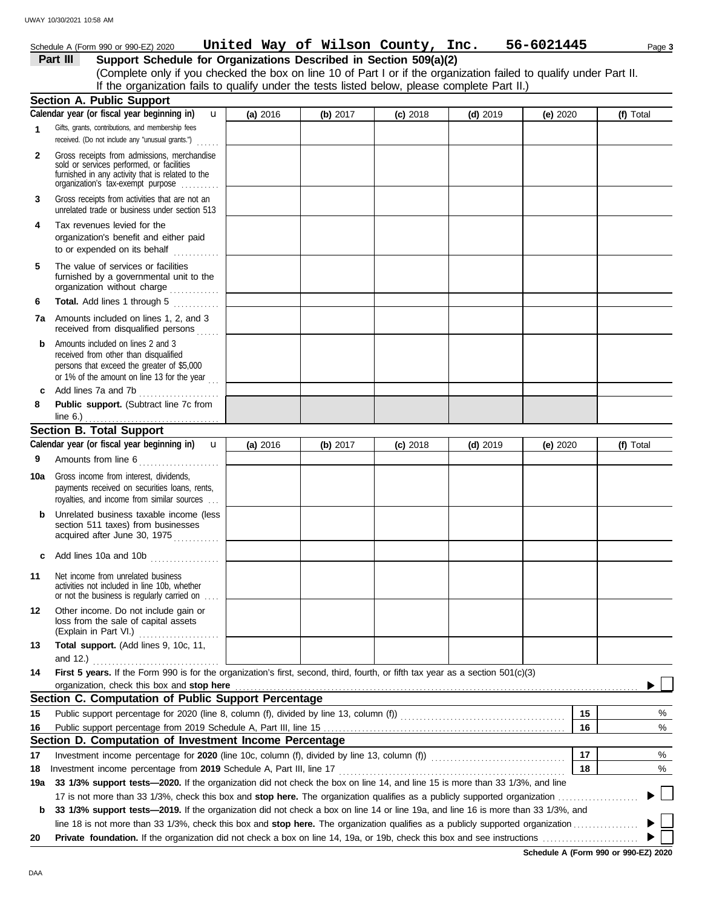#### **Section B. Total Support** unrelated trade or business under section 513 **Part III Support Schedule for Organizations Described in Section 509(a)(2)** (Complete only if you checked the box on line 10 of Part I or if the organization failed to qualify under Part II. **1 2 3 6 8** Schedule A (Form 990 or 990-EZ) 2020 Page **3 United Way of Wilson County, Inc. 56-6021445** Gifts, grants, contributions, and membership fees received. (Do not include any "unusual grants.") . . . . . . **Public support.** (Subtract line 7c from Gross receipts from admissions, merchandise sold or services performed, or facilities furnished in any activity that is related to the Gross receipts from activities that are not an **Total.** Add lines 1 through 5 **Section A. Public Support** organization's tax-exempt purpose .......... **4** Tax revenues levied for the organization's benefit and either paid to or expended on its behalf  $\ldots$ organization without charge .............. furnished by a governmental unit to the **5** The value of services or facilities **7a** Amounts included on lines 1, 2, and 3 received from disqualified persons **b** Amounts included on lines 2 and 3 received from other than disqualified persons that exceed the greater of \$5,000 or 1% of the amount on line 13 for the year  $\ldots$ **c** Add lines 7a and 7b . . . . . . . . . . . . . . . . . . . . . Amounts from line 6 . . . . . . . . . . . . . . . . . . . . . **9** royalties, and income from similar sources . . . payments received on securities loans, rents, **10a** Gross income from interest, dividends, **b** Unrelated business taxable income (less section 511 taxes) from businesses acquired after June 30, 1975 **c** Add lines 10a and 10b . . . . . . . . . . . . . . . . . . **11** Net income from unrelated business activities not included in line 10b, whether or not the business is regularly carried on . . . . (Explain in Part VI.) ..................... loss from the sale of capital assets **12** Other income. Do not include gain or **13 Total support.** (Add lines 9, 10c, 11, **14 First 5 years.** If the Form 990 is for the organization's first, second, third, fourth, or fifth tax year as a section 501(c)(3) organization, check this box and stop here **Section C. Computation of Public Support Percentage** Public support percentage from 2019 Schedule A, Part III, line 15 . . . . . . . . . . . . . . . . . . . . . . . . . . . . . . . . . . . . . . . . . . . . . . . . . . . . . . . . . . . . . . . **15** Public support percentage for 2020 (line 8, column (f), divided by line 13, column (f))  $\ldots$ **16 Section D. Computation of Investment Income Percentage 18** Investment income percentage for **2020** (line 10c, column (f), divided by line 13, column (f)) . . . . . . . . . . . . . . . . . . . . . . . . . . . . . . . . . . . **17** Investment income percentage from **2019** Schedule A, Part III, line 17 . . . . . . . . . . . . . . . . . . . . . . . . . . . . . . . . . . . . . . . . . . . . . . . . . . . . . . . . . . . 17 is not more than 33 1/3%, check this box and **stop here.** The organization qualifies as a publicly supported organization . . . . . . . . . . . . . . . . . . . . . **19a 33 1/3% support tests—2020.** If the organization did not check the box on line 14, and line 15 is more than 33 1/3%, and line **b 33 1/3% support tests—2019.** If the organization did not check a box on line 14 or line 19a, and line 16 is more than 33 1/3%, and % % **16 15 17 18** % % **(a)** 2016 **(b)** 2017 **(c)** 2018 **(d)** 2019 **(e)** 2020 **(f)** Total **(f)** Total line 6.) . . . . . . . . . . . . . . . . . . . . . . . . . . . . . . . . . . . **Calendar year (or fiscal year beginning in)**  Calendar year (or fiscal year beginning in) **u** and 12.) . . . . . . . . . . . . . . . . . . . . . . . . . . . . . . . . . If the organization fails to qualify under the tests listed below, please complete Part II.) **(a)** 2016 **(b)** 2017 **(c)** 2018 **(d)** 2019 **(e)** 2020 u

line 18 is not more than 33 1/3%, check this box and **stop here.** The organization qualifies as a publicly supported organization . . . . . . . . . . . . . . . . .

**20 Private foundation.** If the organization did not check a box on line 14, 19a, or 19b, check this box and see instructions . . . . . . . . . . . . . . . . . . . . . . . . .

**Schedule A (Form 990 or 990-EZ) 2020**

▶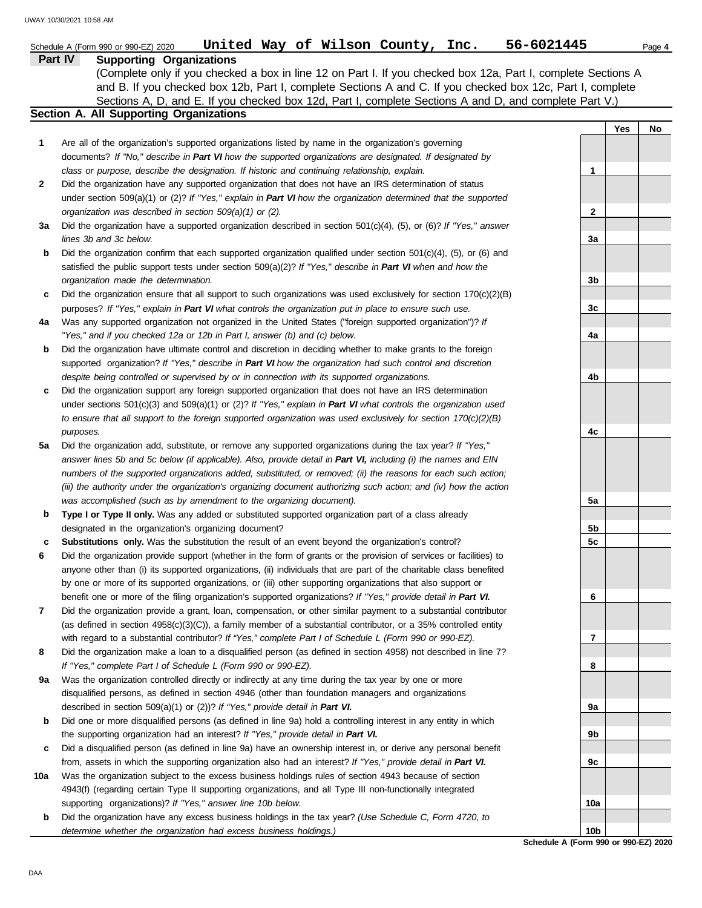|         | United Way of Wilson County, Inc.<br>Schedule A (Form 990 or 990-EZ) 2020                                                                                                                            | 56-6021445                                 |     | Page 4 |
|---------|------------------------------------------------------------------------------------------------------------------------------------------------------------------------------------------------------|--------------------------------------------|-----|--------|
| Part IV | <b>Supporting Organizations</b>                                                                                                                                                                      |                                            |     |        |
|         | (Complete only if you checked a box in line 12 on Part I. If you checked box 12a, Part I, complete Sections A                                                                                        |                                            |     |        |
|         | and B. If you checked box 12b, Part I, complete Sections A and C. If you checked box 12c, Part I, complete                                                                                           |                                            |     |        |
|         | Sections A, D, and E. If you checked box 12d, Part I, complete Sections A and D, and complete Part V.)                                                                                               |                                            |     |        |
|         | Section A. All Supporting Organizations                                                                                                                                                              |                                            |     |        |
|         |                                                                                                                                                                                                      |                                            | Yes | No     |
| 1       | Are all of the organization's supported organizations listed by name in the organization's governing                                                                                                 |                                            |     |        |
|         | documents? If "No," describe in Part VI how the supported organizations are designated. If designated by                                                                                             |                                            |     |        |
|         | class or purpose, describe the designation. If historic and continuing relationship, explain.                                                                                                        | 1                                          |     |        |
| 2       | Did the organization have any supported organization that does not have an IRS determination of status                                                                                               |                                            |     |        |
|         | under section 509(a)(1) or (2)? If "Yes," explain in Part VI how the organization determined that the supported                                                                                      |                                            |     |        |
|         | organization was described in section 509(a)(1) or (2).                                                                                                                                              | $\mathbf{2}$                               |     |        |
| За      | Did the organization have a supported organization described in section $501(c)(4)$ , (5), or (6)? If "Yes," answer                                                                                  |                                            |     |        |
|         | lines 3b and 3c below.                                                                                                                                                                               | 3a                                         |     |        |
| b       | Did the organization confirm that each supported organization qualified under section $501(c)(4)$ , $(5)$ , or $(6)$ and                                                                             |                                            |     |        |
|         | satisfied the public support tests under section 509(a)(2)? If "Yes," describe in Part VI when and how the<br>organization made the determination.                                                   | 3b                                         |     |        |
|         | Did the organization ensure that all support to such organizations was used exclusively for section $170(c)(2)(B)$                                                                                   |                                            |     |        |
| c       | purposes? If "Yes," explain in Part VI what controls the organization put in place to ensure such use.                                                                                               | 3c                                         |     |        |
| 4a      | Was any supported organization not organized in the United States ("foreign supported organization")? If                                                                                             |                                            |     |        |
|         | "Yes," and if you checked 12a or 12b in Part I, answer (b) and (c) below.                                                                                                                            | 4a                                         |     |        |
| b       | Did the organization have ultimate control and discretion in deciding whether to make grants to the foreign                                                                                          |                                            |     |        |
|         | supported organization? If "Yes," describe in Part VI how the organization had such control and discretion                                                                                           |                                            |     |        |
|         | despite being controlled or supervised by or in connection with its supported organizations.                                                                                                         | 4b                                         |     |        |
| c       | Did the organization support any foreign supported organization that does not have an IRS determination                                                                                              |                                            |     |        |
|         | under sections $501(c)(3)$ and $509(a)(1)$ or (2)? If "Yes," explain in Part VI what controls the organization used                                                                                  |                                            |     |        |
|         | to ensure that all support to the foreign supported organization was used exclusively for section $170(c)(2)(B)$                                                                                     |                                            |     |        |
|         | purposes.                                                                                                                                                                                            | 4c                                         |     |        |
| 5a      | Did the organization add, substitute, or remove any supported organizations during the tax year? If "Yes,"                                                                                           |                                            |     |        |
|         | answer lines 5b and 5c below (if applicable). Also, provide detail in Part VI, including (i) the names and EIN                                                                                       |                                            |     |        |
|         | numbers of the supported organizations added, substituted, or removed; (ii) the reasons for each such action;                                                                                        |                                            |     |        |
|         | (iii) the authority under the organization's organizing document authorizing such action; and (iv) how the action                                                                                    |                                            |     |        |
|         | was accomplished (such as by amendment to the organizing document).                                                                                                                                  | 5a                                         |     |        |
| b       | Type I or Type II only. Was any added or substituted supported organization part of a class already                                                                                                  |                                            |     |        |
|         | designated in the organization's organizing document?                                                                                                                                                | 5b                                         |     |        |
| c       | Substitutions only. Was the substitution the result of an event beyond the organization's control?                                                                                                   | 5c                                         |     |        |
|         | Did the organization provide support (whether in the form of grants or the provision of services or facilities) to                                                                                   |                                            |     |        |
|         | anyone other than (i) its supported organizations, (ii) individuals that are part of the charitable class benefited                                                                                  |                                            |     |        |
|         | by one or more of its supported organizations, or (iii) other supporting organizations that also support or                                                                                          |                                            |     |        |
|         | benefit one or more of the filing organization's supported organizations? If "Yes," provide detail in Part VI.                                                                                       | 6                                          |     |        |
| 7       | Did the organization provide a grant, loan, compensation, or other similar payment to a substantial contributor                                                                                      |                                            |     |        |
|         | (as defined in section $4958(c)(3)(C)$ ), a family member of a substantial contributor, or a 35% controlled entity                                                                                   |                                            |     |        |
|         | with regard to a substantial contributor? If "Yes," complete Part I of Schedule L (Form 990 or 990-EZ).                                                                                              | $\overline{7}$                             |     |        |
| 8       | Did the organization make a loan to a disqualified person (as defined in section 4958) not described in line 7?                                                                                      |                                            |     |        |
|         | If "Yes," complete Part I of Schedule L (Form 990 or 990-EZ).                                                                                                                                        | 8                                          |     |        |
| 9а      | Was the organization controlled directly or indirectly at any time during the tax year by one or more                                                                                                |                                            |     |        |
|         | disqualified persons, as defined in section 4946 (other than foundation managers and organizations                                                                                                   |                                            |     |        |
|         | described in section 509(a)(1) or (2))? If "Yes," provide detail in Part VI.                                                                                                                         | 9а                                         |     |        |
| b       | Did one or more disqualified persons (as defined in line 9a) hold a controlling interest in any entity in which<br>the supporting organization had an interest? If "Yes," provide detail in Part VI. | 9b                                         |     |        |
|         | Did a disqualified person (as defined in line 9a) have an ownership interest in, or derive any personal benefit                                                                                      |                                            |     |        |
| c       | from, assets in which the supporting organization also had an interest? If "Yes," provide detail in Part VI.                                                                                         | 9с                                         |     |        |
| 10a     | Was the organization subject to the excess business holdings rules of section 4943 because of section                                                                                                |                                            |     |        |
|         | 4943(f) (regarding certain Type II supporting organizations, and all Type III non-functionally integrated                                                                                            |                                            |     |        |
|         | supporting organizations)? If "Yes," answer line 10b below.                                                                                                                                          | 10a                                        |     |        |
| b       | Did the organization have any excess business holdings in the tax year? (Use Schedule C, Form 4720, to                                                                                               |                                            |     |        |
|         | determine whether the organization had excess business holdings.)                                                                                                                                    | 10 <sub>b</sub>                            |     |        |
|         |                                                                                                                                                                                                      | <b>Cohodule A (Form 000 or 000 FZ) 200</b> |     |        |

**Schedule A (Form 990 or 990-EZ) 2020**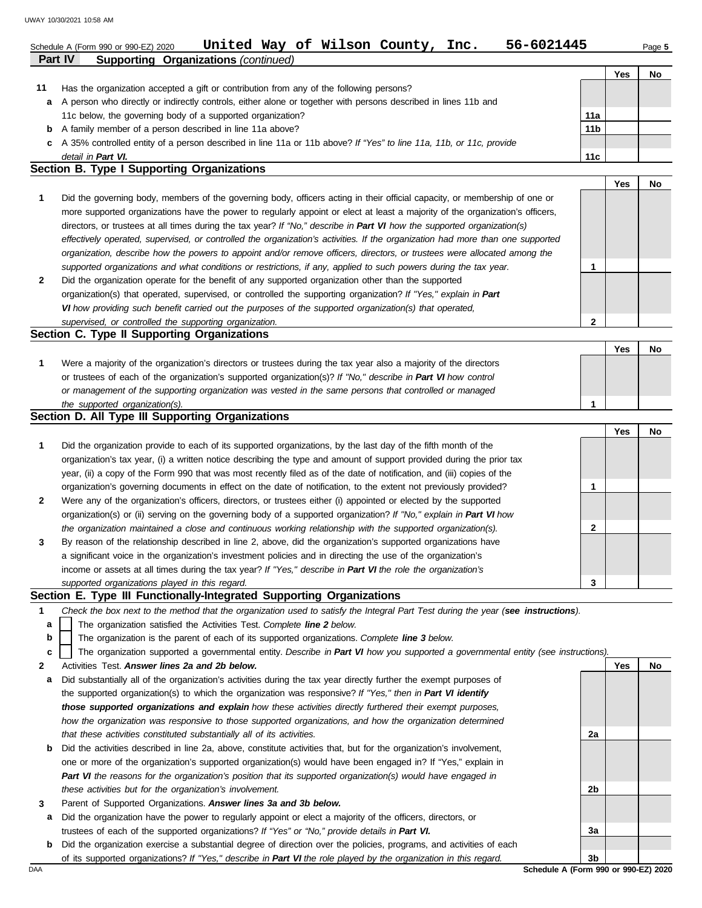|    | 56-6021445<br>United Way of Wilson County, Inc.<br>Schedule A (Form 990 or 990-EZ) 2020                                        |     |     | Page 5 |
|----|--------------------------------------------------------------------------------------------------------------------------------|-----|-----|--------|
|    | <b>Supporting Organizations (continued)</b><br><b>Part IV</b>                                                                  |     |     |        |
|    |                                                                                                                                |     | Yes | No.    |
| 11 | Has the organization accepted a gift or contribution from any of the following persons?                                        |     |     |        |
| a  | A person who directly or indirectly controls, either alone or together with persons described in lines 11b and                 |     |     |        |
|    | 11c below, the governing body of a supported organization?                                                                     | 11a |     |        |
| b  | A family member of a person described in line 11a above?                                                                       | 11b |     |        |
| c  | A 35% controlled entity of a person described in line 11a or 11b above? If "Yes" to line 11a, 11b, or 11c, provide             |     |     |        |
|    | detail in Part VI.                                                                                                             | 11c |     |        |
|    | Section B. Type I Supporting Organizations                                                                                     |     |     |        |
|    |                                                                                                                                |     | Yes | No     |
|    | Did the governing body, members of the governing body, officers acting in their official capacity, or membership of one or     |     |     |        |
|    | more supported organizations have the power to regularly appoint or elect at least a majority of the organization's officers,  |     |     |        |
|    | directors, or trustees at all times during the tax year? If "No," describe in Part VI how the supported organization(s)        |     |     |        |
|    | effectively operated, supervised, or controlled the organization's activities. If the organization had more than one supported |     |     |        |
|    | organization, describe how the powers to appoint and/or remove officers, directors, or trustees were allocated among the       |     |     |        |
|    | supported organizations and what conditions or restrictions, if any, applied to such powers during the tax year.               |     |     |        |
|    | ■ Del des consistents d'années des des les collectes des consistents des deux des collectes des consistencies                  |     |     |        |

| Did the organization operate for the benefit of any supported organization other than the supported             |
|-----------------------------------------------------------------------------------------------------------------|
| organization(s) that operated, supervised, or controlled the supporting organization? If "Yes," explain in Part |
| VI how providing such benefit carried out the purposes of the supported organization(s) that operated,          |
| supervised, or controlled the supporting organization.                                                          |

#### **Section C. Type II Supporting Organizations**

|                                                                                                                  |  | No |
|------------------------------------------------------------------------------------------------------------------|--|----|
| Were a majority of the organization's directors or trustees during the tax year also a majority of the directors |  |    |
| or trustees of each of the organization's supported organization(s)? If "No," describe in Part VI how control    |  |    |
| or management of the supporting organization was vested in the same persons that controlled or managed           |  |    |
| the supported organization(s).                                                                                   |  |    |

## **Section D. All Type III Supporting Organizations**

|              |                                                                                                                        |   | Yes | No |
|--------------|------------------------------------------------------------------------------------------------------------------------|---|-----|----|
| 1            | Did the organization provide to each of its supported organizations, by the last day of the fifth month of the         |   |     |    |
|              | organization's tax year, (i) a written notice describing the type and amount of support provided during the prior tax  |   |     |    |
|              | year, (ii) a copy of the Form 990 that was most recently filed as of the date of notification, and (iii) copies of the |   |     |    |
|              | organization's governing documents in effect on the date of notification, to the extent not previously provided?       |   |     |    |
| $\mathbf{2}$ | Were any of the organization's officers, directors, or trustees either (i) appointed or elected by the supported       |   |     |    |
|              | organization(s) or (ii) serving on the governing body of a supported organization? If "No," explain in Part VI how     |   |     |    |
|              | the organization maintained a close and continuous working relationship with the supported organization(s).            | 2 |     |    |
| $\mathbf{3}$ | By reason of the relationship described in line 2, above, did the organization's supported organizations have          |   |     |    |
|              | a significant voice in the organization's investment policies and in directing the use of the organization's           |   |     |    |
|              | income or assets at all times during the tax year? If "Yes," describe in Part VI the role the organization's           |   |     |    |
|              | supported organizations played in this regard.                                                                         | 3 |     |    |

#### **Section E. Type III Functionally-Integrated Supporting Organizations**

- **1** *Check the box next to the method that the organization used to satisfy the Integral Part Test during the year (see instructions).*
	- The organization satisfied the Activities Test. *Complete line 2 below.* **a**
	- The organization is the parent of each of its supported organizations. *Complete line 3 below.* **b**
	- The organization supported a governmental entity. *Describe in Part VI how you supported a governmental entity (see instructions).* **c**
- **2** Activities Test. *Answer lines 2a and 2b below.*
- **a** Did substantially all of the organization's activities during the tax year directly further the exempt purposes of the supported organization(s) to which the organization was responsive? *If "Yes," then in Part VI identify those supported organizations and explain how these activities directly furthered their exempt purposes,*  how the organization was responsive to those supported organizations, and how the organization determined *that these activities constituted substantially all of its activities.*
- **b** Did the activities described in line 2a, above, constitute activities that, but for the organization's involvement, one or more of the organization's supported organization(s) would have been engaged in? If "Yes," explain in *Part VI the reasons for the organization's position that its supported organization(s) would have engaged in these activities but for the organization's involvement.*
- **3** Parent of Supported Organizations. *Answer lines 3a and 3b below.*
- **a** Did the organization have the power to regularly appoint or elect a majority of the officers, directors, or trustees of each of the supported organizations? *If "Yes" or "No," provide details in Part VI.*
- DAA **Schedule A (Form 990 or 990-EZ) 2020 b** Did the organization exercise a substantial degree of direction over the policies, programs, and activities of each of its supported organizations? *If "Yes," describe in Part VI the role played by the organization in this regard.*

**2a 2b 3a 3b**

**Yes No**

**2**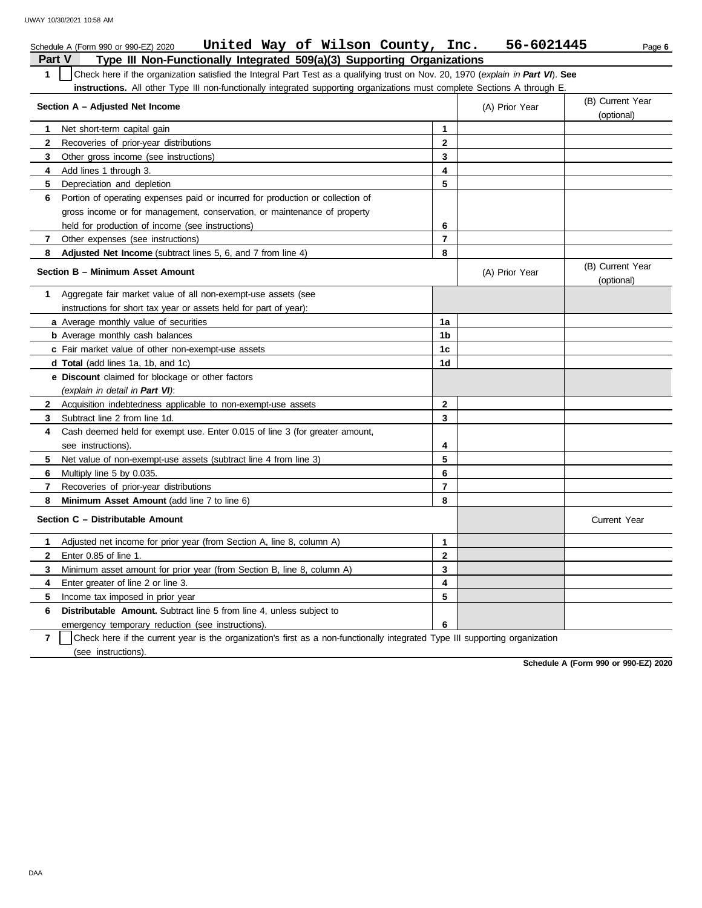|                                                                                                                                                  | United Way of Wilson County, Inc.<br>Schedule A (Form 990 or 990-EZ) 2020      |                |  | 56-6021445     | Page 6                         |  |  |  |  |
|--------------------------------------------------------------------------------------------------------------------------------------------------|--------------------------------------------------------------------------------|----------------|--|----------------|--------------------------------|--|--|--|--|
| <b>Part V</b>                                                                                                                                    | Type III Non-Functionally Integrated 509(a)(3) Supporting Organizations        |                |  |                |                                |  |  |  |  |
| $\mathbf{1}$<br>Check here if the organization satisfied the Integral Part Test as a qualifying trust on Nov. 20, 1970 (explain in Part VI). See |                                                                                |                |  |                |                                |  |  |  |  |
| instructions. All other Type III non-functionally integrated supporting organizations must complete Sections A through E                         |                                                                                |                |  |                |                                |  |  |  |  |
| Section A - Adjusted Net Income                                                                                                                  | (B) Current Year<br>(optional)                                                 |                |  |                |                                |  |  |  |  |
| 1                                                                                                                                                | Net short-term capital gain                                                    | $\mathbf{1}$   |  |                |                                |  |  |  |  |
| $\mathbf{2}$                                                                                                                                     | Recoveries of prior-year distributions                                         | $\mathbf{2}$   |  |                |                                |  |  |  |  |
| 3                                                                                                                                                | Other gross income (see instructions)                                          | 3              |  |                |                                |  |  |  |  |
| 4                                                                                                                                                | Add lines 1 through 3.                                                         | 4              |  |                |                                |  |  |  |  |
| 5                                                                                                                                                | Depreciation and depletion                                                     | 5              |  |                |                                |  |  |  |  |
| 6                                                                                                                                                | Portion of operating expenses paid or incurred for production or collection of |                |  |                |                                |  |  |  |  |
|                                                                                                                                                  | gross income or for management, conservation, or maintenance of property       |                |  |                |                                |  |  |  |  |
|                                                                                                                                                  | held for production of income (see instructions)                               | 6              |  |                |                                |  |  |  |  |
| 7                                                                                                                                                | Other expenses (see instructions)                                              | $\overline{7}$ |  |                |                                |  |  |  |  |
| 8                                                                                                                                                | <b>Adjusted Net Income</b> (subtract lines 5, 6, and 7 from line 4)            | 8              |  |                |                                |  |  |  |  |
|                                                                                                                                                  | Section B - Minimum Asset Amount                                               |                |  | (A) Prior Year | (B) Current Year<br>(optional) |  |  |  |  |
| 1                                                                                                                                                | Aggregate fair market value of all non-exempt-use assets (see                  |                |  |                |                                |  |  |  |  |
|                                                                                                                                                  | instructions for short tax year or assets held for part of year):              |                |  |                |                                |  |  |  |  |
|                                                                                                                                                  | a Average monthly value of securities                                          | 1a             |  |                |                                |  |  |  |  |
|                                                                                                                                                  | <b>b</b> Average monthly cash balances                                         | 1b             |  |                |                                |  |  |  |  |
|                                                                                                                                                  | c Fair market value of other non-exempt-use assets                             | 1 <sub>c</sub> |  |                |                                |  |  |  |  |
|                                                                                                                                                  | <b>d Total</b> (add lines 1a, 1b, and 1c)                                      | 1d             |  |                |                                |  |  |  |  |
|                                                                                                                                                  | e Discount claimed for blockage or other factors                               |                |  |                |                                |  |  |  |  |
|                                                                                                                                                  | (explain in detail in Part VI):                                                |                |  |                |                                |  |  |  |  |
| $\mathbf{2}$                                                                                                                                     | Acquisition indebtedness applicable to non-exempt-use assets                   | $\overline{2}$ |  |                |                                |  |  |  |  |
| 3                                                                                                                                                | Subtract line 2 from line 1d.                                                  | 3              |  |                |                                |  |  |  |  |
| 4                                                                                                                                                | Cash deemed held for exempt use. Enter 0.015 of line 3 (for greater amount,    |                |  |                |                                |  |  |  |  |
|                                                                                                                                                  | see instructions).                                                             | 4              |  |                |                                |  |  |  |  |
| 5                                                                                                                                                | Net value of non-exempt-use assets (subtract line 4 from line 3)               | 5              |  |                |                                |  |  |  |  |
| 6                                                                                                                                                | Multiply line 5 by 0.035.                                                      | 6              |  |                |                                |  |  |  |  |
| 7                                                                                                                                                | Recoveries of prior-year distributions                                         | 7              |  |                |                                |  |  |  |  |
| 8                                                                                                                                                | Minimum Asset Amount (add line 7 to line 6)                                    | 8              |  |                |                                |  |  |  |  |
|                                                                                                                                                  | Section C - Distributable Amount                                               |                |  |                | <b>Current Year</b>            |  |  |  |  |
| 1                                                                                                                                                | Adjusted net income for prior year (from Section A, line 8, column A)          | $\mathbf{1}$   |  |                |                                |  |  |  |  |
| $\mathbf{2}$                                                                                                                                     | Enter 0.85 of line 1.                                                          | $\mathbf{2}$   |  |                |                                |  |  |  |  |
| 3                                                                                                                                                | Minimum asset amount for prior year (from Section B, line 8, column A)         | 3              |  |                |                                |  |  |  |  |
| 4                                                                                                                                                | Enter greater of line 2 or line 3.                                             | 4              |  |                |                                |  |  |  |  |
| 5                                                                                                                                                | Income tax imposed in prior year                                               | 5              |  |                |                                |  |  |  |  |
| 6                                                                                                                                                | <b>Distributable Amount.</b> Subtract line 5 from line 4, unless subject to    |                |  |                |                                |  |  |  |  |
|                                                                                                                                                  | emergency temporary reduction (see instructions).                              | 6              |  |                |                                |  |  |  |  |
|                                                                                                                                                  |                                                                                |                |  |                |                                |  |  |  |  |

**7** | Check here if the current year is the organization's first as a non-functionally integrated Type III supporting organization (see instructions).

**Schedule A (Form 990 or 990-EZ) 2020**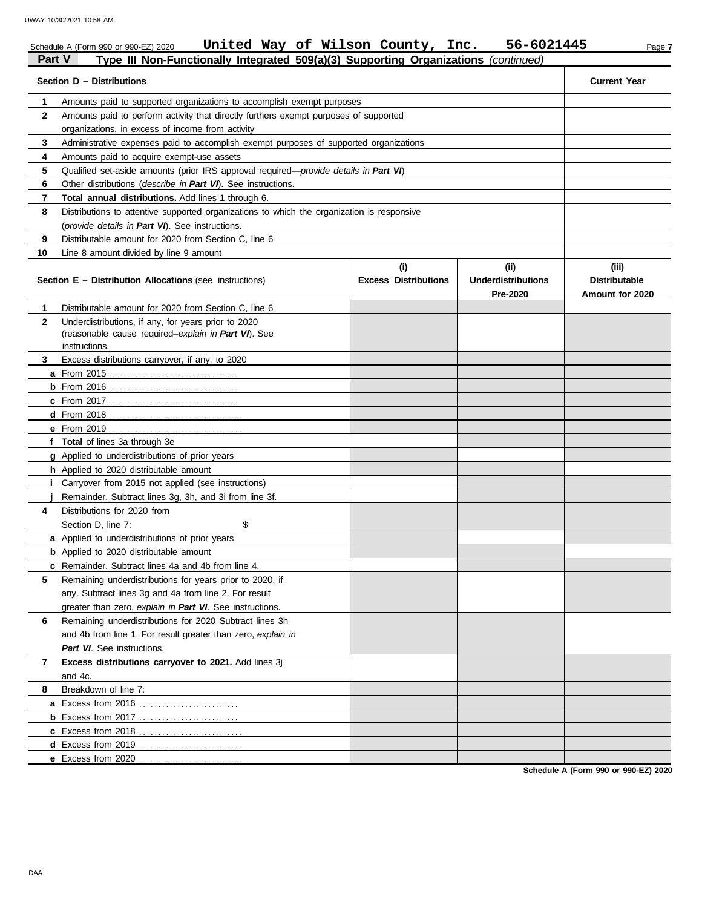|               | United Way of Wilson County, Inc.<br>Schedule A (Form 990 or 990-EZ) 2020                     |                             | 56-6021445                            | Page 7                                  |
|---------------|-----------------------------------------------------------------------------------------------|-----------------------------|---------------------------------------|-----------------------------------------|
| <b>Part V</b> | Type III Non-Functionally Integrated 509(a)(3) Supporting Organizations (continued)           |                             |                                       |                                         |
|               | Section D - Distributions                                                                     |                             |                                       | <b>Current Year</b>                     |
| 1             | Amounts paid to supported organizations to accomplish exempt purposes                         |                             |                                       |                                         |
| $\mathbf{2}$  | Amounts paid to perform activity that directly furthers exempt purposes of supported          |                             |                                       |                                         |
|               | organizations, in excess of income from activity                                              |                             |                                       |                                         |
| 3             | Administrative expenses paid to accomplish exempt purposes of supported organizations         |                             |                                       |                                         |
| 4             | Amounts paid to acquire exempt-use assets                                                     |                             |                                       |                                         |
| 5             | Qualified set-aside amounts (prior IRS approval required— <i>provide details in Part VI</i> ) |                             |                                       |                                         |
| 6             | Other distributions (describe in Part VI). See instructions.                                  |                             |                                       |                                         |
| 7             | Total annual distributions. Add lines 1 through 6.                                            |                             |                                       |                                         |
| 8             | Distributions to attentive supported organizations to which the organization is responsive    |                             |                                       |                                         |
|               | (provide details in Part VI). See instructions.                                               |                             |                                       |                                         |
| 9             | Distributable amount for 2020 from Section C, line 6                                          |                             |                                       |                                         |
| 10            | Line 8 amount divided by line 9 amount                                                        |                             |                                       |                                         |
|               |                                                                                               | (i)                         | (ii)                                  | (iii)                                   |
|               | <b>Section E - Distribution Allocations (see instructions)</b>                                | <b>Excess Distributions</b> | <b>Underdistributions</b><br>Pre-2020 | <b>Distributable</b><br>Amount for 2020 |
| 1             | Distributable amount for 2020 from Section C, line 6                                          |                             |                                       |                                         |
| $\mathbf{2}$  | Underdistributions, if any, for years prior to 2020                                           |                             |                                       |                                         |
|               | (reasonable cause required-explain in Part VI). See                                           |                             |                                       |                                         |
|               | instructions.                                                                                 |                             |                                       |                                         |
| 3             | Excess distributions carryover, if any, to 2020                                               |                             |                                       |                                         |
|               |                                                                                               |                             |                                       |                                         |
|               |                                                                                               |                             |                                       |                                         |
|               |                                                                                               |                             |                                       |                                         |
|               |                                                                                               |                             |                                       |                                         |
|               | <b>e</b> From 2019                                                                            |                             |                                       |                                         |
|               | f Total of lines 3a through 3e                                                                |                             |                                       |                                         |
|               | g Applied to underdistributions of prior years                                                |                             |                                       |                                         |
|               | h Applied to 2020 distributable amount                                                        |                             |                                       |                                         |
|               | <i>i</i> Carryover from 2015 not applied (see instructions)                                   |                             |                                       |                                         |
|               | Remainder. Subtract lines 3g, 3h, and 3i from line 3f.                                        |                             |                                       |                                         |
| 4             | Distributions for 2020 from                                                                   |                             |                                       |                                         |
|               | Section D, line 7:<br>\$                                                                      |                             |                                       |                                         |
|               | a Applied to underdistributions of prior years                                                |                             |                                       |                                         |
|               | <b>b</b> Applied to 2020 distributable amount                                                 |                             |                                       |                                         |
|               | c Remainder. Subtract lines 4a and 4b from line 4.                                            |                             |                                       |                                         |
| 5             | Remaining underdistributions for years prior to 2020, if                                      |                             |                                       |                                         |
|               | any. Subtract lines 3g and 4a from line 2. For result                                         |                             |                                       |                                         |
|               | greater than zero, explain in Part VI. See instructions.                                      |                             |                                       |                                         |
| 6             | Remaining underdistributions for 2020 Subtract lines 3h                                       |                             |                                       |                                         |
|               | and 4b from line 1. For result greater than zero, explain in                                  |                             |                                       |                                         |
|               | Part VI. See instructions.                                                                    |                             |                                       |                                         |
| 7             | Excess distributions carryover to 2021. Add lines 3j                                          |                             |                                       |                                         |
|               | and 4c.                                                                                       |                             |                                       |                                         |
| 8             | Breakdown of line 7:                                                                          |                             |                                       |                                         |
|               | a Excess from 2016                                                                            |                             |                                       |                                         |
|               |                                                                                               |                             |                                       |                                         |
|               |                                                                                               |                             |                                       |                                         |
|               | d Excess from 2019.<br>e Excess from 2020                                                     |                             |                                       |                                         |
|               |                                                                                               |                             |                                       |                                         |

**Schedule A (Form 990 or 990-EZ) 2020**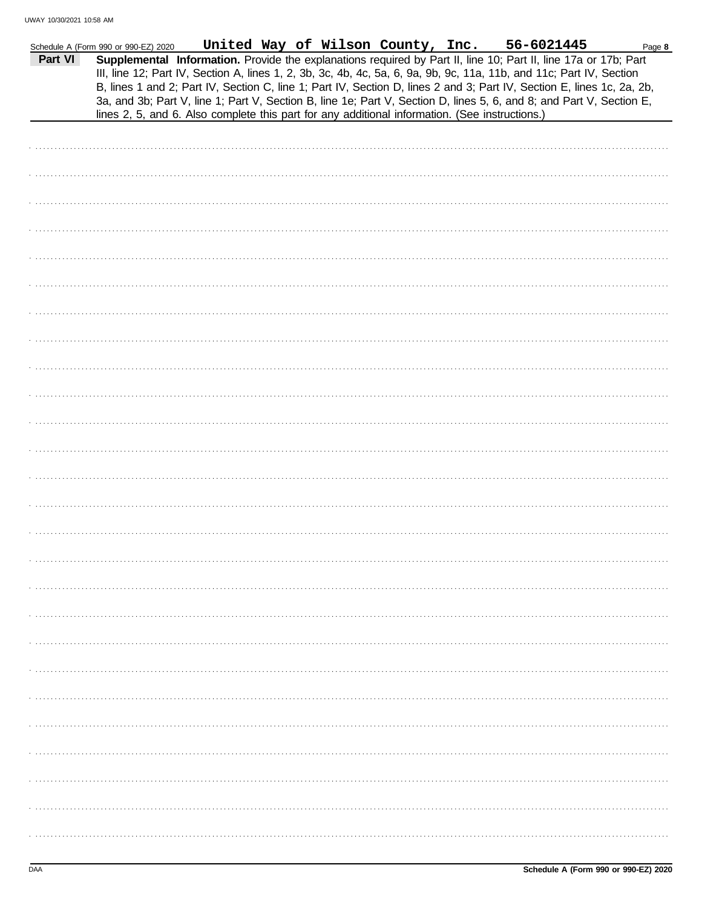|         | Schedule A (Form 990 or 990-EZ) 2020 |                                                                                                |  | United Way of Wilson County, Inc. | 56-6021445                                                                                                                                                                                                                                                                                                                                                        | Page 8 |
|---------|--------------------------------------|------------------------------------------------------------------------------------------------|--|-----------------------------------|-------------------------------------------------------------------------------------------------------------------------------------------------------------------------------------------------------------------------------------------------------------------------------------------------------------------------------------------------------------------|--------|
| Part VI |                                      |                                                                                                |  |                                   | Supplemental Information. Provide the explanations required by Part II, line 10; Part II, line 17a or 17b; Part<br>III, line 12; Part IV, Section A, lines 1, 2, 3b, 3c, 4b, 4c, 5a, 6, 9a, 9b, 9c, 11a, 11b, and 11c; Part IV, Section<br>B, lines 1 and 2; Part IV, Section C, line 1; Part IV, Section D, lines 2 and 3; Part IV, Section E, lines 1c, 2a, 2b, |        |
|         |                                      | lines 2, 5, and 6. Also complete this part for any additional information. (See instructions.) |  |                                   | 3a, and 3b; Part V, line 1; Part V, Section B, line 1e; Part V, Section D, lines 5, 6, and 8; and Part V, Section E,                                                                                                                                                                                                                                              |        |
|         |                                      |                                                                                                |  |                                   |                                                                                                                                                                                                                                                                                                                                                                   |        |
|         |                                      |                                                                                                |  |                                   |                                                                                                                                                                                                                                                                                                                                                                   |        |
|         |                                      |                                                                                                |  |                                   |                                                                                                                                                                                                                                                                                                                                                                   |        |
|         |                                      |                                                                                                |  |                                   |                                                                                                                                                                                                                                                                                                                                                                   |        |
|         |                                      |                                                                                                |  |                                   |                                                                                                                                                                                                                                                                                                                                                                   |        |
|         |                                      |                                                                                                |  |                                   |                                                                                                                                                                                                                                                                                                                                                                   |        |
|         |                                      |                                                                                                |  |                                   |                                                                                                                                                                                                                                                                                                                                                                   |        |
|         |                                      |                                                                                                |  |                                   |                                                                                                                                                                                                                                                                                                                                                                   |        |
|         |                                      |                                                                                                |  |                                   |                                                                                                                                                                                                                                                                                                                                                                   |        |
|         |                                      |                                                                                                |  |                                   |                                                                                                                                                                                                                                                                                                                                                                   |        |
|         |                                      |                                                                                                |  |                                   |                                                                                                                                                                                                                                                                                                                                                                   |        |
|         |                                      |                                                                                                |  |                                   |                                                                                                                                                                                                                                                                                                                                                                   |        |
|         |                                      |                                                                                                |  |                                   |                                                                                                                                                                                                                                                                                                                                                                   |        |
|         |                                      |                                                                                                |  |                                   |                                                                                                                                                                                                                                                                                                                                                                   |        |
|         |                                      |                                                                                                |  |                                   |                                                                                                                                                                                                                                                                                                                                                                   |        |
|         |                                      |                                                                                                |  |                                   |                                                                                                                                                                                                                                                                                                                                                                   |        |
|         |                                      |                                                                                                |  |                                   |                                                                                                                                                                                                                                                                                                                                                                   |        |
|         |                                      |                                                                                                |  |                                   |                                                                                                                                                                                                                                                                                                                                                                   |        |
|         |                                      |                                                                                                |  |                                   |                                                                                                                                                                                                                                                                                                                                                                   |        |
|         |                                      |                                                                                                |  |                                   |                                                                                                                                                                                                                                                                                                                                                                   |        |
|         |                                      |                                                                                                |  |                                   |                                                                                                                                                                                                                                                                                                                                                                   |        |
|         |                                      |                                                                                                |  |                                   |                                                                                                                                                                                                                                                                                                                                                                   |        |
|         |                                      |                                                                                                |  |                                   |                                                                                                                                                                                                                                                                                                                                                                   |        |
|         |                                      |                                                                                                |  |                                   |                                                                                                                                                                                                                                                                                                                                                                   |        |
|         |                                      |                                                                                                |  |                                   |                                                                                                                                                                                                                                                                                                                                                                   |        |
|         |                                      |                                                                                                |  |                                   |                                                                                                                                                                                                                                                                                                                                                                   |        |
|         |                                      |                                                                                                |  |                                   |                                                                                                                                                                                                                                                                                                                                                                   |        |
|         |                                      |                                                                                                |  |                                   |                                                                                                                                                                                                                                                                                                                                                                   |        |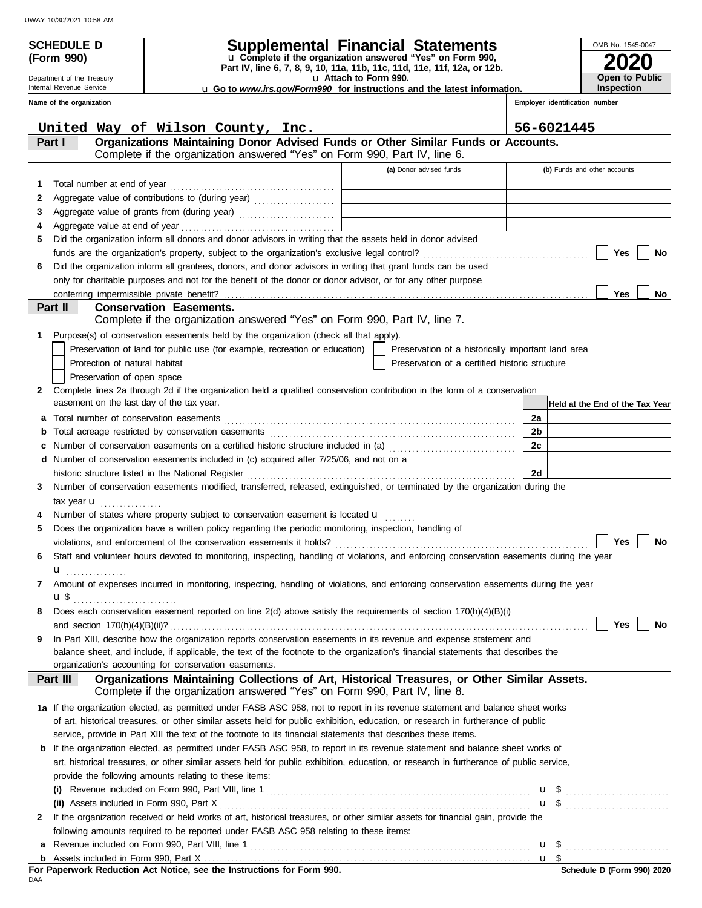Department of the Treasury Internal Revenue Service **Name of the organization**

**(Form 990)**

# **SCHEDULE D Supplemental Financial Statements**

**Part IV, line 6, 7, 8, 9, 10, 11a, 11b, 11c, 11d, 11e, 11f, 12a, or 12b.** u **Complete if the organization answered "Yes" on Form 990,**

u **Attach to Form 990.** 

u **Go to** *www.irs.gov/Form990* **for instructions and the latest information.**

**2020 Open to Public Inspection**

OMB No. 1545-0047

|    | United Way of Wilson County, Inc.                                                                                                                                                                                              |                                                    | 56-6021445                      |
|----|--------------------------------------------------------------------------------------------------------------------------------------------------------------------------------------------------------------------------------|----------------------------------------------------|---------------------------------|
|    | Organizations Maintaining Donor Advised Funds or Other Similar Funds or Accounts.<br>Part I                                                                                                                                    |                                                    |                                 |
|    | Complete if the organization answered "Yes" on Form 990, Part IV, line 6.                                                                                                                                                      |                                                    |                                 |
|    |                                                                                                                                                                                                                                | (a) Donor advised funds                            | (b) Funds and other accounts    |
| 1  |                                                                                                                                                                                                                                |                                                    |                                 |
| 2  | Aggregate value of contributions to (during year)                                                                                                                                                                              |                                                    |                                 |
| 3  |                                                                                                                                                                                                                                |                                                    |                                 |
| 4  |                                                                                                                                                                                                                                |                                                    |                                 |
| 5  | Did the organization inform all donors and donor advisors in writing that the assets held in donor advised                                                                                                                     |                                                    |                                 |
|    |                                                                                                                                                                                                                                |                                                    | Yes<br>No                       |
| 6  | Did the organization inform all grantees, donors, and donor advisors in writing that grant funds can be used                                                                                                                   |                                                    |                                 |
|    | only for charitable purposes and not for the benefit of the donor or donor advisor, or for any other purpose                                                                                                                   |                                                    |                                 |
|    |                                                                                                                                                                                                                                |                                                    | Yes<br>No                       |
|    | <b>Conservation Easements.</b><br>Part II                                                                                                                                                                                      |                                                    |                                 |
|    | Complete if the organization answered "Yes" on Form 990, Part IV, line 7.                                                                                                                                                      |                                                    |                                 |
| 1. | Purpose(s) of conservation easements held by the organization (check all that apply).                                                                                                                                          |                                                    |                                 |
|    | Preservation of land for public use (for example, recreation or education)                                                                                                                                                     | Preservation of a historically important land area |                                 |
|    | Protection of natural habitat                                                                                                                                                                                                  | Preservation of a certified historic structure     |                                 |
|    | Preservation of open space                                                                                                                                                                                                     |                                                    |                                 |
| 2  | Complete lines 2a through 2d if the organization held a qualified conservation contribution in the form of a conservation                                                                                                      |                                                    |                                 |
|    | easement on the last day of the tax year.                                                                                                                                                                                      |                                                    | Held at the End of the Tax Year |
| a  |                                                                                                                                                                                                                                |                                                    | 2a                              |
| b  |                                                                                                                                                                                                                                |                                                    | 2 <sub>b</sub>                  |
| c  | Number of conservation easements on a certified historic structure included in (a) [[[[[ [ [ ]]]                                                                                                                               |                                                    | 2c                              |
|    | d Number of conservation easements included in (c) acquired after 7/25/06, and not on a                                                                                                                                        |                                                    |                                 |
|    | historic structure listed in the National Register [111] Allen Contains and Allen Contains and Allen Contains and Allen Contains and Allen Contains and Allen Contains and Allen Contains and Allen Contains and Allen Contain |                                                    | 2d                              |
| 3  | Number of conservation easements modified, transferred, released, extinguished, or terminated by the organization during the                                                                                                   |                                                    |                                 |
|    | tax year $\mathbf u$                                                                                                                                                                                                           |                                                    |                                 |
| 4  | Number of states where property subject to conservation easement is located <b>u</b>                                                                                                                                           |                                                    |                                 |
| 5  | Does the organization have a written policy regarding the periodic monitoring, inspection, handling of                                                                                                                         |                                                    |                                 |
|    |                                                                                                                                                                                                                                |                                                    | Yes<br>No                       |
| 6  | Staff and volunteer hours devoted to monitoring, inspecting, handling of violations, and enforcing conservation easements during the year                                                                                      |                                                    |                                 |
|    | $\mathbf{u}$                                                                                                                                                                                                                   |                                                    |                                 |
| 7  | Amount of expenses incurred in monitoring, inspecting, handling of violations, and enforcing conservation easements during the year                                                                                            |                                                    |                                 |
|    | $\mathbf{u}$                                                                                                                                                                                                                   |                                                    |                                 |
| 8  | Does each conservation easement reported on line $2(d)$ above satisfy the requirements of section $170(h)(4)(B)(i)$                                                                                                            |                                                    |                                 |
|    |                                                                                                                                                                                                                                |                                                    | Yes<br>No                       |
| 9  | In Part XIII, describe how the organization reports conservation easements in its revenue and expense statement and                                                                                                            |                                                    |                                 |
|    | balance sheet, and include, if applicable, the text of the footnote to the organization's financial statements that describes the                                                                                              |                                                    |                                 |
|    | organization's accounting for conservation easements.                                                                                                                                                                          |                                                    |                                 |
|    | Organizations Maintaining Collections of Art, Historical Treasures, or Other Similar Assets.<br>Part III                                                                                                                       |                                                    |                                 |
|    | Complete if the organization answered "Yes" on Form 990, Part IV, line 8.                                                                                                                                                      |                                                    |                                 |
|    | 1a If the organization elected, as permitted under FASB ASC 958, not to report in its revenue statement and balance sheet works                                                                                                |                                                    |                                 |
|    | of art, historical treasures, or other similar assets held for public exhibition, education, or research in furtherance of public                                                                                              |                                                    |                                 |
|    | service, provide in Part XIII the text of the footnote to its financial statements that describes these items.                                                                                                                 |                                                    |                                 |
|    | <b>b</b> If the organization elected, as permitted under FASB ASC 958, to report in its revenue statement and balance sheet works of                                                                                           |                                                    |                                 |
|    | art, historical treasures, or other similar assets held for public exhibition, education, or research in furtherance of public service,                                                                                        |                                                    |                                 |
|    | provide the following amounts relating to these items:                                                                                                                                                                         |                                                    |                                 |
|    |                                                                                                                                                                                                                                |                                                    | $\mathbf{u}$ \$                 |
|    |                                                                                                                                                                                                                                |                                                    | $\mathbf{u}$ \$ $\ldots$        |
| 2  | If the organization received or held works of art, historical treasures, or other similar assets for financial gain, provide the                                                                                               |                                                    |                                 |
|    | following amounts required to be reported under FASB ASC 958 relating to these items:                                                                                                                                          |                                                    |                                 |
| a  |                                                                                                                                                                                                                                |                                                    |                                 |
|    |                                                                                                                                                                                                                                |                                                    | u \$                            |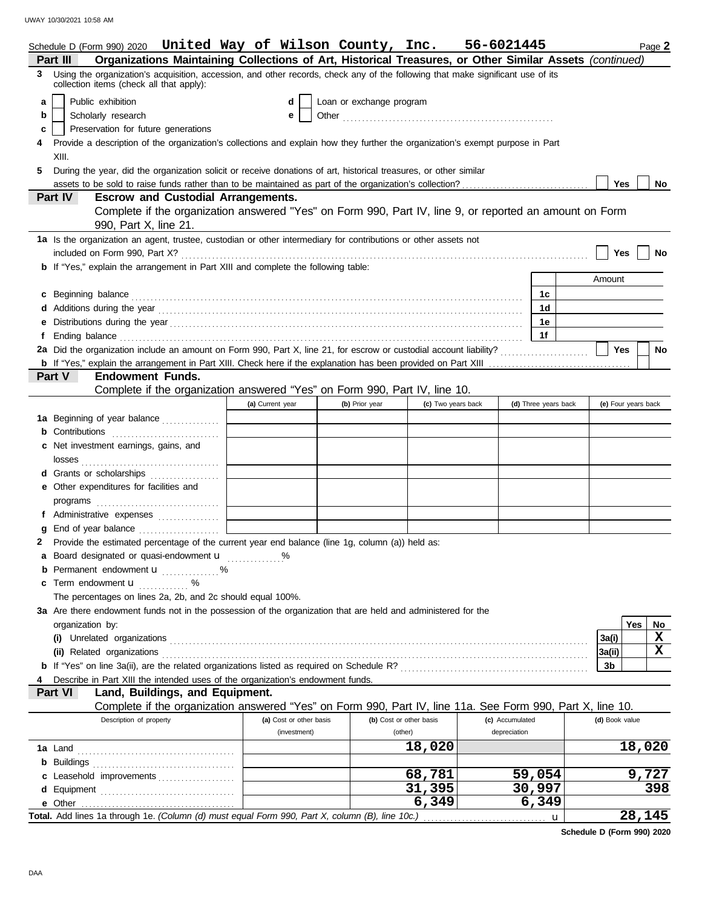|   |                  |                                          | Schedule D (Form 990) 2020 United Way of Wilson County, Inc. 56-6021445                                                                                                                                                              |                         |                          |                         |                 |                      |   |                     |     | Page 2    |
|---|------------------|------------------------------------------|--------------------------------------------------------------------------------------------------------------------------------------------------------------------------------------------------------------------------------------|-------------------------|--------------------------|-------------------------|-----------------|----------------------|---|---------------------|-----|-----------|
|   | Part III         |                                          | Organizations Maintaining Collections of Art, Historical Treasures, or Other Similar Assets (continued)                                                                                                                              |                         |                          |                         |                 |                      |   |                     |     |           |
| 3 |                  | collection items (check all that apply): | Using the organization's acquisition, accession, and other records, check any of the following that make significant use of its                                                                                                      |                         |                          |                         |                 |                      |   |                     |     |           |
| a |                  | Public exhibition                        |                                                                                                                                                                                                                                      | d                       | Loan or exchange program |                         |                 |                      |   |                     |     |           |
| b |                  | Scholarly research                       |                                                                                                                                                                                                                                      | е                       |                          |                         |                 |                      |   |                     |     |           |
| c |                  |                                          | Preservation for future generations                                                                                                                                                                                                  |                         |                          |                         |                 |                      |   |                     |     |           |
|   |                  |                                          | Provide a description of the organization's collections and explain how they further the organization's exempt purpose in Part                                                                                                       |                         |                          |                         |                 |                      |   |                     |     |           |
|   | XIII.            |                                          |                                                                                                                                                                                                                                      |                         |                          |                         |                 |                      |   |                     |     |           |
| 5 |                  |                                          | During the year, did the organization solicit or receive donations of art, historical treasures, or other similar                                                                                                                    |                         |                          |                         |                 |                      |   |                     |     |           |
|   |                  |                                          |                                                                                                                                                                                                                                      |                         |                          |                         |                 |                      |   | Yes                 |     | No        |
|   | Part IV          |                                          | <b>Escrow and Custodial Arrangements.</b>                                                                                                                                                                                            |                         |                          |                         |                 |                      |   |                     |     |           |
|   |                  |                                          | Complete if the organization answered "Yes" on Form 990, Part IV, line 9, or reported an amount on Form                                                                                                                              |                         |                          |                         |                 |                      |   |                     |     |           |
|   |                  | 990, Part X, line 21.                    |                                                                                                                                                                                                                                      |                         |                          |                         |                 |                      |   |                     |     |           |
|   |                  |                                          | 1a Is the organization an agent, trustee, custodian or other intermediary for contributions or other assets not                                                                                                                      |                         |                          |                         |                 |                      |   |                     |     |           |
|   |                  |                                          |                                                                                                                                                                                                                                      |                         |                          |                         |                 |                      |   | Yes                 |     | No        |
|   |                  |                                          | <b>b</b> If "Yes," explain the arrangement in Part XIII and complete the following table:                                                                                                                                            |                         |                          |                         |                 |                      |   |                     |     |           |
|   |                  |                                          |                                                                                                                                                                                                                                      |                         |                          |                         |                 |                      |   | Amount              |     |           |
|   |                  |                                          | c Beginning balance <b>contract to the contract of the set of the contract of the contract of the contract of the contract of the contract of the contract of the contract of the contract of the contract of the contract of th</b> |                         |                          |                         |                 | 1c                   |   |                     |     |           |
|   |                  |                                          |                                                                                                                                                                                                                                      |                         |                          |                         |                 | 1d                   |   |                     |     |           |
|   |                  |                                          |                                                                                                                                                                                                                                      |                         |                          |                         |                 | 1e                   |   |                     |     |           |
|   |                  |                                          | Ending balance contains and a series of the contact of the contact of the contact of the contact of the contact of the contact of the contact of the contact of the contact of the contact of the contact of the contact of th       |                         |                          |                         |                 | 1f                   |   |                     |     |           |
|   |                  |                                          |                                                                                                                                                                                                                                      |                         |                          |                         |                 |                      |   | Yes                 |     | <b>No</b> |
|   |                  |                                          |                                                                                                                                                                                                                                      |                         |                          |                         |                 |                      |   |                     |     |           |
|   | Part V           | <b>Endowment Funds.</b>                  |                                                                                                                                                                                                                                      |                         |                          |                         |                 |                      |   |                     |     |           |
|   |                  |                                          | Complete if the organization answered "Yes" on Form 990, Part IV, line 10.                                                                                                                                                           |                         |                          |                         |                 |                      |   |                     |     |           |
|   |                  |                                          |                                                                                                                                                                                                                                      | (a) Current year        | (b) Prior year           | (c) Two years back      |                 | (d) Three years back |   | (e) Four years back |     |           |
|   |                  |                                          | 1a Beginning of year balance                                                                                                                                                                                                         |                         |                          |                         |                 |                      |   |                     |     |           |
|   |                  |                                          | <b>b</b> Contributions <b>contributions</b>                                                                                                                                                                                          |                         |                          |                         |                 |                      |   |                     |     |           |
|   |                  | c Net investment earnings, gains, and    |                                                                                                                                                                                                                                      |                         |                          |                         |                 |                      |   |                     |     |           |
|   | losses           |                                          |                                                                                                                                                                                                                                      |                         |                          |                         |                 |                      |   |                     |     |           |
|   |                  |                                          |                                                                                                                                                                                                                                      |                         |                          |                         |                 |                      |   |                     |     |           |
|   |                  |                                          | d Grants or scholarships                                                                                                                                                                                                             |                         |                          |                         |                 |                      |   |                     |     |           |
|   |                  | e Other expenditures for facilities and  |                                                                                                                                                                                                                                      |                         |                          |                         |                 |                      |   |                     |     |           |
|   |                  |                                          |                                                                                                                                                                                                                                      |                         |                          |                         |                 |                      |   |                     |     |           |
|   |                  |                                          | f Administrative expenses                                                                                                                                                                                                            |                         |                          |                         |                 |                      |   |                     |     |           |
|   |                  |                                          | End of year balance                                                                                                                                                                                                                  |                         |                          |                         |                 |                      |   |                     |     |           |
| 2 |                  |                                          | Provide the estimated percentage of the current year end balance (line 1g, column (a)) held as:                                                                                                                                      |                         |                          |                         |                 |                      |   |                     |     |           |
|   |                  |                                          | Board designated or quasi-endowment u                                                                                                                                                                                                |                         |                          |                         |                 |                      |   |                     |     |           |
|   |                  |                                          | <b>b</b> Permanent endowment <b>u</b> %                                                                                                                                                                                              |                         |                          |                         |                 |                      |   |                     |     |           |
|   |                  | c Term endowment <b>u</b>                | %                                                                                                                                                                                                                                    |                         |                          |                         |                 |                      |   |                     |     |           |
|   |                  |                                          | The percentages on lines 2a, 2b, and 2c should equal 100%.                                                                                                                                                                           |                         |                          |                         |                 |                      |   |                     |     |           |
|   |                  |                                          | 3a Are there endowment funds not in the possession of the organization that are held and administered for the                                                                                                                        |                         |                          |                         |                 |                      |   |                     |     |           |
|   | organization by: |                                          |                                                                                                                                                                                                                                      |                         |                          |                         |                 |                      |   |                     | Yes | No        |
|   |                  |                                          |                                                                                                                                                                                                                                      |                         |                          |                         |                 |                      |   | 3a(i)               |     | X         |
|   |                  |                                          | (ii) Related organizations <b>constants</b> and constants a constant of the constant of the constant of the constant of                                                                                                              |                         |                          |                         |                 |                      |   | 3a(ii)              |     | X         |
|   |                  |                                          |                                                                                                                                                                                                                                      |                         |                          |                         |                 |                      |   | 3b                  |     |           |
|   |                  |                                          | Describe in Part XIII the intended uses of the organization's endowment funds.                                                                                                                                                       |                         |                          |                         |                 |                      |   |                     |     |           |
|   | Part VI          |                                          | Land, Buildings, and Equipment.                                                                                                                                                                                                      |                         |                          |                         |                 |                      |   |                     |     |           |
|   |                  |                                          | Complete if the organization answered "Yes" on Form 990, Part IV, line 11a. See Form 990, Part X, line 10.                                                                                                                           |                         |                          |                         |                 |                      |   |                     |     |           |
|   |                  | Description of property                  |                                                                                                                                                                                                                                      | (a) Cost or other basis |                          | (b) Cost or other basis | (c) Accumulated |                      |   | (d) Book value      |     |           |
|   |                  |                                          |                                                                                                                                                                                                                                      | (investment)            |                          | (other)                 | depreciation    |                      |   |                     |     |           |
|   |                  |                                          |                                                                                                                                                                                                                                      |                         |                          | 18,020                  |                 |                      |   |                     |     | 18,020    |
|   |                  |                                          |                                                                                                                                                                                                                                      |                         |                          |                         |                 |                      |   |                     |     |           |
|   |                  |                                          | c Leasehold improvements                                                                                                                                                                                                             |                         |                          | 68,781                  |                 | 59,054               |   |                     |     | 9,727     |
|   |                  |                                          |                                                                                                                                                                                                                                      |                         |                          | 31,395                  |                 | 30,997               |   |                     |     | 398       |
|   |                  |                                          |                                                                                                                                                                                                                                      |                         |                          | 6,349                   |                 | 6,349                |   |                     |     |           |
|   |                  |                                          | Total. Add lines 1a through 1e. (Column (d) must equal Form 990, Part X, column (B), line 10c.)                                                                                                                                      |                         |                          |                         |                 |                      | u |                     |     | 28,145    |

**Schedule D (Form 990) 2020**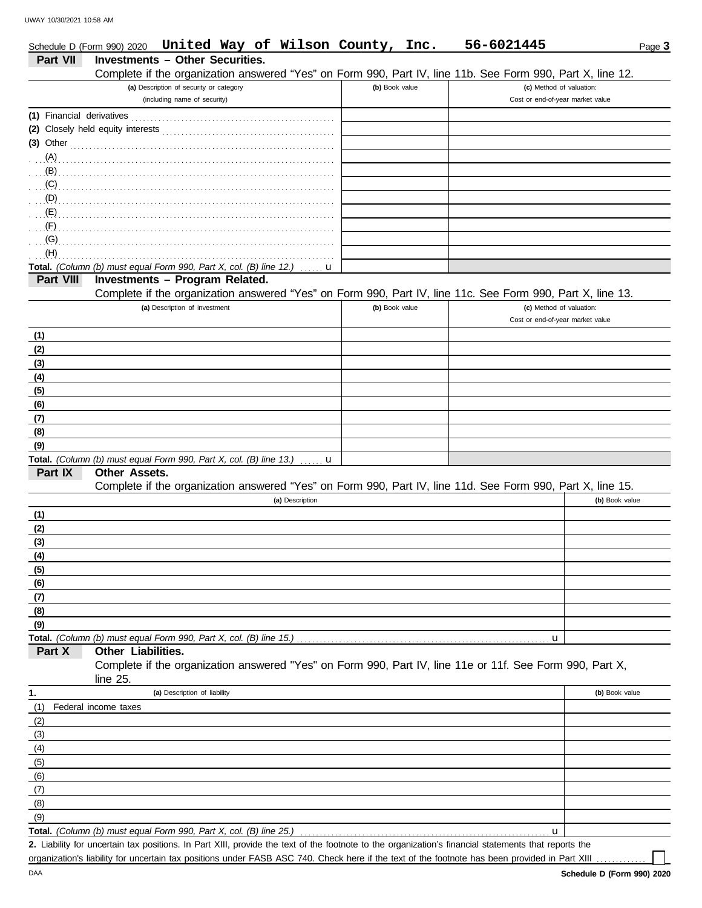|                           | Schedule D (Form 990) 2020 United Way of Wilson County, Inc.                                                     |                | 56-6021445                       | Page 3         |
|---------------------------|------------------------------------------------------------------------------------------------------------------|----------------|----------------------------------|----------------|
| <b>Part VII</b>           | <b>Investments - Other Securities.</b>                                                                           |                |                                  |                |
|                           | Complete if the organization answered "Yes" on Form 990, Part IV, line 11b. See Form 990, Part X, line 12.       |                |                                  |                |
|                           | (a) Description of security or category                                                                          | (b) Book value | (c) Method of valuation:         |                |
|                           | (including name of security)                                                                                     |                | Cost or end-of-year market value |                |
| (1) Financial derivatives |                                                                                                                  |                |                                  |                |
|                           |                                                                                                                  |                |                                  |                |
| $(3)$ Other               |                                                                                                                  |                |                                  |                |
| $(A)$ .                   |                                                                                                                  |                |                                  |                |
| (B)                       |                                                                                                                  |                |                                  |                |
| (C)                       |                                                                                                                  |                |                                  |                |
| $(D)$ .                   |                                                                                                                  |                |                                  |                |
| (E)                       |                                                                                                                  |                |                                  |                |
| (F)                       |                                                                                                                  |                |                                  |                |
| (G)                       |                                                                                                                  |                |                                  |                |
| (H)                       |                                                                                                                  |                |                                  |                |
| Part VIII                 | Total. (Column (b) must equal Form 990, Part X, col. (B) line 12.)<br>u<br><b>Investments - Program Related.</b> |                |                                  |                |
|                           | Complete if the organization answered "Yes" on Form 990, Part IV, line 11c. See Form 990, Part X, line 13.       |                |                                  |                |
|                           | (a) Description of investment                                                                                    | (b) Book value | (c) Method of valuation:         |                |
|                           |                                                                                                                  |                | Cost or end-of-year market value |                |
| (1)                       |                                                                                                                  |                |                                  |                |
| (2)                       |                                                                                                                  |                |                                  |                |
| (3)                       |                                                                                                                  |                |                                  |                |
| (4)                       |                                                                                                                  |                |                                  |                |
| (5)                       |                                                                                                                  |                |                                  |                |
| (6)                       |                                                                                                                  |                |                                  |                |
| (7)                       |                                                                                                                  |                |                                  |                |
| (8)                       |                                                                                                                  |                |                                  |                |
| (9)                       |                                                                                                                  |                |                                  |                |
|                           | Total. (Column (b) must equal Form 990, Part X, col. (B) line 13.)<br>$\ldots$ u                                 |                |                                  |                |
| Part IX                   | <b>Other Assets.</b>                                                                                             |                |                                  |                |
|                           | Complete if the organization answered "Yes" on Form 990, Part IV, line 11d. See Form 990, Part X, line 15.       |                |                                  |                |
|                           | (a) Description                                                                                                  |                |                                  | (b) Book value |
| (1)                       |                                                                                                                  |                |                                  |                |
| (2)                       |                                                                                                                  |                |                                  |                |
| (3)                       |                                                                                                                  |                |                                  |                |
| (4)                       |                                                                                                                  |                |                                  |                |
| (5)                       |                                                                                                                  |                |                                  |                |
| (6)                       |                                                                                                                  |                |                                  |                |
| (7)                       |                                                                                                                  |                |                                  |                |
| (8)                       |                                                                                                                  |                |                                  |                |
| (9)                       |                                                                                                                  |                |                                  |                |
| Part X                    | Total. (Column (b) must equal Form 990, Part X, col. (B) line 15.)<br>Other Liabilities.                         |                | u                                |                |
|                           | Complete if the organization answered "Yes" on Form 990, Part IV, line 11e or 11f. See Form 990, Part X,         |                |                                  |                |
|                           | line $25$ .                                                                                                      |                |                                  |                |
| 1.                        | (a) Description of liability                                                                                     |                |                                  | (b) Book value |
| (1)                       | Federal income taxes                                                                                             |                |                                  |                |
| (2)                       |                                                                                                                  |                |                                  |                |
| (3)                       |                                                                                                                  |                |                                  |                |
| (4)                       |                                                                                                                  |                |                                  |                |
| (5)                       |                                                                                                                  |                |                                  |                |
| (6)                       |                                                                                                                  |                |                                  |                |
| (7)                       |                                                                                                                  |                |                                  |                |
| (8)                       |                                                                                                                  |                |                                  |                |
| (9)                       |                                                                                                                  |                |                                  |                |
|                           | Total. (Column (b) must equal Form 990, Part X, col. (B) line 25.)                                               |                | u                                |                |

Liability for uncertain tax positions. In Part XIII, provide the text of the footnote to the organization's financial statements that reports the **2.** organization's liability for uncertain tax positions under FASB ASC 740. Check here if the text of the footnote has been provided in Part XIII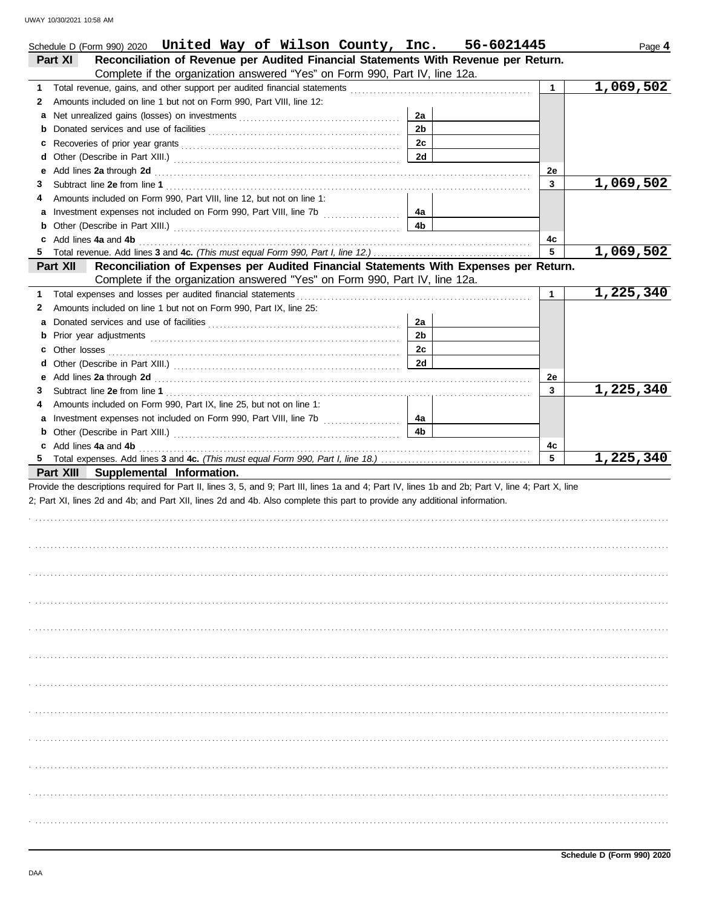| Schedule D (Form 990) 2020 United Way of Wilson County, Inc. 56-6021445                                                                                                                                                             |                |              | Page 4    |
|-------------------------------------------------------------------------------------------------------------------------------------------------------------------------------------------------------------------------------------|----------------|--------------|-----------|
| Reconciliation of Revenue per Audited Financial Statements With Revenue per Return.<br><b>Part XI</b>                                                                                                                               |                |              |           |
| Complete if the organization answered "Yes" on Form 990, Part IV, line 12a.                                                                                                                                                         |                |              |           |
| 1                                                                                                                                                                                                                                   |                | $\mathbf{1}$ | 1,069,502 |
| Amounts included on line 1 but not on Form 990, Part VIII, line 12:<br>2                                                                                                                                                            |                |              |           |
| a                                                                                                                                                                                                                                   | 2a             |              |           |
| b                                                                                                                                                                                                                                   | 2 <sub>b</sub> |              |           |
| C                                                                                                                                                                                                                                   | 2c             |              |           |
| d                                                                                                                                                                                                                                   | 2d             |              |           |
| Add lines 2a through 2d [11] March 20 [11] March 20 [12] March 20 [12] March 20 [12] March 20 [12] March 20 [12] March 20 [12] March 20 [12] March 20 [12] March 20 [12] March 20 [12] March 20 [12] March 20 [12] March 20 [1<br>е |                | 2е           |           |
| 3                                                                                                                                                                                                                                   |                | 3            | 1,069,502 |
| Amounts included on Form 990, Part VIII, line 12, but not on line 1:<br>4                                                                                                                                                           |                |              |           |
| a Investment expenses not included on Form 990, Part VIII, line 7b                                                                                                                                                                  | 4a             |              |           |
|                                                                                                                                                                                                                                     | 4b             |              |           |
| c Add lines 4a and 4b (a) and the contract of the contract of the contract of the contract of the contract of the contract of the contract of the contract of the contract of the contract of the contract of the contract of       |                | 4c           |           |
|                                                                                                                                                                                                                                     |                | 5            | 1,069,502 |
| Reconciliation of Expenses per Audited Financial Statements With Expenses per Return.<br>Part XII                                                                                                                                   |                |              |           |
| Complete if the organization answered "Yes" on Form 990, Part IV, line 12a.                                                                                                                                                         |                |              |           |
| Total expenses and losses per audited financial statements [11] contain the substitution of the statements and the statements and the statements and the statements and the statements of the statements and statements are st<br>1 |                | $\mathbf{1}$ | 1,225,340 |
| Amounts included on line 1 but not on Form 990, Part IX, line 25:<br>2                                                                                                                                                              |                |              |           |
| a                                                                                                                                                                                                                                   | 2a             |              |           |
| b                                                                                                                                                                                                                                   | 2 <sub>b</sub> |              |           |
| c Other losses <b>contracts</b> and the contract of the contract of the contract of the contract of the contract of the contract of the contract of the contract of the contract of the contract of the contract of the contract of | 2c             |              |           |
| d                                                                                                                                                                                                                                   | 2d             |              |           |
| Add lines 2a through 2d [11] March 2014 [12] March 2014 [12] March 2014 [12] March 2014 [12] March 2014 [12] March 2015 [12] March 2014 [12] March 2014 [12] March 2014 [12] March 2014 [12] March 2014 [12] March 2014 [12] M<br>е |                | 2e           |           |
| 3                                                                                                                                                                                                                                   |                | 3            | 1,225,340 |
| Amounts included on Form 990, Part IX, line 25, but not on line 1:<br>4                                                                                                                                                             |                |              |           |
| a Investment expenses not included on Form 990, Part VIII, line 7b [                                                                                                                                                                | 4a             |              |           |
|                                                                                                                                                                                                                                     | 4 <sub>b</sub> |              |           |
| c Add lines 4a and 4b (a) and the contract of the contract of the contract of the contract of the contract of the contract of the contract of the contract of the contract of the contract of the contract of the contract of       |                | 4c           |           |
|                                                                                                                                                                                                                                     |                | 5            | 1,225,340 |
| Part XIII Supplemental Information.                                                                                                                                                                                                 |                |              |           |
| Provide the descriptions required for Part II, lines 3, 5, and 9; Part III, lines 1a and 4; Part IV, lines 1b and 2b; Part V, line 4; Part X, line                                                                                  |                |              |           |
| 2; Part XI, lines 2d and 4b; and Part XII, lines 2d and 4b. Also complete this part to provide any additional information.                                                                                                          |                |              |           |
|                                                                                                                                                                                                                                     |                |              |           |
|                                                                                                                                                                                                                                     |                |              |           |
|                                                                                                                                                                                                                                     |                |              |           |
|                                                                                                                                                                                                                                     |                |              |           |
|                                                                                                                                                                                                                                     |                |              |           |
|                                                                                                                                                                                                                                     |                |              |           |
|                                                                                                                                                                                                                                     |                |              |           |
|                                                                                                                                                                                                                                     |                |              |           |
|                                                                                                                                                                                                                                     |                |              |           |
|                                                                                                                                                                                                                                     |                |              |           |
|                                                                                                                                                                                                                                     |                |              |           |
|                                                                                                                                                                                                                                     |                |              |           |
|                                                                                                                                                                                                                                     |                |              |           |
|                                                                                                                                                                                                                                     |                |              |           |
|                                                                                                                                                                                                                                     |                |              |           |
|                                                                                                                                                                                                                                     |                |              |           |
|                                                                                                                                                                                                                                     |                |              |           |
|                                                                                                                                                                                                                                     |                |              |           |
|                                                                                                                                                                                                                                     |                |              |           |
|                                                                                                                                                                                                                                     |                |              |           |
|                                                                                                                                                                                                                                     |                |              |           |
|                                                                                                                                                                                                                                     |                |              |           |
|                                                                                                                                                                                                                                     |                |              |           |
|                                                                                                                                                                                                                                     |                |              |           |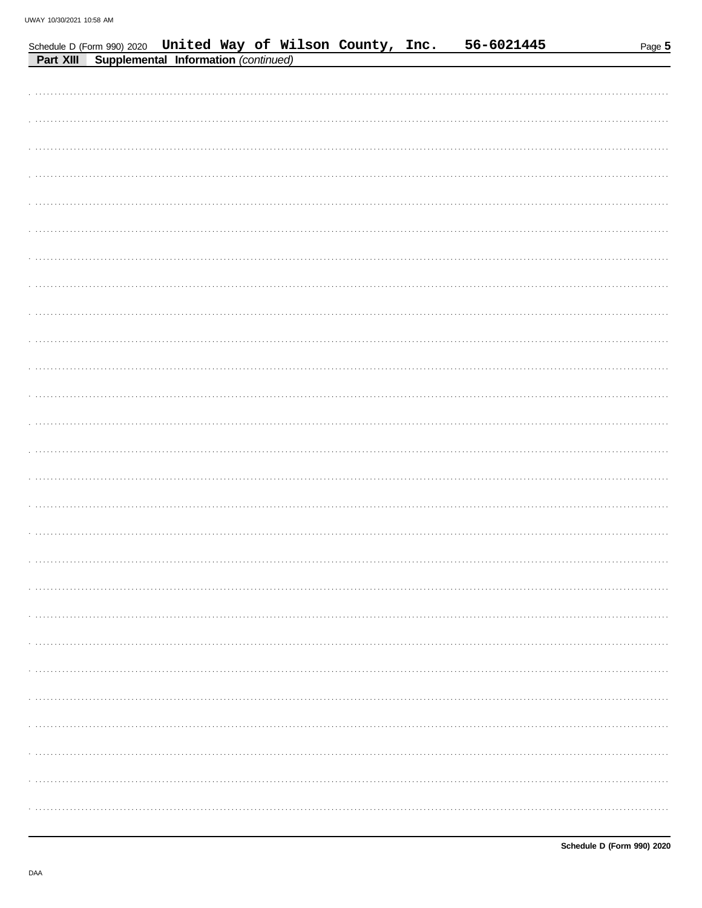|           |                                      |  | Schedule D (Form 990) 2020 United Way of Wilson County, Inc. | 56-6021445 | Page 5 |
|-----------|--------------------------------------|--|--------------------------------------------------------------|------------|--------|
| Part XIII | Supplemental Information (continued) |  |                                                              |            |        |
|           |                                      |  |                                                              |            |        |
|           |                                      |  |                                                              |            |        |
|           |                                      |  |                                                              |            |        |
|           |                                      |  |                                                              |            |        |
|           |                                      |  |                                                              |            |        |
|           |                                      |  |                                                              |            |        |
|           |                                      |  |                                                              |            |        |
|           |                                      |  |                                                              |            |        |
|           |                                      |  |                                                              |            |        |
|           |                                      |  |                                                              |            |        |
|           |                                      |  |                                                              |            |        |
|           |                                      |  |                                                              |            |        |
|           |                                      |  |                                                              |            |        |
|           |                                      |  |                                                              |            |        |
|           |                                      |  |                                                              |            |        |
|           |                                      |  |                                                              |            |        |
|           |                                      |  |                                                              |            |        |
|           |                                      |  |                                                              |            |        |
|           |                                      |  |                                                              |            |        |
|           |                                      |  |                                                              |            |        |
|           |                                      |  |                                                              |            |        |
|           |                                      |  |                                                              |            |        |
|           |                                      |  |                                                              |            |        |
|           |                                      |  |                                                              |            |        |
|           |                                      |  |                                                              |            |        |
|           |                                      |  |                                                              |            |        |
|           |                                      |  |                                                              |            |        |
|           |                                      |  |                                                              |            |        |
|           |                                      |  |                                                              |            |        |
|           |                                      |  |                                                              |            |        |
|           |                                      |  |                                                              |            |        |
|           |                                      |  |                                                              |            |        |
|           |                                      |  |                                                              |            |        |
|           |                                      |  |                                                              |            |        |
|           |                                      |  |                                                              |            |        |
|           |                                      |  |                                                              |            |        |
|           |                                      |  |                                                              |            |        |
|           |                                      |  |                                                              |            |        |
|           |                                      |  |                                                              |            |        |
|           |                                      |  |                                                              |            |        |
|           |                                      |  |                                                              |            |        |
|           |                                      |  |                                                              |            |        |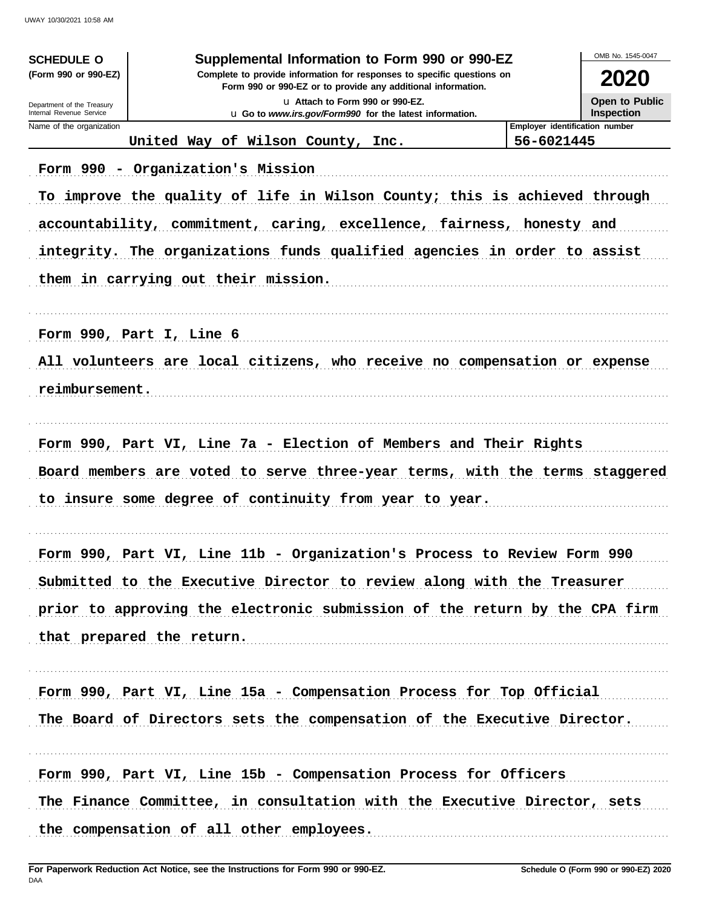| <b>SCHEDULE O</b>                                                                                                                                              | Supplemental Information to Form 990 or 990-EZ                              |                                | OMB No. 1545-0047 |  |  |  |  |  |
|----------------------------------------------------------------------------------------------------------------------------------------------------------------|-----------------------------------------------------------------------------|--------------------------------|-------------------|--|--|--|--|--|
| (Form 990 or 990-EZ)<br>Complete to provide information for responses to specific questions on<br>Form 990 or 990-EZ or to provide any additional information. |                                                                             |                                |                   |  |  |  |  |  |
| Department of the Treasury                                                                                                                                     | La Attach to Form 990 or 990-EZ.                                            |                                |                   |  |  |  |  |  |
| Internal Revenue Service<br>Name of the organization                                                                                                           | u Go to www.irs.gov/Form990 for the latest information.                     | Employer identification number | <b>Inspection</b> |  |  |  |  |  |
|                                                                                                                                                                | United Way of Wilson County, Inc.                                           | 56-6021445                     |                   |  |  |  |  |  |
|                                                                                                                                                                | Form 990 - Organization's Mission                                           |                                |                   |  |  |  |  |  |
|                                                                                                                                                                | To improve the quality of life in Wilson County; this is achieved through   |                                |                   |  |  |  |  |  |
|                                                                                                                                                                | accountability, commitment, caring, excellence, fairness, honesty and       |                                |                   |  |  |  |  |  |
|                                                                                                                                                                | integrity. The organizations funds qualified agencies in order to assist    |                                |                   |  |  |  |  |  |
|                                                                                                                                                                | them in carrying out their mission.                                         |                                |                   |  |  |  |  |  |
|                                                                                                                                                                | Form 990, Part I, Line 6                                                    |                                |                   |  |  |  |  |  |
|                                                                                                                                                                | All volunteers are local citizens, who receive no compensation or expense   |                                |                   |  |  |  |  |  |
| reimbursement.                                                                                                                                                 |                                                                             |                                |                   |  |  |  |  |  |
|                                                                                                                                                                |                                                                             |                                |                   |  |  |  |  |  |
|                                                                                                                                                                | Form 990, Part VI, Line 7a - Election of Members and Their Rights           |                                |                   |  |  |  |  |  |
|                                                                                                                                                                | Board members are voted to serve three-year terms, with the terms staggered |                                |                   |  |  |  |  |  |
|                                                                                                                                                                | to insure some degree of continuity from year to year.                      |                                |                   |  |  |  |  |  |
|                                                                                                                                                                | Form 990, Part VI, Line 11b - Organization's Process to Review Form 990     |                                |                   |  |  |  |  |  |
|                                                                                                                                                                | Submitted to the Executive Director to review along with the Treasurer      |                                |                   |  |  |  |  |  |
|                                                                                                                                                                | prior to approving the electronic submission of the return by the CPA firm  |                                |                   |  |  |  |  |  |
|                                                                                                                                                                | that prepared the return.                                                   |                                |                   |  |  |  |  |  |
|                                                                                                                                                                | Form 990, Part VI, Line 15a - Compensation Process for Top Official         |                                |                   |  |  |  |  |  |
|                                                                                                                                                                | The Board of Directors sets the compensation of the Executive Director.     |                                |                   |  |  |  |  |  |
|                                                                                                                                                                | Form 990, Part VI, Line 15b - Compensation Process for Officers             |                                |                   |  |  |  |  |  |
|                                                                                                                                                                | The Finance Committee, in consultation with the Executive Director, sets    |                                |                   |  |  |  |  |  |
|                                                                                                                                                                | the compensation of all other employees.                                    |                                |                   |  |  |  |  |  |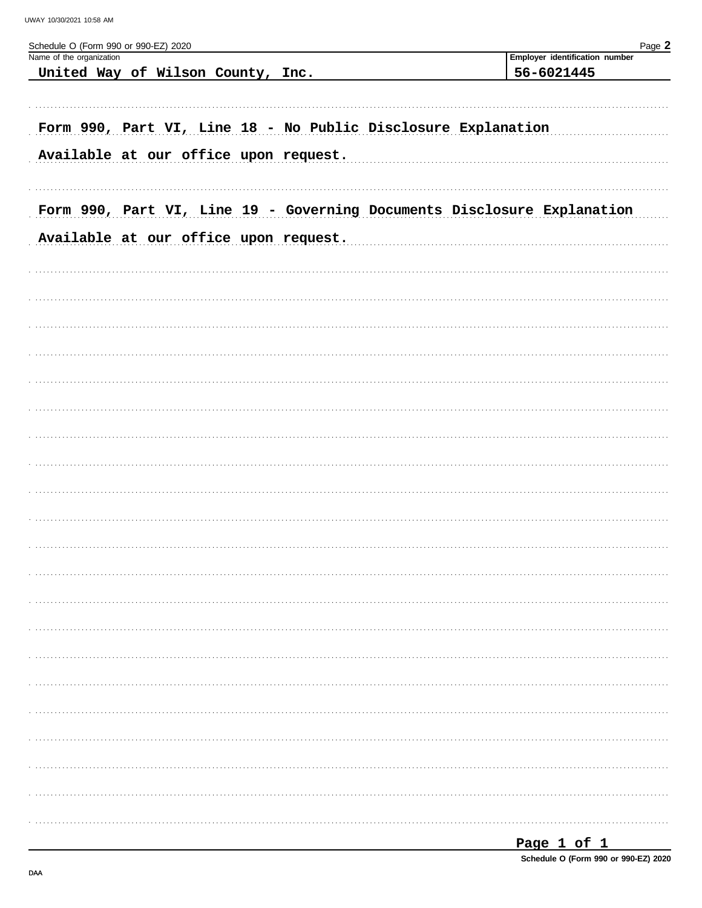| Schedule O (Form 990 or 990-EZ) 2020<br>Name of the organization        | Page 2<br>Employer identification number |
|-------------------------------------------------------------------------|------------------------------------------|
| United Way of Wilson County, Inc.                                       | 56-6021445                               |
|                                                                         |                                          |
| Form 990, Part VI, Line 18 - No Public Disclosure Explanation           |                                          |
| Available at our office upon request.                                   |                                          |
|                                                                         |                                          |
| Form 990, Part VI, Line 19 - Governing Documents Disclosure Explanation |                                          |
|                                                                         |                                          |
| Available at our office upon request.                                   |                                          |
|                                                                         |                                          |
|                                                                         |                                          |
|                                                                         |                                          |
|                                                                         |                                          |
|                                                                         |                                          |
|                                                                         |                                          |
|                                                                         |                                          |
|                                                                         |                                          |
|                                                                         |                                          |
|                                                                         |                                          |
|                                                                         |                                          |
|                                                                         |                                          |
|                                                                         |                                          |
|                                                                         |                                          |
|                                                                         |                                          |
|                                                                         |                                          |
|                                                                         |                                          |
|                                                                         |                                          |
|                                                                         |                                          |
|                                                                         |                                          |
|                                                                         |                                          |
|                                                                         |                                          |
|                                                                         |                                          |

Schedule O (Form 990 or 990-EZ) 2020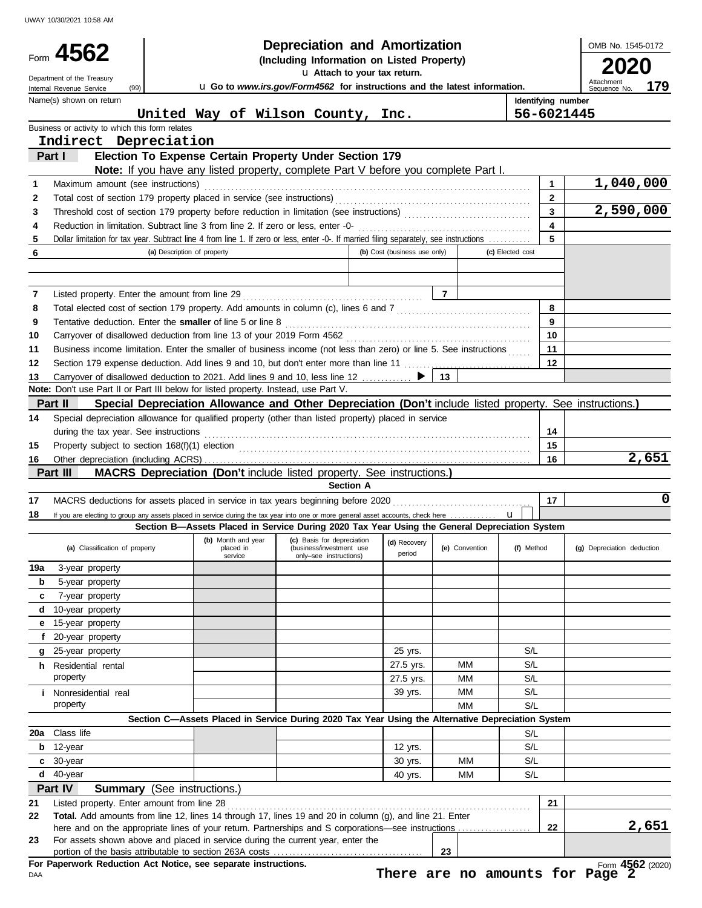|       |                                                                                 |                                                                                                                                         | <b>Depreciation and Amortization</b>                                                                             |                              |                |                    | OMB No. 1545-0172                 |
|-------|---------------------------------------------------------------------------------|-----------------------------------------------------------------------------------------------------------------------------------------|------------------------------------------------------------------------------------------------------------------|------------------------------|----------------|--------------------|-----------------------------------|
|       | Form 4562<br>(Including Information on Listed Property)                         |                                                                                                                                         |                                                                                                                  |                              |                |                    |                                   |
|       | u Attach to your tax return.<br>Department of the Treasury                      |                                                                                                                                         |                                                                                                                  |                              |                | 2020               |                                   |
|       | (99)<br>Internal Revenue Service                                                |                                                                                                                                         | u Go to www.irs.gov/Form4562 for instructions and the latest information.                                        |                              |                |                    | Attachment<br>179<br>Sequence No. |
|       | Name(s) shown on return                                                         |                                                                                                                                         |                                                                                                                  |                              |                | Identifying number |                                   |
|       |                                                                                 | United Way of Wilson County, Inc.                                                                                                       |                                                                                                                  |                              |                | 56-6021445         |                                   |
|       | Business or activity to which this form relates                                 |                                                                                                                                         |                                                                                                                  |                              |                |                    |                                   |
|       | Indirect Depreciation                                                           |                                                                                                                                         |                                                                                                                  |                              |                |                    |                                   |
|       | Part I                                                                          | Election To Expense Certain Property Under Section 179                                                                                  |                                                                                                                  |                              |                |                    |                                   |
|       |                                                                                 | Note: If you have any listed property, complete Part V before you complete Part I.                                                      |                                                                                                                  |                              |                |                    |                                   |
| 1     | Maximum amount (see instructions)                                               |                                                                                                                                         |                                                                                                                  |                              |                | $\mathbf{1}$       | 1,040,000                         |
| 2     |                                                                                 | Total cost of section 179 property placed in service (see instructions)                                                                 |                                                                                                                  |                              |                | $\mathbf{2}$       |                                   |
| 3     |                                                                                 |                                                                                                                                         |                                                                                                                  |                              |                | 3                  | 2,590,000                         |
| 4     |                                                                                 | Reduction in limitation. Subtract line 3 from line 2. If zero or less, enter -0-                                                        |                                                                                                                  |                              |                | 4                  |                                   |
| 5     |                                                                                 | Dollar limitation for tax year. Subtract line 4 from line 1. If zero or less, enter -0-. If married filing separately, see instructions |                                                                                                                  |                              |                | 5                  |                                   |
| 6     |                                                                                 | (a) Description of property                                                                                                             |                                                                                                                  | (b) Cost (business use only) |                | (c) Elected cost   |                                   |
|       |                                                                                 |                                                                                                                                         |                                                                                                                  |                              |                |                    |                                   |
|       |                                                                                 |                                                                                                                                         |                                                                                                                  |                              |                |                    |                                   |
| 7     | Listed property. Enter the amount from line 29                                  |                                                                                                                                         |                                                                                                                  |                              | $\overline{7}$ |                    |                                   |
| 8     |                                                                                 | Total elected cost of section 179 property. Add amounts in column (c), lines 6 and 7 [[[[[[[[[[[[[[[[[[[[[[[[[                          |                                                                                                                  |                              |                | 8                  |                                   |
| 9     |                                                                                 | Tentative deduction. Enter the smaller of line 5 or line 8                                                                              |                                                                                                                  |                              |                | 9                  |                                   |
| 10    |                                                                                 |                                                                                                                                         |                                                                                                                  |                              |                | 10                 |                                   |
| 11    |                                                                                 | Business income limitation. Enter the smaller of business income (not less than zero) or line 5. See instructions                       |                                                                                                                  |                              |                | 11                 |                                   |
| 12    |                                                                                 |                                                                                                                                         |                                                                                                                  |                              |                | 12                 |                                   |
| 13    |                                                                                 | Carryover of disallowed deduction to 2021. Add lines 9 and 10, less line 12 ▶                                                           |                                                                                                                  |                              | 13             |                    |                                   |
|       |                                                                                 | Note: Don't use Part II or Part III below for listed property. Instead, use Part V.                                                     |                                                                                                                  |                              |                |                    |                                   |
|       | Part II                                                                         | Special Depreciation Allowance and Other Depreciation (Don't include listed property. See instructions.)                                |                                                                                                                  |                              |                |                    |                                   |
| 14    |                                                                                 | Special depreciation allowance for qualified property (other than listed property) placed in service                                    |                                                                                                                  |                              |                |                    |                                   |
|       | during the tax year. See instructions                                           |                                                                                                                                         |                                                                                                                  |                              |                | 14                 |                                   |
| 15    |                                                                                 | Property subject to section 168(f)(1) election <i>contained a contained a contained a contained a contained a contained a</i>           |                                                                                                                  |                              |                | 15                 |                                   |
| 16    |                                                                                 |                                                                                                                                         |                                                                                                                  |                              |                | 16                 | 2,651                             |
|       | Part III                                                                        | <b>MACRS Depreciation (Don't include listed property. See instructions.)</b>                                                            |                                                                                                                  |                              |                |                    |                                   |
|       |                                                                                 |                                                                                                                                         | <b>Section A</b>                                                                                                 |                              |                |                    |                                   |
| 17    |                                                                                 | MACRS deductions for assets placed in service in tax years beginning before 2020                                                        |                                                                                                                  |                              |                | 17                 | 0                                 |
| 18    |                                                                                 | If you are electing to group any assets placed in service during the tax year into one or more general asset accounts, check here       |                                                                                                                  |                              |                | $\mathbf{u}$       |                                   |
|       |                                                                                 | Section B-Assets Placed in Service During 2020 Tax Year Using the General Depreciation System                                           |                                                                                                                  |                              |                |                    |                                   |
|       | (a) Classification of property                                                  | placed in<br>service                                                                                                                    | (b) Month and year (c) Basis for depreciation (d) Recovery<br>(business/investment use<br>only-see instructions) | period                       | (e) Convention | (f) Method         | (g) Depreciation deduction        |
| 19a   | 3-year property                                                                 |                                                                                                                                         |                                                                                                                  |                              |                |                    |                                   |
| b     | 5-year property                                                                 |                                                                                                                                         |                                                                                                                  |                              |                |                    |                                   |
| c     | 7-year property                                                                 |                                                                                                                                         |                                                                                                                  |                              |                |                    |                                   |
| d     | 10-year property                                                                |                                                                                                                                         |                                                                                                                  |                              |                |                    |                                   |
| е     | 15-year property                                                                |                                                                                                                                         |                                                                                                                  |                              |                |                    |                                   |
| f     | 20-year property                                                                |                                                                                                                                         |                                                                                                                  |                              |                |                    |                                   |
| q     | 25-year property                                                                |                                                                                                                                         |                                                                                                                  | 25 yrs.                      |                | S/L                |                                   |
|       | <b>h</b> Residential rental                                                     |                                                                                                                                         |                                                                                                                  | 27.5 yrs.                    | MM             | S/L                |                                   |
|       | property                                                                        |                                                                                                                                         |                                                                                                                  | 27.5 yrs.                    | MM             | S/L                |                                   |
|       | <i>i</i> Nonresidential real                                                    |                                                                                                                                         |                                                                                                                  | 39 yrs.                      | MM             | S/L                |                                   |
|       | property                                                                        |                                                                                                                                         |                                                                                                                  |                              | MM             | S/L                |                                   |
|       |                                                                                 | Section C-Assets Placed in Service During 2020 Tax Year Using the Alternative Depreciation System                                       |                                                                                                                  |                              |                |                    |                                   |
| 20a l | Class life                                                                      |                                                                                                                                         |                                                                                                                  |                              |                | S/L                |                                   |
| b     | 12-year                                                                         |                                                                                                                                         |                                                                                                                  | 12 yrs.                      |                | S/L                |                                   |
| c.    | 30-year                                                                         |                                                                                                                                         |                                                                                                                  | 30 yrs.                      | MМ             | S/L                |                                   |
|       | $d$ 40-year                                                                     |                                                                                                                                         |                                                                                                                  | 40 yrs.                      | MМ             | S/L                |                                   |
|       | Part IV                                                                         | <b>Summary</b> (See instructions.)                                                                                                      |                                                                                                                  |                              |                |                    |                                   |
| 21    | Listed property. Enter amount from line 28                                      |                                                                                                                                         |                                                                                                                  |                              |                | 21                 |                                   |
| 22    |                                                                                 | Total. Add amounts from line 12, lines 14 through 17, lines 19 and 20 in column (g), and line 21. Enter                                 |                                                                                                                  |                              |                |                    |                                   |
|       |                                                                                 | here and on the appropriate lines of your return. Partnerships and S corporations—see instructions                                      |                                                                                                                  |                              |                | 22                 | 2,651                             |
| 23    | For assets shown above and placed in service during the current year, enter the |                                                                                                                                         |                                                                                                                  |                              |                |                    |                                   |
|       |                                                                                 |                                                                                                                                         |                                                                                                                  |                              |                |                    |                                   |
|       |                                                                                 | For Paperwork Reduction Act Notice, see separate instructions.                                                                          |                                                                                                                  |                              | 23             |                    | Form 4562 (2020)                  |

**There are no amounts for Page 2**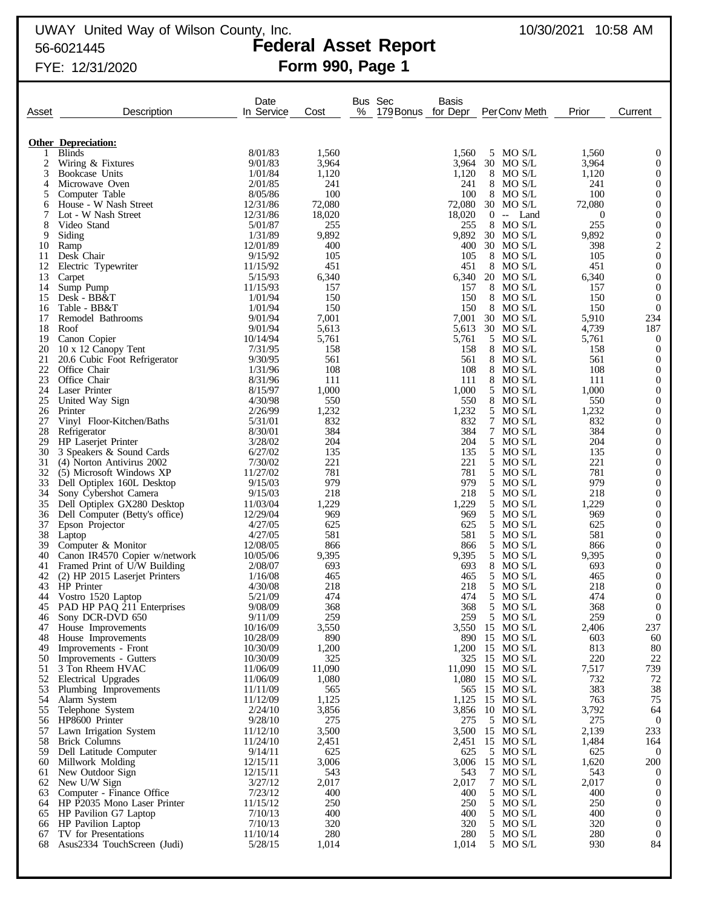# UWAY United Way of Wilson County, Inc. 10/30/2021 10:58 AM 56-6021445 **Federal Asset Report**

# FYE: 12/31/2020 **Form 990, Page 1**

| Asset    | Description                                         | Date<br>In Service   | Cost            | Bus Sec<br>%<br>179 Bonus for Depr | Basis          | Per Conv Meth                | Prior            | Current                              |
|----------|-----------------------------------------------------|----------------------|-----------------|------------------------------------|----------------|------------------------------|------------------|--------------------------------------|
|          |                                                     |                      |                 |                                    |                |                              |                  |                                      |
|          | <b>Other Depreciation:</b>                          |                      |                 |                                    |                |                              |                  |                                      |
| 1        | <b>Blinds</b>                                       | 8/01/83<br>9/01/83   | 1,560<br>3,964  |                                    | 1,560<br>3.964 | 5 MO S/L<br>30<br>MO S/L     | 1,560<br>3,964   | $\boldsymbol{0}$<br>$\mathbf{0}$     |
| 2<br>3   | Wiring & Fixtures<br>Bookcase Units                 | 1/01/84              | 1,120           |                                    | 1,120          | 8 MO S/L                     | 1,120            | $\mathbf{0}$                         |
| 4        | Microwave Oven                                      | 2/01/85              | 241             |                                    | 241            | MO S/L<br>8                  | 241              | $\mathbf{0}$                         |
| 5        | Computer Table                                      | 8/05/86              | 100             |                                    | 100            | 8 MOS/L                      | 100              | $\boldsymbol{0}$                     |
| 6        | House - W Nash Street                               | 12/31/86             | 72,080          |                                    | 72,080         | 30 MO S/L                    | 72,080           | $\boldsymbol{0}$                     |
| 7        | Lot - W Nash Street                                 | 12/31/86             | 18,020          |                                    | 18,020         | $0 -$ Land                   | $\boldsymbol{0}$ | $\boldsymbol{0}$                     |
| 8        | Video Stand                                         | 5/01/87              | 255             |                                    | 255            | 8 MO S/L                     | 255              | $\mathbf{0}$                         |
| 9        | Siding                                              | 1/31/89              | 9,892           |                                    | 9,892          | 30 MO S/L                    | 9,892            | $\mathbf{0}$                         |
| 10       | Ramp                                                | 12/01/89             | 400             |                                    | 400            | 30 MO S/L                    | 398              | $\sqrt{2}$                           |
| 11       | Desk Chair                                          | 9/15/92              | 105             |                                    | 105            | 8 MOS/L                      | 105              | $\boldsymbol{0}$                     |
| 12       | Electric Typewriter                                 | 11/15/92             | 451             |                                    | 451            | 8 MOS/L                      | 451              | $\boldsymbol{0}$                     |
| 13<br>14 | Carpet                                              | 5/15/93<br>11/15/93  | 6,340<br>157    |                                    | 6,340<br>157   | 20 MO S/L<br>8 MOS/L         | 6,340            | $\mathbf{0}$<br>$\mathbf{0}$         |
| 15       | Sump Pump<br>Desk - BB&T                            | 1/01/94              | 150             |                                    | 150            | 8 MOS/L                      | 157<br>150       | $\mathbf{0}$                         |
| 16       | Table - BB&T                                        | 1/01/94              | 150             |                                    | 150            | 8<br>MO S/L                  | 150              | $\mathbf{0}$                         |
| 17       | Remodel Bathrooms                                   | 9/01/94              | 7,001           |                                    | 7,001          | 30 MO S/L                    | 5,910            | 234                                  |
| 18       | Roof                                                | 9/01/94              | 5,613           |                                    | 5,613          | 30 MO S/L                    | 4,739            | 187                                  |
| 19       | Canon Copier                                        | 10/14/94             | 5,761           |                                    | 5,761          | 5 MO S/L                     | 5,761            | $\boldsymbol{0}$                     |
| 20       | 10 x 12 Canopy Tent                                 | 7/31/95              | 158             |                                    | 158            | 8<br>MO S/L                  | 158              | $\mathbf{0}$                         |
| 21       | 20.6 Cubic Foot Refrigerator                        | 9/30/95              | 561             |                                    | 561            | 8 MOS/L                      | 561              | $\boldsymbol{0}$                     |
| 22       | Office Chair                                        | 1/31/96              | 108             |                                    | 108            | 8<br>MO S/L                  | 108              | $\mathbf{0}$                         |
| 23       | Office Chair                                        | 8/31/96              | 111             |                                    | 111            | 8 MOS/L                      | 111              | $\mathbf{0}$                         |
| 24       | Laser Printer                                       | 8/15/97              | 1,000           |                                    | 1,000          | MO S/L<br>5                  | 1,000            | $\boldsymbol{0}$                     |
| 25       | United Way Sign                                     | 4/30/98<br>2/26/99   | 550             |                                    | 550            | 8 MOS/L                      | 550              | $\boldsymbol{0}$                     |
| 26<br>27 | Printer<br>Vinyl Floor-Kitchen/Baths                | 5/31/01              | 1,232<br>832    |                                    | 1,232<br>832   | 5<br>MO S/L<br>MO S/L<br>7   | 1,232<br>832     | $\boldsymbol{0}$<br>$\boldsymbol{0}$ |
| 28       | Refrigerator                                        | 8/30/01              | 384             |                                    | 384            | 7<br>MO S/L                  | 384              | $\boldsymbol{0}$                     |
| 29       | HP Laserjet Printer                                 | 3/28/02              | 204             |                                    | 204            | 5 MO S/L                     | 204              | $\boldsymbol{0}$                     |
| 30       | 3 Speakers & Sound Cards                            | 6/27/02              | 135             |                                    | 135            | 5<br>MO S/L                  | 135              | $\boldsymbol{0}$                     |
| 31       | (4) Norton Antivirus 2002                           | 7/30/02              | 221             |                                    | 221            | 5 MO S/L                     | 221              | $\boldsymbol{0}$                     |
| 32       | (5) Microsoft Windows XP                            | 11/27/02             | 781             |                                    | 781            | 5<br>MO S/L                  | 781              | $\boldsymbol{0}$                     |
| 33       | Dell Optiplex 160L Desktop                          | 9/15/03              | 979             |                                    | 979            | 5 MO S/L                     | 979              | $\boldsymbol{0}$                     |
| 34       | Sony Cybershot Camera                               | 9/15/03              | 218             |                                    | 218            | 5<br>MO S/L                  | 218              | $\boldsymbol{0}$                     |
| 35       | Dell Optiplex GX280 Desktop                         | 11/03/04             | 1,229           |                                    | 1,229          | 5 MO S/L                     | 1,229            | $\boldsymbol{0}$                     |
| 36       | Dell Computer (Betty's office)                      | 12/29/04             | 969             |                                    | 969            | 5<br>MO S/L                  | 969              | $\boldsymbol{0}$                     |
| 37       | Epson Projector                                     | 4/27/05              | 625             |                                    | 625            | 5 MO S/L                     | 625              | $\boldsymbol{0}$                     |
| 38<br>39 | Laptop                                              | 4/27/05<br>12/08/05  | 581<br>866      |                                    | 581<br>866     | 5<br>MO S/L<br>5 MO S/L      | 581              | $\boldsymbol{0}$<br>$\boldsymbol{0}$ |
| 40       | Computer & Monitor<br>Canon IR4570 Copier w/network | 10/05/06             | 9,395           |                                    | 9,395          | 5 MO S/L                     | 866<br>9,395     | $\boldsymbol{0}$                     |
| 41       | Framed Print of U/W Building                        | 2/08/07              | 693             |                                    | 693            | 8 MOS/L                      | 693              | $\boldsymbol{0}$                     |
| 42       | (2) HP 2015 Laserjet Printers                       | 1/16/08              | 465             |                                    | 465            | MO S/L<br>5                  | 465              | $\boldsymbol{0}$                     |
| 43       | HP Printer                                          | 4/30/08              | 218             |                                    | 218            | 5 MO S/L                     | 218              | $\mathbf{0}$                         |
| 44       | Vostro 1520 Laptop                                  | 5/21/09              | 474             |                                    | 474            | 5<br>MO S/L                  | 474              | $\boldsymbol{0}$                     |
| 45       | PAD HP PAQ 211 Enterprises                          | 9/08/09              | 368             |                                    | 368            | 5 MOS/L                      | 368              | $\overline{0}$                       |
| 46       | Sony DCR-DVD 650                                    | 9/11/09              | 259             |                                    | 259            | 5 MO S/L                     | 259              | $\overline{0}$                       |
| 47       | House Improvements                                  | 10/16/09             | 3,550           |                                    | 3,550          | 15 MO S/L                    | 2,406            | 237                                  |
| 48       | House Improvements                                  | 10/28/09             | 890             |                                    |                | 890 15 MO S/L                | 603              | 60                                   |
| 49       | Improvements - Front                                | 10/30/09             | 1,200           |                                    |                | 1,200 15 MO S/L              | 813              | 80                                   |
| 50       | Improvements - Gutters                              | 10/30/09             | 325             |                                    | 325            | 15 MO S/L                    | 220              | $22\,$                               |
| 51<br>52 | 3 Ton Rheem HVAC                                    | 11/06/09<br>11/06/09 | 11,090<br>1,080 |                                    | 11,090         | 15 MO S/L<br>1,080 15 MO S/L | 7,517<br>732     | 739<br>72                            |
| 53       | Electrical Upgrades<br>Plumbing Improvements        | 11/11/09             | 565             |                                    | 565            | 15 MO S/L                    | 383              | 38                                   |
| 54       | Alarm System                                        | 11/12/09             | 1,125           |                                    | 1,125          | 15 MO S/L                    | 763              | 75                                   |
| 55       | Telephone System                                    | 2/24/10              | 3,856           |                                    | 3,856          | $10$ MO S/L                  | 3,792            | 64                                   |
| 56       | HP8600 Printer                                      | 9/28/10              | 275             |                                    | 275            | 5 MO S/L                     | 275              | $\overline{0}$                       |
| 57       | Lawn Irrigation System                              | 11/12/10             | 3,500           |                                    | 3,500          | 15 MO S/L                    | 2,139            | 233                                  |
| 58       | <b>Brick Columns</b>                                | 11/24/10             | 2,451           |                                    | 2,451          | 15 MO S/L                    | 1,484            | 164                                  |
| 59       | Dell Latitude Computer                              | 9/14/11              | 625             |                                    | 625            | 5 MO S/L                     | 625              | $\boldsymbol{0}$                     |
| 60       | Millwork Molding                                    | 12/15/11             | 3,006           |                                    | 3,006          | 15 MO S/L                    | 1,620            | 200                                  |
| 61       | New Outdoor Sign                                    | 12/15/11             | 543             |                                    | 543            | 7 MO S/L                     | 543              | $\overline{0}$                       |
| 62       | New U/W Sign                                        | 3/27/12              | 2,017           |                                    | 2,017          | $\tau$<br>MO S/L             | 2,017            | $\mathbf{0}$                         |
| 63       | Computer - Finance Office                           | 7/23/12              | 400             |                                    | 400            | 5 MO S/L                     | 400              | $\mathbf{0}$                         |
| 64       | HP P2035 Mono Laser Printer                         | 11/15/12             | 250             |                                    | 250            | 5 MO S/L                     | 250              | $\mathbf{0}$                         |
|          | 65 HP Pavilion G7 Laptop                            | 7/10/13              | 400             |                                    | 400            | 5 MO S/L                     | 400              | $\mathbf{0}$                         |
| 66       | <b>HP</b> Pavilion Laptop                           | 7/10/13              | 320             |                                    | 320            | 5 MO S/L                     | 320              | $\mathbf{0}$                         |
| 67<br>68 | TV for Presentations<br>Asus2334 TouchScreen (Judi) | 11/10/14<br>5/28/15  | 280<br>1,014    |                                    | 280<br>1,014   | 5 MO S/L<br>5 MO S/L         | 280<br>930       | $\mathbf{0}$<br>84                   |
|          |                                                     |                      |                 |                                    |                |                              |                  |                                      |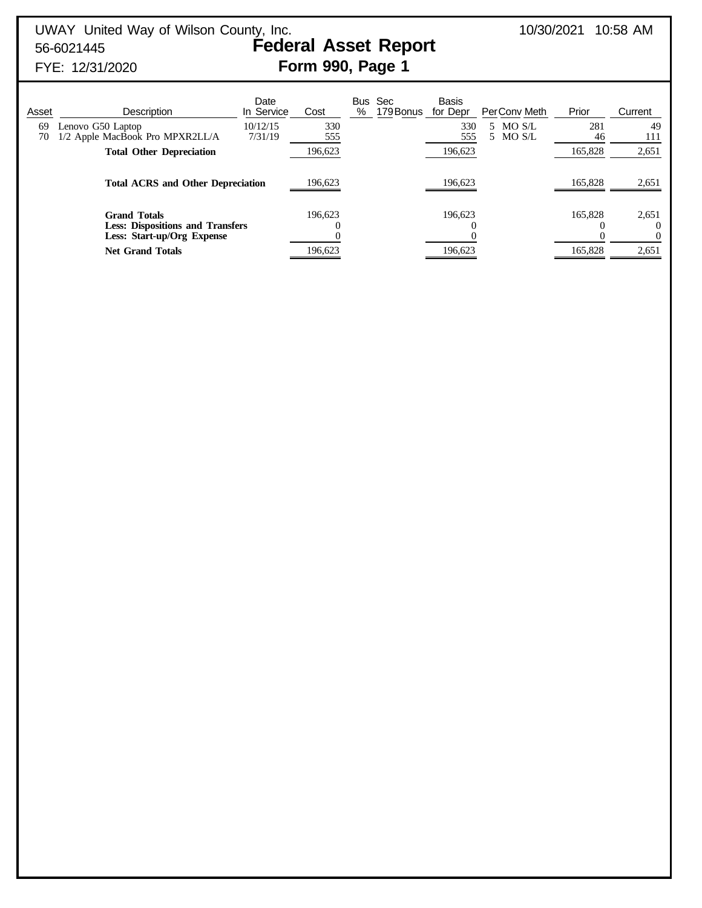# FYE: 12/31/2020 **Form 990, Page 1**

# Date Bus Sec Basis<br>In Service Cost % 179Bonus for Dep Asset Description In Service Cost % 179Bonus for Depr PerConv Meth Prior Current 69 Lenovo G50 Laptop 10/12/15 330 330 5 MO S/L 281 49 70 1/2 Apple MacBook Pro MPXR2LL/A 7/31/19 555 5 5 5 5 5 MO S/L 555 5 111 **Total Other Depreciation** 196,623 196,623 165,828 2,651 **Total ACRS and Other Depreciation** 196,623 196,623 196,623 165,828 2,651 **Grand Totals** 196,623 196,623 196,623 165,828 2,651 **Less: Dispositions and Transfers**  $\begin{array}{ccccccc} 0 & 0 & 0 & 0 \\ \textbf{Less: } \textbf{Start-up/Org} & \textbf{Express: } & 0 & 0 \\ 0 & 0 & 0 & 0 \\ \end{array}$ **Less: Start-up/Org Expense Net Grand Totals** 196,623 196,623 196,623 165,828 2,651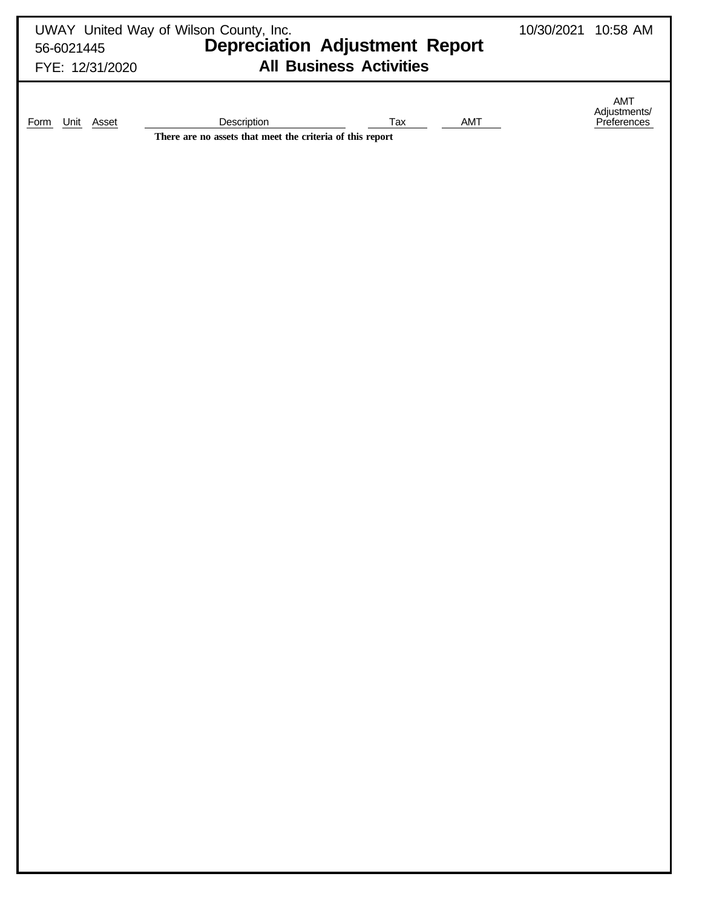|                                       | UWAY United Way of Wilson County, Inc.<br>56-6021445 <b>Depreciation Adjustment Report</b><br><b>All Business Activities</b> | 10/30/2021 10:58 AM |                                    |
|---------------------------------------|------------------------------------------------------------------------------------------------------------------------------|---------------------|------------------------------------|
| FYE: 12/31/2020<br>Unit Asset<br>Form | Description<br>Tax<br>AMT                                                                                                    |                     | AMT<br>Adjustments/<br>Preferences |
|                                       | There are no assets that meet the criteria of this report                                                                    |                     |                                    |
|                                       |                                                                                                                              |                     |                                    |
|                                       |                                                                                                                              |                     |                                    |
|                                       |                                                                                                                              |                     |                                    |
|                                       |                                                                                                                              |                     |                                    |
|                                       |                                                                                                                              |                     |                                    |
|                                       |                                                                                                                              |                     |                                    |
|                                       |                                                                                                                              |                     |                                    |
|                                       |                                                                                                                              |                     |                                    |
|                                       |                                                                                                                              |                     |                                    |
|                                       |                                                                                                                              |                     |                                    |
|                                       |                                                                                                                              |                     |                                    |
|                                       |                                                                                                                              |                     |                                    |
|                                       |                                                                                                                              |                     |                                    |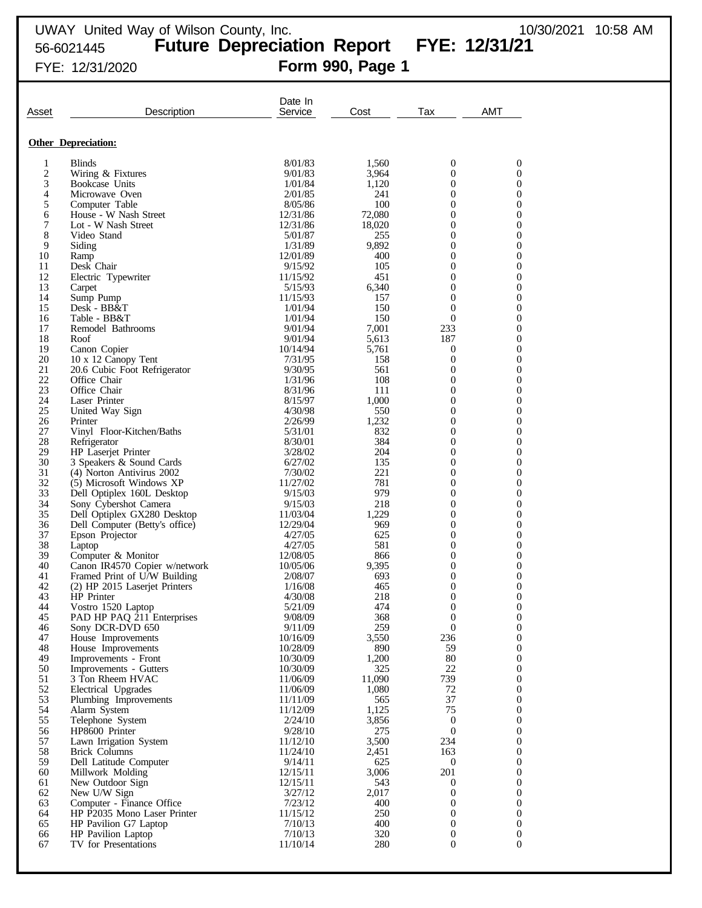# FYE: 12/31/2020 **Form 990, Page 1**

| Asset                   | Description                                           | Date In<br>Service   | Cost          | Tax                                | <b>AMT</b>            |
|-------------------------|-------------------------------------------------------|----------------------|---------------|------------------------------------|-----------------------|
|                         | <b>Other Depreciation:</b>                            |                      |               |                                    |                       |
| 1                       | <b>Blinds</b>                                         | 8/01/83              | 1,560         | 0                                  | 0                     |
| $\overline{\mathbf{c}}$ | Wiring & Fixtures                                     | 9/01/83              | 3,964         | $\overline{0}$                     | 0                     |
| 3                       | Bookcase Units                                        | 1/01/84              | 1,120         | 0                                  | 0                     |
| 4                       | Microwave Oven                                        | 2/01/85              | 241           | 0                                  | 0                     |
| 5                       | Computer Table                                        | 8/05/86              | 100           | 0                                  | 0                     |
| 6                       | House - W Nash Street                                 | 12/31/86             | 72,080        | 0                                  | 0                     |
| 7<br>8                  | Lot - W Nash Street<br>Video Stand                    | 12/31/86             | 18,020<br>255 | 0<br>0                             | 0<br>0                |
| 9                       | Siding                                                | 5/01/87<br>1/31/89   | 9,892         | 0                                  | 0                     |
| 10                      | Ramp                                                  | 12/01/89             | 400           | 0                                  | 0                     |
| 11                      | Desk Chair                                            | 9/15/92              | 105           | 0                                  | 0                     |
| 12                      | Electric Typewriter                                   | 11/15/92             | 451           | 0                                  | 0                     |
| 13                      | Carpet                                                | 5/15/93              | 6,340         | 0                                  | 0                     |
| 14                      | Sump Pump                                             | 11/15/93             | 157           | $\mathbf{0}$                       | 0                     |
| 15<br>16                | Desk - BB&T<br>Table - BB&T                           | 1/01/94<br>1/01/94   | 150<br>150    | $\boldsymbol{0}$<br>$\mathbf{0}$   | 0<br>0                |
| 17                      | Remodel Bathrooms                                     | 9/01/94              | 7,001         | 233                                | 0                     |
| 18                      | Roof                                                  | 9/01/94              | 5,613         | 187                                | 0                     |
| 19                      | Canon Copier                                          | 10/14/94             | 5,761         | 0                                  | 0                     |
| 20                      | 10 x 12 Canopy Tent                                   | 7/31/95              | 158           | $\boldsymbol{0}$                   | 0                     |
| 21                      | 20.6 Cubic Foot Refrigerator                          | 9/30/95              | 561           | $\boldsymbol{0}$                   | 0                     |
| 22                      | Office Chair                                          | 1/31/96              | 108           | 0                                  | 0                     |
| 23<br>24                | Office Chair<br>Laser Printer                         | 8/31/96<br>8/15/97   | 111<br>1,000  | 0<br>0                             | 0<br>0                |
| 25                      | United Way Sign                                       | 4/30/98              | 550           | 0                                  | 0                     |
| 26                      | Printer                                               | 2/26/99              | 1,232         | 0                                  | 0                     |
| 27                      | Vinyl Floor-Kitchen/Baths                             | 5/31/01              | 832           | 0                                  | 0                     |
| 28                      | Refrigerator                                          | 8/30/01              | 384           | 0                                  | 0                     |
| 29                      | HP Laserjet Printer                                   | 3/28/02              | 204           | 0                                  | 0                     |
| 30                      | 3 Speakers & Sound Cards                              | 6/27/02              | 135           | $\overline{0}$                     | 0                     |
| 31<br>32                | (4) Norton Antivirus 2002<br>(5) Microsoft Windows XP | 7/30/02<br>11/27/02  | 221<br>781    | 0<br>0                             | 0<br>0                |
| 33                      | Dell Optiplex 160L Desktop                            | 9/15/03              | 979           | 0                                  | 0                     |
| 34                      | Sony Cybershot Camera                                 | 9/15/03              | 218           | $\overline{0}$                     | 0                     |
| 35                      | Dell Optiplex GX280 Desktop                           | 11/03/04             | 1,229         | 0                                  | 0                     |
| 36                      | Dell Computer (Betty's office)                        | 12/29/04             | 969           | 0                                  | 0                     |
| 37                      | Epson Projector                                       | 4/27/05              | 625           | 0                                  | 0                     |
| 38<br>39                | Laptop<br>Computer & Monitor                          | 4/27/05<br>12/08/05  | 581<br>866    | 0<br>0                             | 0<br>0                |
| 40                      | Canon IR4570 Copier w/network                         | 10/05/06             | 9,395         | 0                                  | 0                     |
| 41                      | Framed Print of U/W Building                          | 2/08/07              | 693           | 0                                  | 0                     |
| 42                      | (2) HP 2015 Laserjet Printers                         | 1/16/08              | 465           | 0                                  | 0                     |
| 43                      | <b>HP</b> Printer                                     | 4/30/08              | 218           | 0                                  | 0                     |
| 44                      | Vostro 1520 Laptop                                    | 5/21/09              | 474           | $\Omega$                           | $\theta$              |
| 45<br>46                | PAD HP PAQ 211 Enterprises<br>Sony DCR-DVD 650        | 9/08/09<br>9/11/09   | 368<br>259    | $\boldsymbol{0}$<br>$\overline{0}$ | $\boldsymbol{0}$<br>0 |
| 47                      | House Improvements                                    | 10/16/09             | 3,550         | 236                                | 0                     |
| 48                      | House Improvements                                    | 10/28/09             | 890           | 59                                 | 0                     |
| 49                      | Improvements - Front                                  | 10/30/09             | 1,200         | $80\,$                             | 0                     |
| 50                      | Improvements - Gutters                                | 10/30/09             | 325           | 22                                 | 0                     |
| 51                      | 3 Ton Rheem HVAC                                      | 11/06/09             | 11,090        | 739                                | 0                     |
| 52<br>53                | Electrical Upgrades<br>Plumbing Improvements          | 11/06/09<br>11/11/09 | 1,080<br>565  | 72<br>37                           | 0<br>0                |
| 54                      | Alarm System                                          | 11/12/09             | 1,125         | 75                                 | 0                     |
| 55                      | Telephone System                                      | 2/24/10              | 3,856         | $\boldsymbol{0}$                   | 0                     |
| 56                      | HP8600 Printer                                        | 9/28/10              | 275           | $\boldsymbol{0}$                   | 0                     |
| 57                      | Lawn Irrigation System                                | 11/12/10             | 3,500         | 234                                | 0                     |
| 58                      | <b>Brick Columns</b>                                  | 11/24/10             | 2,451         | 163                                | 0                     |
| 59                      | Dell Latitude Computer                                | 9/14/11              | 625           | $\mathbf{0}$                       | 0                     |
| 60<br>61                | Millwork Molding<br>New Outdoor Sign                  | 12/15/11<br>12/15/11 | 3,006<br>543  | 201<br>0                           | 0<br>0                |
| 62                      | New U/W Sign                                          | 3/27/12              | 2,017         | $\boldsymbol{0}$                   | 0                     |
| 63                      | Computer - Finance Office                             | 7/23/12              | 400           | 0                                  | 0                     |
| 64                      | HP P2035 Mono Laser Printer                           | 11/15/12             | 250           | 0                                  | 0                     |
| 65                      | HP Pavilion G7 Laptop                                 | 7/10/13              | 400           | $\boldsymbol{0}$                   | $\boldsymbol{0}$      |
| 66                      | HP Pavilion Laptop                                    | 7/10/13              | 320           | 0                                  | 0                     |
| 67                      | TV for Presentations                                  | 11/10/14             | 280           | $\boldsymbol{0}$                   | $\boldsymbol{0}$      |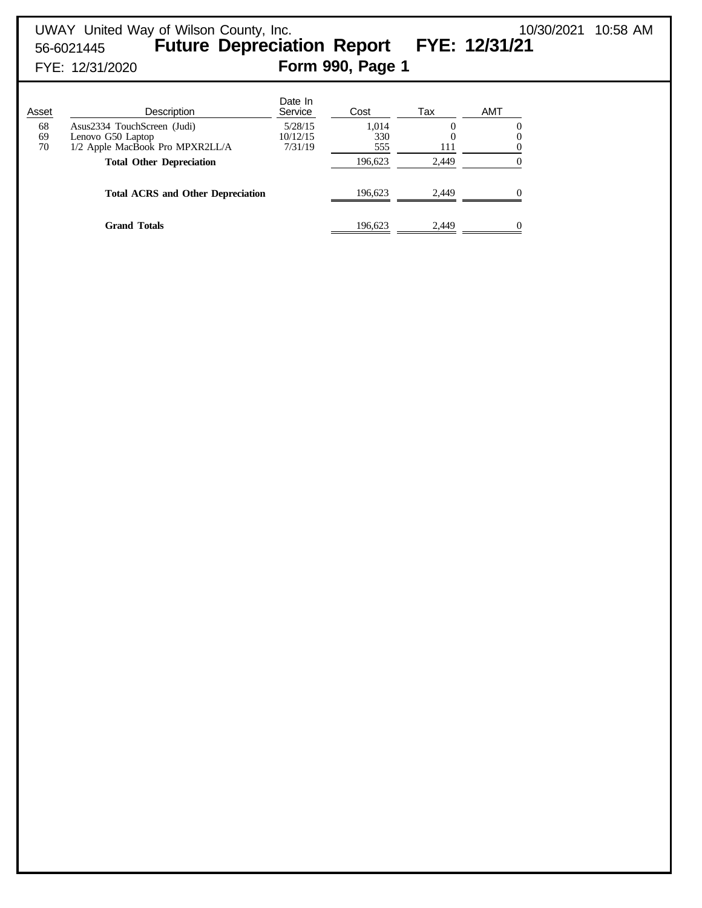# UWAY United Way of Wilson County, Inc. 10/30/2021 10:58 AM 56-6021445 **Future Depreciation Report FYE: 12/31/21** FYE: 12/31/2020 **Form 990, Page 1**

| Asset          | Description                                                                         | Date In<br>Service             | Cost                | Tax   | AMT |
|----------------|-------------------------------------------------------------------------------------|--------------------------------|---------------------|-------|-----|
| 68<br>69<br>70 | Asus2334 TouchScreen (Judi)<br>Lenovo G50 Laptop<br>1/2 Apple MacBook Pro MPXR2LL/A | 5/28/15<br>10/12/15<br>7/31/19 | 1,014<br>330<br>555 | 111   |     |
|                | <b>Total Other Depreciation</b>                                                     |                                | 196,623             | 2,449 |     |
|                | <b>Total ACRS and Other Depreciation</b>                                            |                                | 196.623             | 2.449 |     |
|                | <b>Grand Totals</b>                                                                 |                                | 196,623             | 2.449 |     |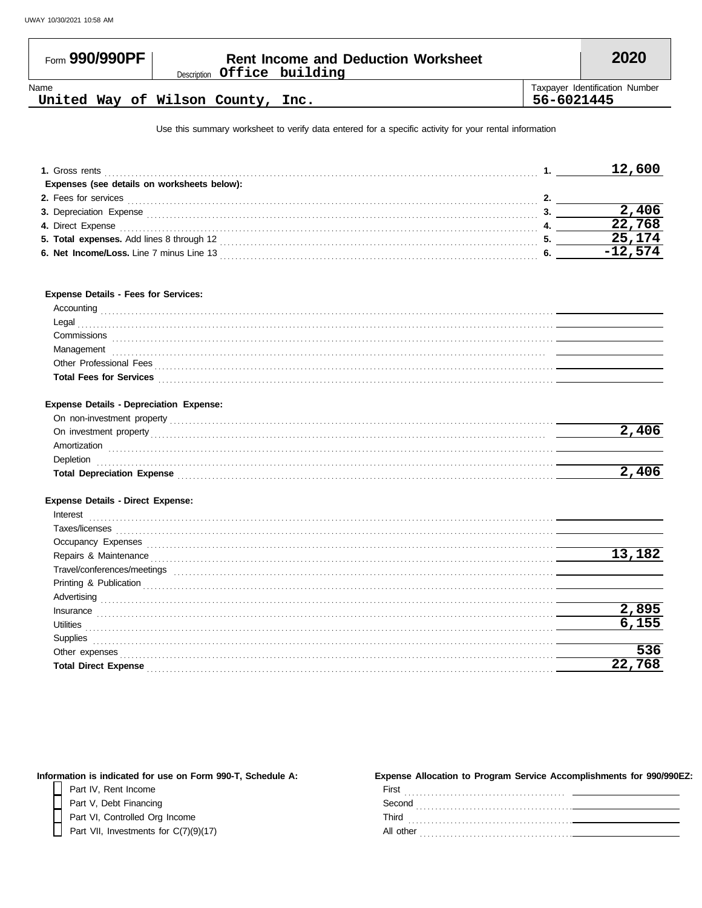| Form 990/990PF | <b>Rent Income and Deduction Worksheet</b><br>Description Office building |            | 2020                           |
|----------------|---------------------------------------------------------------------------|------------|--------------------------------|
| Name           | United Way of Wilson County, Inc.                                         | 56-6021445 | Taxpayer Identification Number |

Use this summary worksheet to verify data entered for a specific activity for your rental information

| 1. Gross rents                              | 12,600 |
|---------------------------------------------|--------|
| Expenses (see details on worksheets below): |        |
| 2. Fees for services                        |        |
| <b>3. Depreciation Expense</b>              |        |
| 4. Direct Expense                           | 22,768 |
| 5. Total expenses. Add lines 8 through 12   | 25.174 |
| 6. Net Income/Loss. Line 7 minus Line 13    |        |

#### **Expense Details - Fees for Services:**

| .                              |  |
|--------------------------------|--|
| Legal                          |  |
| Commissions                    |  |
| ınaqement<br>.                 |  |
| Professional Fees              |  |
| <b>Total Fees for Services</b> |  |
|                                |  |

#### **Expense Details - Depreciation Expense:**

| On non-investment property    |  |
|-------------------------------|--|
| On investment property        |  |
| Amortization                  |  |
| $\omega$ epletion             |  |
| Depreciation Expense<br>Total |  |
|                               |  |

#### **Expense Details - Direct Expense:**

| Interest                    |        |
|-----------------------------|--------|
| Taxes/licenses              |        |
| Occupancy Expenses          |        |
| Repairs & Maintenance       | 13,182 |
| Travel/conferences/meetings |        |
| Printing & Publication      |        |
| Advertising                 |        |
| Insurance                   | 895    |
| <b>Utilities</b>            |        |
| Supplies                    |        |
| Other expenses              | 36     |
| <b>Total Direct Expense</b> |        |

| Information is indicated for use on Form 990-T, Schedule A: | Expense Allocation to Program Service Accomplishments for 990/990EZ: |
|-------------------------------------------------------------|----------------------------------------------------------------------|
| Part IV, Rent Income                                        | First                                                                |
| Part V, Debt Financing                                      | Second                                                               |
| Part VI, Controlled Org Income                              | Third                                                                |
| Part VII, Investments for C(7)(9)(17)                       | All other                                                            |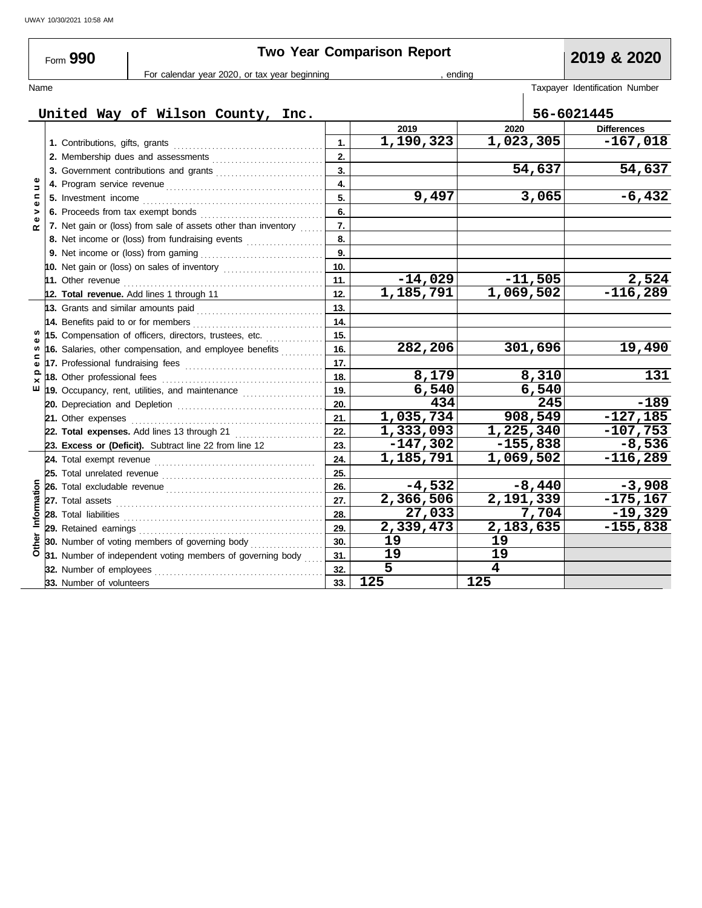| Form 990                                      |  |                                                                                                     | <b>Two Year Comparison Report</b>                                                                         | 2019 & 2020               |                |            |                                |  |
|-----------------------------------------------|--|-----------------------------------------------------------------------------------------------------|-----------------------------------------------------------------------------------------------------------|---------------------------|----------------|------------|--------------------------------|--|
| For calendar year 2020, or tax year beginning |  |                                                                                                     |                                                                                                           |                           | ending         |            |                                |  |
| Name                                          |  |                                                                                                     |                                                                                                           |                           |                |            | Taxpayer Identification Number |  |
| United Way of Wilson County, Inc.             |  |                                                                                                     |                                                                                                           |                           |                |            | 56-6021445                     |  |
|                                               |  |                                                                                                     |                                                                                                           |                           | 2019           | 2020       | <b>Differences</b>             |  |
|                                               |  | 1. Contributions, gifts, grants                                                                     |                                                                                                           | 1.                        | 1,190,323      | 1,023,305  | $-167,018$                     |  |
|                                               |  |                                                                                                     |                                                                                                           | 2.                        |                |            |                                |  |
|                                               |  |                                                                                                     |                                                                                                           | $\overline{\mathbf{3}}$ . |                | 54,637     | 54,637                         |  |
|                                               |  |                                                                                                     |                                                                                                           | 4.                        |                |            |                                |  |
| c                                             |  | 5. Investment income                                                                                |                                                                                                           |                           | 9,497          | 3,065      | $-6,432$                       |  |
|                                               |  | 6. Proceeds from tax exempt bonds<br>7. Net gain or (loss) from sale of assets other than inventory |                                                                                                           | 6.                        |                |            |                                |  |
| œ                                             |  |                                                                                                     |                                                                                                           | 7.                        |                |            |                                |  |
|                                               |  | 8. Net income or (loss) from fundraising events                                                     |                                                                                                           | 8.                        |                |            |                                |  |
|                                               |  |                                                                                                     |                                                                                                           | 9.                        |                |            |                                |  |
|                                               |  |                                                                                                     | 10. Net gain or (loss) on sales of inventory [11][11][11][11][11][11][11][11][11]                         | 10.                       |                |            |                                |  |
|                                               |  | 11. Other revenue                                                                                   |                                                                                                           | 11.                       | $-14,029$      | $-11,505$  | 2,524                          |  |
|                                               |  |                                                                                                     | 12. Total revenue. Add lines 1 through 11                                                                 | 12.                       | 1,185,791      | 1,069,502  | $-116,289$                     |  |
|                                               |  |                                                                                                     | 13. Grants and similar amounts paid                                                                       | 13.                       |                |            |                                |  |
|                                               |  | 14. Benefits paid to or for members                                                                 |                                                                                                           | 14.                       |                |            |                                |  |
|                                               |  |                                                                                                     | 15. Compensation of officers, directors, trustees, etc.                                                   | 15.                       |                |            |                                |  |
|                                               |  | 16. Salaries, other compensation, and employee benefits                                             |                                                                                                           | 16.                       | 282,206        | 301,696    | 19,490                         |  |
| Ф                                             |  |                                                                                                     |                                                                                                           | 17.                       |                |            |                                |  |
|                                               |  | 18. Other professional fees                                                                         |                                                                                                           | 18.                       | 8,179          | 8,310      | 131                            |  |
| ш                                             |  |                                                                                                     | 19. Occupancy, rent, utilities, and maintenance <i>[[19. Occupancy, rent, utilities</i> , and maintenance | 19.                       | 6,540          | 6,540      |                                |  |
|                                               |  |                                                                                                     |                                                                                                           | 20.                       | 434            | 245        | $-189$                         |  |
|                                               |  |                                                                                                     |                                                                                                           | 21.                       | 1,035,734      | 908,549    | $-127,185$                     |  |
|                                               |  |                                                                                                     | 22. Total expenses. Add lines 13 through 21                                                               | 22.                       | 1,333,093      | 1,225,340  | $-107,753$                     |  |
|                                               |  |                                                                                                     | 23. Excess or (Deficit). Subtract line 22 from line 12                                                    | 23.                       | $-147,302$     | $-155,838$ | $-8,536$                       |  |
|                                               |  |                                                                                                     |                                                                                                           | 24.                       | 1,185,791      | 1,069,502  | $-116,289$                     |  |
|                                               |  | 25. Total unrelated revenue                                                                         |                                                                                                           | 25.                       |                |            |                                |  |
|                                               |  |                                                                                                     |                                                                                                           | 26.                       | $-4,532$       | $-8,440$   | $-3,908$                       |  |
| Information                                   |  |                                                                                                     |                                                                                                           | 27.                       | 2,366,506      | 2,191,339  | $-175, 167$                    |  |
|                                               |  | 28. Total liabilities                                                                               |                                                                                                           | 28.                       | 27,033         | 7,704      | $-19,329$                      |  |
|                                               |  |                                                                                                     |                                                                                                           | 29.                       | 2,339,473      | 2,183,635  | $-155,838$                     |  |
|                                               |  |                                                                                                     | <b>30.</b> Number of voting members of governing body <i>minimizing</i>                                   | 30.<br>31.                | 19             | 19         |                                |  |
|                                               |  |                                                                                                     | 31. Number of independent voting members of governing body                                                |                           | 19             | 19         |                                |  |
|                                               |  | 32. Number of employees                                                                             |                                                                                                           | 32.                       | $\overline{5}$ | 4          |                                |  |
|                                               |  | 33. Number of volunteers                                                                            |                                                                                                           | 33.                       | 125            | 125        |                                |  |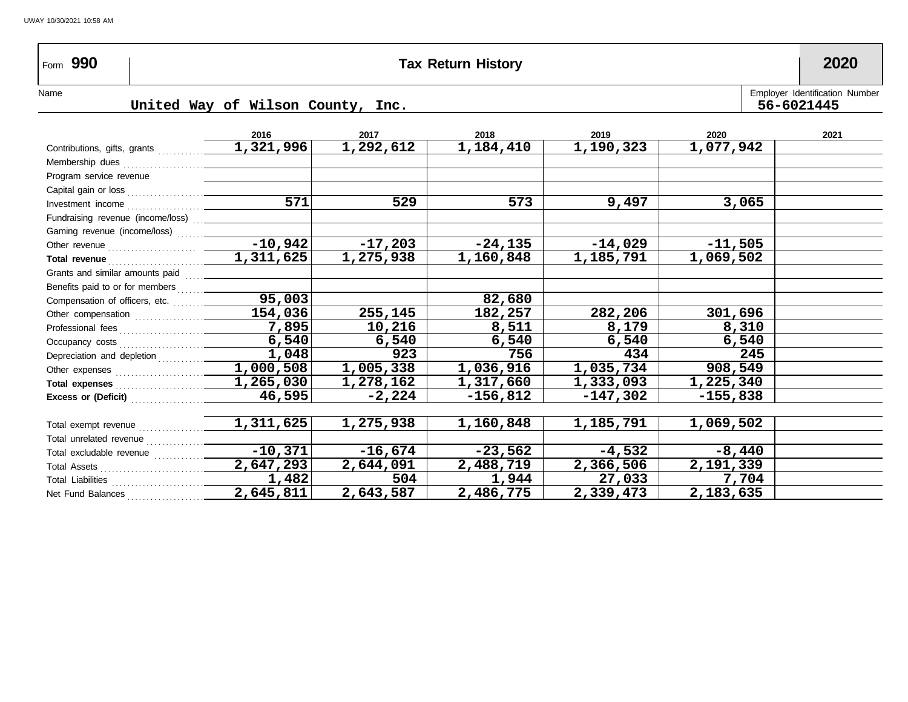# Form **990 Tax Return History 2020**

UWAY 10/30/2021 10:58 AM

Name United Way of Wilson County, Inc. Fig. 2014 1997 Funching the United Way of Wilson County, Inc. **United Way of Wilson County, Inc. 56-6021445**

|                                                                                                                                                                                                                                    | 2016      | 2017                   | 2018       | 2019       | 2020       | 2021 |
|------------------------------------------------------------------------------------------------------------------------------------------------------------------------------------------------------------------------------------|-----------|------------------------|------------|------------|------------|------|
| Contributions, gifts, grants                                                                                                                                                                                                       | 1,321,996 | 1,292,612              | 1,184,410  | 1,190,323  | 1,077,942  |      |
| Membership dues                                                                                                                                                                                                                    |           |                        |            |            |            |      |
| Program service revenue                                                                                                                                                                                                            |           |                        |            |            |            |      |
|                                                                                                                                                                                                                                    |           |                        |            |            |            |      |
|                                                                                                                                                                                                                                    | 571       | 529                    | 573        | 9,497      | 3,065      |      |
| Fundraising revenue (income/loss) [11]                                                                                                                                                                                             |           |                        |            |            |            |      |
| Gaming revenue (income/loss)                                                                                                                                                                                                       |           |                        |            |            |            |      |
|                                                                                                                                                                                                                                    | $-10,942$ | $-17,203$              | $-24,135$  | $-14,029$  | $-11,505$  |      |
|                                                                                                                                                                                                                                    | 1,311,625 | 1,275,938              | 1,160,848  | 1,185,791  | 1,069,502  |      |
|                                                                                                                                                                                                                                    |           |                        |            |            |            |      |
|                                                                                                                                                                                                                                    |           |                        |            |            |            |      |
|                                                                                                                                                                                                                                    | 95,003    |                        | 82,680     |            |            |      |
|                                                                                                                                                                                                                                    | 154,036   | 255,145                | 182,257    | 282,206    | 301,696    |      |
|                                                                                                                                                                                                                                    | 7,895     | 10,216                 | 8,511      | 8,179      | 8,310      |      |
|                                                                                                                                                                                                                                    | 6,540     | 6,540                  | 6,540      | 6,540      | 6,540      |      |
| Depreciation and depletion                                                                                                                                                                                                         | 1,048     | 923                    | 756        | 434        | 245        |      |
|                                                                                                                                                                                                                                    | 1,000,508 | $\overline{1,}005,338$ | 1,036,916  | 1,035,734  | 908,549    |      |
| Total expenses <i>manufacturers</i> and the set of the set of the set of the set of the set of the set of the set of the set of the set of the set of the set of the set of the set of the set of the set of the set of the set of | 1,265,030 | 1,278,162              | 1,317,660  | 1,333,093  | 1,225,340  |      |
| Excess or (Deficit) $\ldots$                                                                                                                                                                                                       | 46,595    | $-2,224$               | $-156,812$ | $-147,302$ | $-155,838$ |      |
|                                                                                                                                                                                                                                    |           |                        |            |            |            |      |
| Total exempt revenue                                                                                                                                                                                                               | 1,311,625 | 1,275,938              | 1,160,848  | 1,185,791  | 1,069,502  |      |
| Total unrelated revenue                                                                                                                                                                                                            |           |                        |            |            |            |      |
| Total excludable revenue                                                                                                                                                                                                           | $-10,371$ | $-16,674$              | $-23,562$  | $-4,532$   | $-8,440$   |      |
|                                                                                                                                                                                                                                    | 2,647,293 | 2,644,091              | 2,488,719  | 2,366,506  | 2,191,339  |      |
|                                                                                                                                                                                                                                    | 1,482     | 504                    | 1,944      | 27,033     | 7,704      |      |
| Net Fund Balances                                                                                                                                                                                                                  | 2,645,811 | 2,643,587              | 2,486,775  | 2,339,473  | 2,183,635  |      |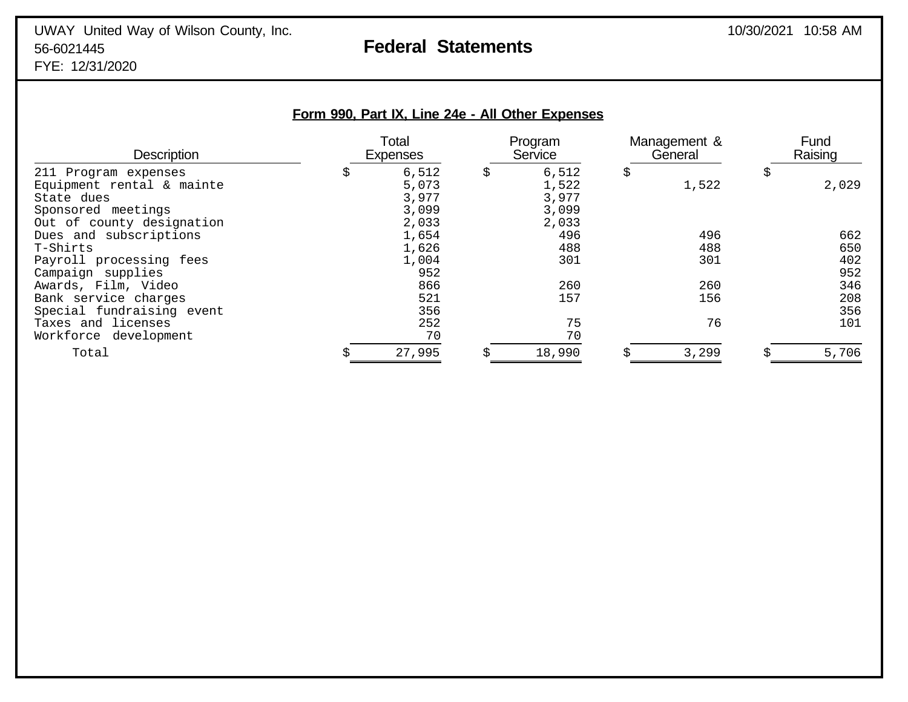FYE: 12/31/2020

| Form 990, Part IX, Line 24e - All Other Expenses |  |  |  |  |  |  |
|--------------------------------------------------|--|--|--|--|--|--|
|--------------------------------------------------|--|--|--|--|--|--|

| <b>Description</b>        | Total<br><b>Expenses</b> |    | Program<br>Service |    | Management &<br>General |    | Fund<br>Raising |  |
|---------------------------|--------------------------|----|--------------------|----|-------------------------|----|-----------------|--|
| 211 Program expenses      | \$<br>6,512              | \$ | 6,512              | \$ |                         | \$ |                 |  |
| Equipment rental & mainte | 5,073                    |    | 1,522              |    | 1,522                   |    | 2,029           |  |
| State dues                | 3,977                    |    | 3,977              |    |                         |    |                 |  |
| Sponsored meetings        | 3,099                    |    | 3,099              |    |                         |    |                 |  |
| Out of county designation | 2,033                    |    | 2,033              |    |                         |    |                 |  |
| Dues and subscriptions    | 1,654                    |    | 496                |    | 496                     |    | 662             |  |
| T-Shirts                  | 1,626                    |    | 488                |    | 488                     |    | 650             |  |
| Payroll processing fees   | 1,004                    |    | 301                |    | 301                     |    | 402             |  |
| Campaign supplies         | 952                      |    |                    |    |                         |    | 952             |  |
| Awards, Film, Video       | 866                      |    | 260                |    | 260                     |    | 346             |  |
| Bank service charges      | 521                      |    | 157                |    | 156                     |    | 208             |  |
| Special fundraising event | 356                      |    |                    |    |                         |    | 356             |  |
| Taxes and licenses        | 252                      |    | 75                 |    | 76                      |    | 101             |  |
| Workforce development     | 70                       |    | 70                 |    |                         |    |                 |  |
| Total                     | 27,995                   |    | 18,990             |    | 3,299                   |    | 5,706           |  |